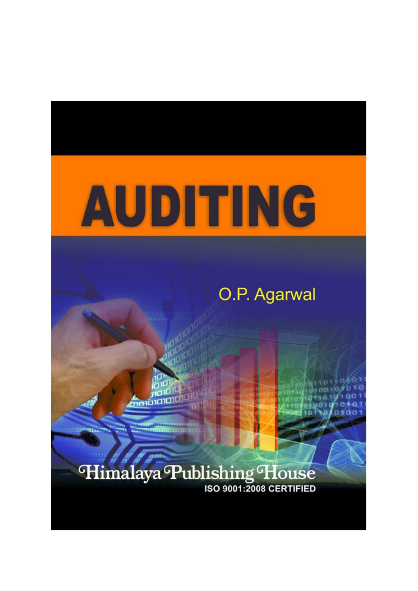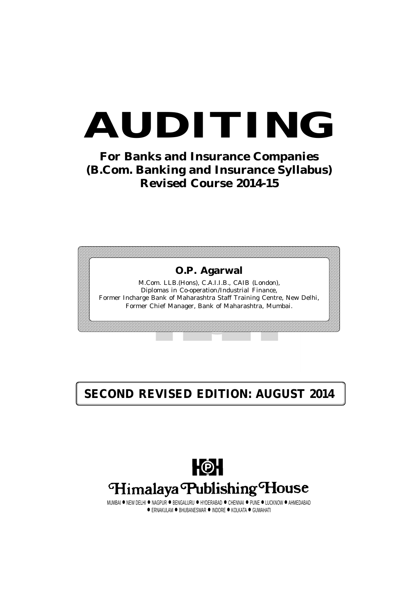# **AUDITING**

**For Banks and Insurance Companies (B.Com. Banking and Insurance Syllabus) Revised Course 2014-15**



### **SECOND REVISED EDITION: AUGUST 2014**



MUMBAI ● NEW DELHI ● NAGPUR ● BENGALURU ● HYDERABAD ● CHENNAI ● PUNE ● LUCKNOW ● AHMEDABAD  $\bullet$  ERNAKULAM  $\bullet$  BHUBANESWAR  $\bullet$  INDORE  $\bullet$  KOLKATA  $\bullet$  GUWAHATI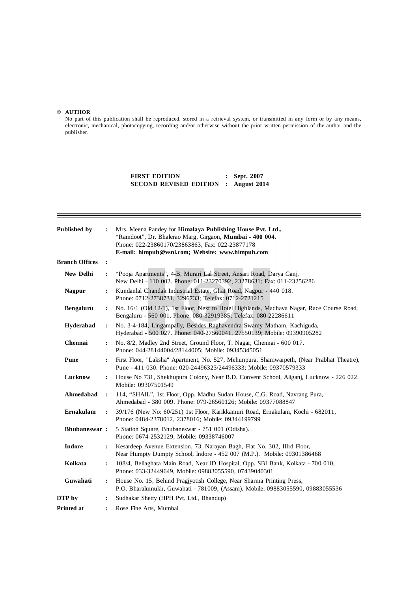#### **© AUTHOR**

No part of this publication shall be reproduced, stored in a retrieval system, or transmitted in any form or by any means, electronic, mechanical, photocopying, recording and/or otherwise without the prior written permission of the author and the publisher.

> **FIRST EDITION : Sept. 2007 SECOND REVISED EDITION : August 2014**

| <b>Published by</b>   | $\ddot{\cdot}$ | Mrs. Meena Pandey for Himalaya Publishing House Pvt. Ltd.,<br>"Ramdoot", Dr. Bhalerao Marg, Girgaon, Mumbai - 400 004.<br>Phone: 022-23860170/23863863, Fax: 022-23877178<br>E-mail: himpub@vsnl.com; Website: www.himpub.com |  |  |
|-----------------------|----------------|-------------------------------------------------------------------------------------------------------------------------------------------------------------------------------------------------------------------------------|--|--|
| <b>Branch Offices</b> | $\cdot$        |                                                                                                                                                                                                                               |  |  |
| <b>New Delhi</b>      | $\ddot{\cdot}$ | "Pooja Apartments", 4-B, Murari Lal Street, Ansari Road, Darya Ganj,<br>New Delhi - 110 002. Phone: 011-23270392, 23278631; Fax: 011-23256286                                                                                 |  |  |
| <b>Nagpur</b>         | :              | Kundanlal Chandak Industrial Estate, Ghat Road, Nagpur - 440 018.<br>Phone: 0712-2738731, 3296733; Telefax: 0712-2721215                                                                                                      |  |  |
| Bengaluru             | :              | No. 16/1 (Old 12/1), 1st Floor, Next to Hotel Highlands, Madhava Nagar, Race Course Road,<br>Bengaluru - 560 001. Phone: 080-32919385; Telefax: 080-22286611                                                                  |  |  |
| Hyderabad             | :              | No. 3-4-184, Lingampally, Besides Raghavendra Swamy Matham, Kachiguda,<br>Hyderabad - 500 027. Phone: 040-27560041, 27550139; Mobile: 09390905282                                                                             |  |  |
| Chennai               | $\ddot{\cdot}$ | No. 8/2, Madley 2nd Street, Ground Floor, T. Nagar, Chennai - 600 017.<br>Phone: 044-28144004/28144005; Mobile: 09345345051                                                                                                   |  |  |
| Pune                  | $\ddot{\cdot}$ | First Floor, "Laksha" Apartment, No. 527, Mehunpura, Shaniwarpeth, (Near Prabhat Theatre),<br>Pune - 411 030. Phone: 020-24496323/24496333; Mobile: 09370579333                                                               |  |  |
| Lucknow               | :              | House No 731, Shekhupura Colony, Near B.D. Convent School, Aliganj, Lucknow - 226 022.<br>Mobile: 09307501549                                                                                                                 |  |  |
| Ahmedabad             | $\ddot{\cdot}$ | 114, "SHAIL", 1st Floor, Opp. Madhu Sudan House, C.G. Road, Navrang Pura,<br>Ahmedabad - 380 009. Phone: 079-26560126; Mobile: 09377088847                                                                                    |  |  |
| <b>Ernakulam</b>      | $\ddot{\cdot}$ | 39/176 (New No: 60/251) 1st Floor, Karikkamuri Road, Ernakulam, Kochi - 682011,<br>Phone: 0484-2378012, 2378016; Mobile: 09344199799                                                                                          |  |  |
| <b>Bhubaneswar:</b>   |                | 5 Station Square, Bhubaneswar - 751 001 (Odisha).<br>Phone: 0674-2532129, Mobile: 09338746007                                                                                                                                 |  |  |
| <b>Indore</b>         | $\ddot{\cdot}$ | Kesardeep Avenue Extension, 73, Narayan Bagh, Flat No. 302, IIIrd Floor,<br>Near Humpty Dumpty School, Indore - 452 007 (M.P.). Mobile: 09301386468                                                                           |  |  |
| Kolkata               | :              | 108/4, Beliaghata Main Road, Near ID Hospital, Opp. SBI Bank, Kolkata - 700 010,<br>Phone: 033-32449649, Mobile: 09883055590, 07439040301                                                                                     |  |  |
| Guwahati              | $\ddot{\cdot}$ | House No. 15, Behind Pragjyotish College, Near Sharma Printing Press,<br>P.O. Bharalumukh, Guwahati - 781009, (Assam). Mobile: 09883055590, 09883055536                                                                       |  |  |
| DTP by                | :              | Sudhakar Shetty (HPH Pvt. Ltd., Bhandup)                                                                                                                                                                                      |  |  |
| <b>Printed at</b>     | $\ddot{\cdot}$ | Rose Fine Arts, Mumbai                                                                                                                                                                                                        |  |  |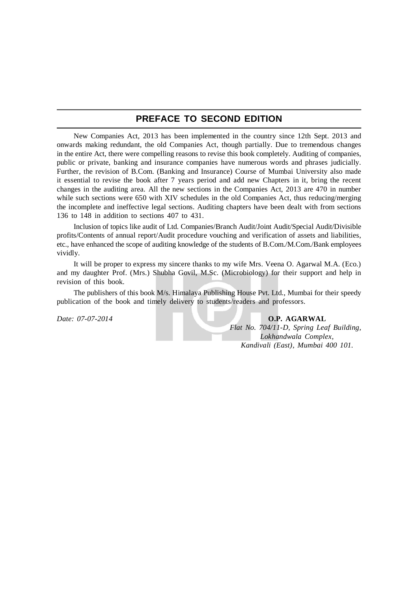#### **PREFACE TO SECOND EDITION**

New Companies Act, 2013 has been implemented in the country since 12th Sept. 2013 and onwards making redundant, the old Companies Act, though partially. Due to tremendous changes in the entire Act, there were compelling reasons to revise this book completely. Auditing of companies, public or private, banking and insurance companies have numerous words and phrases judicially. Further, the revision of B.Com. (Banking and Insurance) Course of Mumbai University also made it essential to revise the book after 7 years period and add new Chapters in it, bring the recent changes in the auditing area. All the new sections in the Companies Act, 2013 are 470 in number while such sections were 650 with XIV schedules in the old Companies Act, thus reducing/merging the incomplete and ineffective legal sections. Auditing chapters have been dealt with from sections 136 to 148 in addition to sections 407 to 431.

Inclusion of topics like audit of Ltd. Companies/Branch Audit/Joint Audit/Special Audit/Divisible profits/Contents of annual report/Audit procedure vouching and verification of assets and liabilities, etc., have enhanced the scope of auditing knowledge of the students of B.Com./M.Com./Bank employees vividly.

It will be proper to express my sincere thanks to my wife Mrs. Veena O. Agarwal M.A. (Eco.) and my daughter Prof. (Mrs.) Shubha Govil, M.Sc. (Microbiology) for their support and help in revision of this book.

The publishers of this book M/s. Himalaya Publishing House Pvt. Ltd., Mumbai for their speedy publication of the book and timely delivery to students/readers and professors.

*Date: 07-07-2014* **O.P. AGARWAL** *Flat No. 704/11-D, Spring Leaf Building, Lokhandwala Complex, Kandivali (East), Mumbai 400 101.*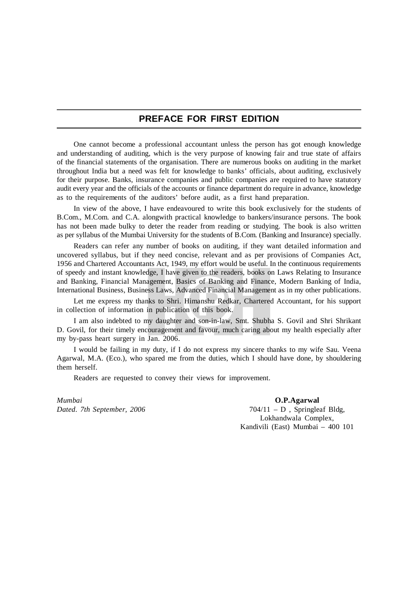#### **PREFACE FOR FIRST EDITION**

One cannot become a professional accountant unless the person has got enough knowledge and understanding of auditing, which is the very purpose of knowing fair and true state of affairs of the financial statements of the organisation. There are numerous books on auditing in the market throughout India but a need was felt for knowledge to banks' officials, about auditing, exclusively for their purpose. Banks, insurance companies and public companies are required to have statutory audit every year and the officials of the accounts or finance department do require in advance, knowledge as to the requirements of the auditors' before audit, as a first hand preparation.

In view of the above, I have endeavoured to write this book exclusively for the students of B.Com., M.Com. and C.A. alongwith practical knowledge to bankers/insurance persons. The book has not been made bulky to deter the reader from reading or studying. The book is also written as per syllabus of the Mumbai University for the students of B.Com. (Banking and Insurance) specially.

Readers can refer any number of books on auditing, if they want detailed information and uncovered syllabus, but if they need concise, relevant and as per provisions of Companies Act, 1956 and Chartered Accountants Act, 1949, my effort would be useful. In the continuous requirements of speedy and instant knowledge, I have given to the readers, books on Laws Relating to Insurance and Banking, Financial Management, Basics of Banking and Finance, Modern Banking of India, International Business, Business Laws, Advanced Financial Management as in my other publications.

Let me express my thanks to Shri. Himanshu Redkar, Chartered Accountant, for his support in collection of information in publication of this book.

I am also indebted to my daughter and son-in-law, Smt. Shubha S. Govil and Shri Shrikant D. Govil, for their timely encouragement and favour, much caring about my health especially after my by-pass heart surgery in Jan. 2006.

I would be failing in my duty, if I do not express my sincere thanks to my wife Sau. Veena Agarwal, M.A. (Eco.), who spared me from the duties, which I should have done, by shouldering them herself.

Readers are requested to convey their views for improvement.

*Mumbai* **O.P.Agarwal**<br>*Dated. 7th September, 2006* **CONFINGLEY O.P.Agarwal** 

 $704/11 - D$ , Springleaf Bldg, Lokhandwala Complex, Kandivili (East) Mumbai – 400 101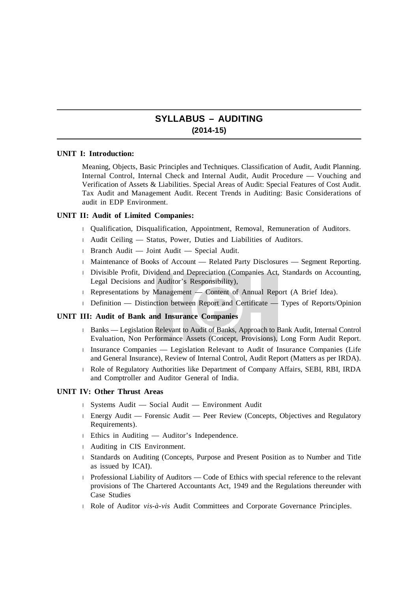#### **SYLLABUS – AUDITING (2014-15)**

#### **UNIT I: Introduction:**

Meaning, Objects, Basic Principles and Techniques. Classification of Audit, Audit Planning. Internal Control, Internal Check and Internal Audit, Audit Procedure — Vouching and Verification of Assets & Liabilities. Special Areas of Audit: Special Features of Cost Audit. Tax Audit and Management Audit. Recent Trends in Auditing: Basic Considerations of audit in EDP Environment.

#### **UNIT II: Audit of Limited Companies:**

- Qualification, Disqualification, Appointment, Removal, Remuneration of Auditors.
- Audit Ceiling Status, Power, Duties and Liabilities of Auditors.
- Branch Audit Joint Audit Special Audit.
- Maintenance of Books of Account Related Party Disclosures Segment Reporting.
- Divisible Profit, Dividend and Depreciation (Companies Act, Standards on Accounting, Legal Decisions and Auditor's Responsibility),
- Representations by Management Content of Annual Report (A Brief Idea).
- Definition Distinction between Report and Certificate Types of Reports/Opinion

#### **UNIT III: Audit of Bank and Insurance Companies**

- Banks Legislation Relevant to Audit of Banks, Approach to Bank Audit, Internal Control Evaluation, Non Performance Assets (Concept, Provisions), Long Form Audit Report.
- Insurance Companies Legislation Relevant to Audit of Insurance Companies (Life and General Insurance), Review of Internal Control, Audit Report (Matters as per IRDA).
- Role of Regulatory Authorities like Department of Company Affairs, SEBI, RBI, IRDA and Comptroller and Auditor General of India.

#### **UNIT IV: Other Thrust Areas**

- Systems Audit Social Audit Environment Audit
- Energy Audit Forensic Audit Peer Review (Concepts, Objectives and Regulatory Requirements).
- Ethics in Auditing Auditor's Independence.
- Auditing in CIS Environment.
- Standards on Auditing (Concepts, Purpose and Present Position as to Number and Title as issued by ICAI).
- Professional Liability of Auditors Code of Ethics with special reference to the relevant provisions of The Chartered Accountants Act, 1949 and the Regulations thereunder with Case Studies
- Role of Auditor *vis-à-vis* Audit Committees and Corporate Governance Principles.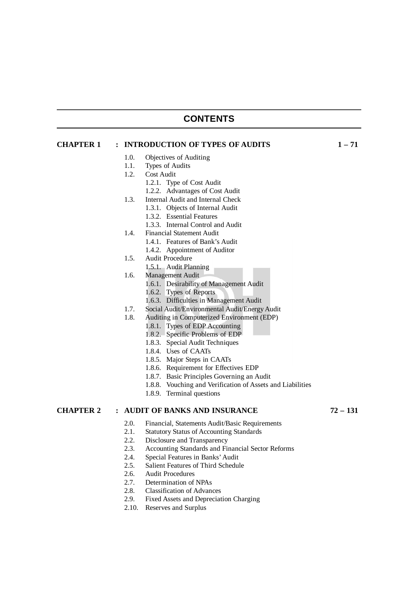#### **CONTENTS**

| <b>CHAPTER 1</b>                                                                                                                                                              | : INTRODUCTION OF TYPES OF AUDITS | $1 - 71$                                                   |          |
|-------------------------------------------------------------------------------------------------------------------------------------------------------------------------------|-----------------------------------|------------------------------------------------------------|----------|
|                                                                                                                                                                               | 1.0.                              | Objectives of Auditing                                     |          |
|                                                                                                                                                                               | 1.1.                              | Types of Audits                                            |          |
|                                                                                                                                                                               | 1.2.                              | Cost Audit                                                 |          |
|                                                                                                                                                                               |                                   | 1.2.1. Type of Cost Audit                                  |          |
|                                                                                                                                                                               |                                   | 1.2.2. Advantages of Cost Audit                            |          |
|                                                                                                                                                                               | 1.3.                              | Internal Audit and Internal Check                          |          |
|                                                                                                                                                                               |                                   | 1.3.1. Objects of Internal Audit                           |          |
|                                                                                                                                                                               |                                   | 1.3.2. Essential Features                                  |          |
|                                                                                                                                                                               |                                   | 1.3.3. Internal Control and Audit                          |          |
|                                                                                                                                                                               | 1.4.                              | <b>Financial Statement Audit</b>                           |          |
|                                                                                                                                                                               |                                   | 1.4.1. Features of Bank's Audit                            |          |
|                                                                                                                                                                               |                                   | 1.4.2. Appointment of Auditor                              |          |
|                                                                                                                                                                               | 1.5.                              | Audit Procedure                                            |          |
|                                                                                                                                                                               |                                   | 1.5.1. Audit Planning                                      |          |
|                                                                                                                                                                               | 1.6.                              | Management Audit                                           |          |
|                                                                                                                                                                               |                                   | 1.6.1. Desirability of Management Audit                    |          |
|                                                                                                                                                                               |                                   | 1.6.2. Types of Reports                                    |          |
|                                                                                                                                                                               |                                   | 1.6.3. Difficulties in Management Audit                    |          |
|                                                                                                                                                                               | 1.7.                              | Social Audit/Environmental Audit/Energy Audit              |          |
|                                                                                                                                                                               | 1.8.                              | Auditing in Computerized Environment (EDP)                 |          |
|                                                                                                                                                                               |                                   | 1.8.1. Types of EDP Accounting                             |          |
|                                                                                                                                                                               |                                   | 1.8.2. Specific Problems of EDP                            |          |
| 1.8.3. Special Audit Techniques<br>1.8.4. Uses of CAATs<br>1.8.5. Major Steps in CAATs<br>1.8.6. Requirement for Effectives EDP<br>1.8.7. Basic Principles Governing an Audit |                                   |                                                            |          |
|                                                                                                                                                                               |                                   |                                                            |          |
|                                                                                                                                                                               |                                   |                                                            |          |
|                                                                                                                                                                               |                                   |                                                            |          |
|                                                                                                                                                                               |                                   |                                                            |          |
|                                                                                                                                                                               |                                   | 1.8.8. Vouching and Verification of Assets and Liabilities |          |
|                                                                                                                                                                               |                                   | 1.8.9. Terminal questions                                  |          |
| <b>CHAPTER 2</b>                                                                                                                                                              |                                   | : AUDIT OF BANKS AND INSURANCE                             | 72 – 131 |
|                                                                                                                                                                               | 2.0.                              | Financial, Statements Audit/Basic Requirements             |          |
|                                                                                                                                                                               | 2.1.                              | <b>Statutory Status of Accounting Standards</b>            |          |
|                                                                                                                                                                               | າ າ                               | Disclosure and Transparency                                |          |

- 2.2. Disclosure and Transparency<br>2.3. Accounting Standards and Fi 2.3. Accounting Standards and Financial Sector Reforms<br>2.4. Special Features in Banks' Audit
- 
- 2.4. Special Features in Banks' Audit<br>2.5. Salient Features of Third Schedul 2.5. Salient Features of Third Schedule<br>2.6. Audit Procedures
- 2.6. Audit Procedures
- 2.7. Determination of NPAs
- 2.8. Classification of Advances<br>2.9. Fixed Assets and Depreciat
- Fixed Assets and Depreciation Charging
- 2.10. Reserves and Surplus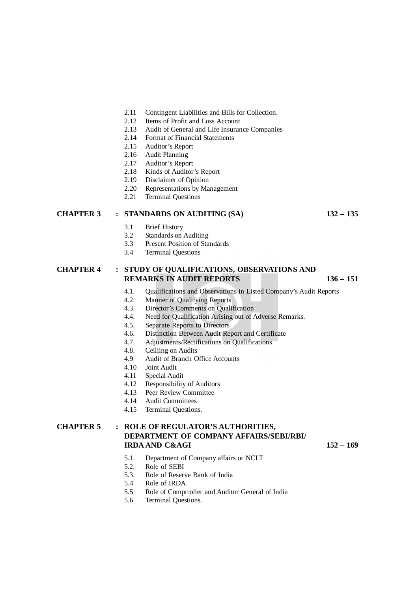- 2.11 Contingent Liabilities and Bills for Collection.
- 2.12 Items of Profit and Loss Account
- 2.13 Audit of General and Life Insurance Companies
- 2.14 Format of Financial Statements
- 2.15 Auditor's Report
- 2.16 Audit Planning
- 2.17 Auditor's Report
- 2.18 Kinds of Auditor's Report
- 2.19 Disclaimer of Opinion<br>2.20 Representations by Ma
- Representations by Management
- 2.21 Terminal Questions

#### **CHAPTER 3 : STANDARDS ON AUDITING (SA) 132 – 135**

- 3.1 Brief History
- 3.2 Standards on Auditing
- 3.3 Present Position of Standards
- 3.4 Terminal Questions

#### **CHAPTER 4 : STUDY OF QUALIFICATIONS, OBSERVATIONS AND REMARKS IN AUDIT REPORTS 136 – 151**

- 4.1. Qualifications and Observations in Listed Company's Audit Reports
- 4.2. Manner of Qualifying Reports
- 4.3. Director's Comments on Qualification
- 4.4. Need for Qualification Arising out of Adverse Remarks.
- 4.5. Separate Reports to Directors
- 4.6. Distinction Between Audit Report and Certificate<br>4.7. Adjustments/Rectifications on Oualifications
- 4.7. Adjustments/Rectifications on Qualifications
- 4.8. Ceiliing on Audits
- 4.9 Audit of Branch Office Accounts
- 4.10 Joint Audit
- Special Audit
- 4.12 Responsibility of Auditors
- 4.13 Peer Review Committee
- 4.14 Audit Committees
- 4.15 Terminal Questions.

#### **CHAPTER 5 : ROLE OF REGULATOR'S AUTHORITIES, DEPARTMENT OF COMPANY AFFAIRS/SEBI/RBI/ IRDA AND C&AGI 152 – 169**

- 5.1. Department of Company affairs or NCLT
- 5.2. Role of SEBI
- 5.3. Role of Reserve Bank of India
- 5.4 Role of IRDA
- 5.5 Role of Comptroller and Auditor General of India
- 5.6 Terminal Questions.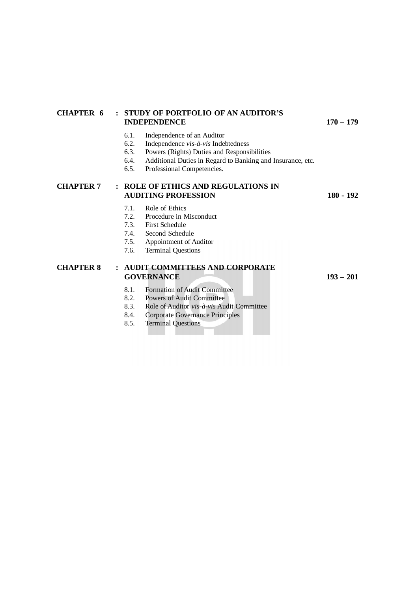#### **CHAPTER 6 : STUDY OF PORTFOLIO OF AN AUDITOR'S INDEPENDENCE 170 – 179**

- 6.1. Independence of an Auditor
- 6.2. Independence *vis-à-vis* Indebtedness
- 6.3. Powers (Rights) Duties and Responsibilities<br>6.4. Additional Duties in Regard to Banking and
- Additional Duties in Regard to Banking and Insurance, etc.
- 6.5. Professional Competencies.

#### **CHAPTER 7 : ROLE OF ETHICS AND REGULATIONS IN AUDITING PROFESSION 180 - 192**

- 7.1. Role of Ethics
- 7.2. Procedure in Misconduct
- 7.3. First Schedule
- 7.4. Second Schedule
- 7.5. Appointment of Auditor
- 7.6. Terminal Questions

#### **CHAPTER 8 : AUDIT COMMITTEES AND CORPORATE GOVERNANCE 193 – 201**

- 8.1. Formation of Audit Committee<br>8.2. Powers of Audit Committee
- 8.2. Powers of Audit Committee<br>8.3. Role of Auditor  $vis \cdot \hat{a}$ -vis Auditor
- 8.3. Role of Auditor *vis-à-vis* Audit Committee
- 8.4. Corporate Governance Principles
- 8.5. Terminal Questions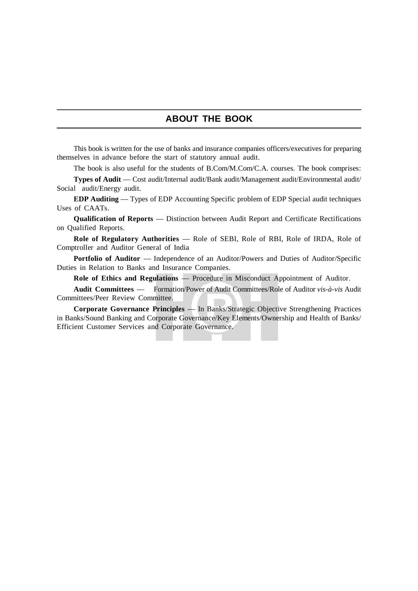#### **ABOUT THE BOOK**

This book is written for the use of banks and insurance companies officers/executives for preparing themselves in advance before the start of statutory annual audit.

The book is also useful for the students of B.Com/M.Com/C.A. courses. The book comprises:

**Types of Audit** — Cost audit/Internal audit/Bank audit/Management audit/Environmental audit/ Social audit/Energy audit.

**EDP Auditing** — Types of EDP Accounting Specific problem of EDP Special audit techniques Uses of CAATs.

**Qualification of Reports** — Distinction between Audit Report and Certificate Rectifications on Qualified Reports.

**Role of Regulatory Authorities** — Role of SEBI, Role of RBI, Role of IRDA, Role of Comptroller and Auditor General of India

**Portfolio of Auditor** — Independence of an Auditor/Powers and Duties of Auditor/Specific Duties in Relation to Banks and Insurance Companies.

**Role of Ethics and Regulations** — Procedure in Misconduct Appointment of Auditor.

**Audit Committees** — Formation/Power of Audit Committees/Role of Auditor *vis-à-vis* Audit Committees/Peer Review Committee.

**Corporate Governance Principles** — In Banks/Strategic Objective Strengthening Practices in Banks/Sound Banking and Corporate Governance/Key Elements/Ownership and Health of Banks/ Efficient Customer Services and Corporate Governance.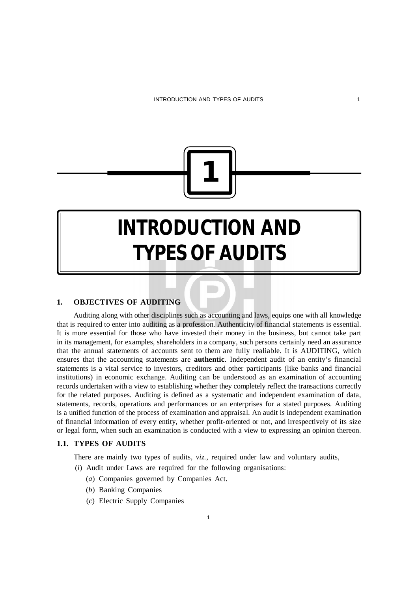

## **INTRODUCTION AND TYPES OF AUDITS**

#### **1. OBJECTIVES OF AUDITING**

Auditing along with other disciplines such as accounting and laws, equips one with all knowledge that is required to enter into auditing as a profession. Authenticity of financial statements is essential. It is more essential for those who have invested their money in the business, but cannot take part in its management, for examples, shareholders in a company, such persons certainly need an assurance that the annual statements of accounts sent to them are fully realiable. It is AUDITING, which ensures that the accounting statements are **authentic**. Independent audit of an entity's financial statements is a vital service to investors, creditors and other participants (like banks and financial institutions) in economic exchange. Auditing can be understood as an examination of accounting records undertaken with a view to establishing whether they completely reflect the transactions correctly for the related purposes. Auditing is defined as a systematic and independent examination of data, statements, records, operations and performances or an enterprises for a stated purposes. Auditing is a unified function of the process of examination and appraisal. An audit is independent examination of financial information of every entity, whether profit-oriented or not, and irrespectively of its size or legal form, when such an examination is conducted with a view to expressing an opinion thereon.

#### **1.1. TYPES OF AUDITS**

There are mainly two types of audits, *viz.*, required under law and voluntary audits,

- (*i*) Audit under Laws are required for the following organisations:
	- (*a*) Companies governed by Companies Act.
	- (*b*) Banking Companies
	- (*c*) Electric Supply Companies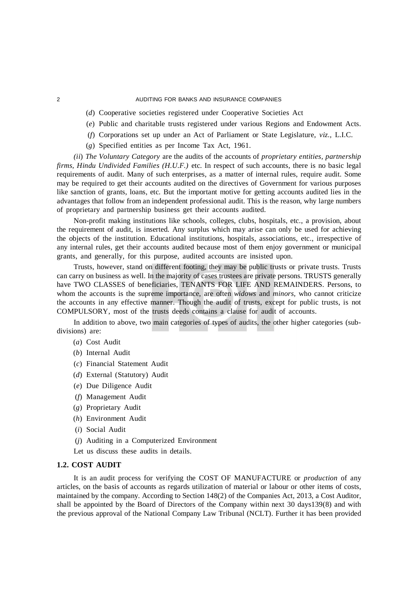- (*d*) Cooperative societies registered under Cooperative Societies Act
- (*e*) Public and charitable trusts registered under various Regions and Endowment Acts.
- (*f*) Corporations set up under an Act of Parliament or State Legislature, *viz.,* L.I.C.
- (*g*) Specified entities as per Income Tax Act, 1961.

*(ii*) *The Voluntary Category* are the audits of the accounts of *proprietary entities, partnership firms, Hindu Undivided Families (H.U.F.)* etc. In respect of such accounts, there is no basic legal requirements of audit. Many of such enterprises, as a matter of internal rules, require audit. Some may be required to get their accounts audited on the directives of Government for various purposes like sanction of grants, loans, etc. But the important motive for getting accounts audited lies in the advantages that follow from an independent professional audit. This is the reason, why large numbers of proprietary and partnership business get their accounts audited.

Non-profit making institutions like schools, colleges, clubs, hospitals, etc., a provision, about the requirement of audit, is inserted. Any surplus which may arise can only be used for achieving the objects of the institution. Educational institutions, hospitals, associations, etc., irrespective of any internal rules, get their accounts audited because most of them enjoy government or municipal grants, and generally, for this purpose, audited accounts are insisted upon.

Trusts, however, stand on different footing, they may be public trusts or private trusts. Trusts can carry on business as well. In the majority of cases trustees are private persons. TRUSTS generally have TWO CLASSES of beneficiaries, TENANTS FOR LIFE AND REMAINDERS. Persons, to whom the accounts is the supreme importance, are often *widows* and *minors,* who cannot criticize the accounts in any effective manner. Though the audit of trusts, except for public trusts, is not COMPULSORY, most of the trusts deeds contains a clause for audit of accounts.

In addition to above, two main categories of types of audits, the other higher categories (subdivisions) are:

- (*a*) Cost Audit
- (*b*) Internal Audit
- (*c*) Financial Statement Audit
- (*d*) External (Statutory) Audit
- (*e*) Due Diligence Audit
- (*f*) Management Audit
- (*g*) Proprietary Audit
- (*h*) Environment Audit
- (*i*) Social Audit
- (*j*) Auditing in a Computerized Environment
- Let us discuss these audits in details.

#### **1.2. COST AUDIT**

It is an audit process for verifying the COST OF MANUFACTURE or *production* of any articles, on the basis of accounts as regards utilization of material or labour or other items of costs, maintained by the company. According to Section 148(2) of the Companies Act, 2013, a Cost Auditor, shall be appointed by the Board of Directors of the Company within next 30 days139(8) and with the previous approval of the National Company Law Tribunal (NCLT). Further it has been provided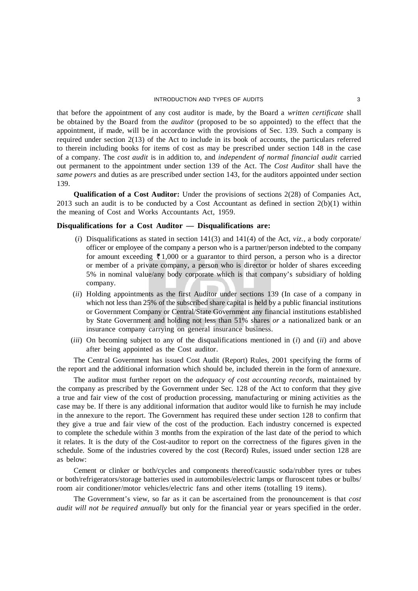that before the appointment of any cost auditor is made, by the Board a *written certificate* shall be obtained by the Board from the *auditor* (proposed to be so appointed) to the effect that the appointment, if made, will be in accordance with the provisions of Sec. 139. Such a company is required under section 2(13) of the Act to include in its book of accounts, the particulars referred to therein including books for items of cost as may be prescribed under section 148 in the case of a company. The *cost audit* is in addition to, and *independent of normal financial audit* carried out permanent to the appointment under section 139 of the Act. The *Cost Auditor* shall have the *same powers* and duties as are prescribed under section 143, for the auditors appointed under section 139.

**Qualification of a Cost Auditor:** Under the provisions of sections 2(28) of Companies Act, 2013 such an audit is to be conducted by a Cost Accountant as defined in section  $2(b)(1)$  within the meaning of Cost and Works Accountants Act, 1959.

#### **Disqualifications for a Cost Auditor — Disqualifications are:**

- $(i)$  Disqualifications as stated in section 141(3) and 141(4) of the Act, *viz.*, a body corporate/ officer or employee of the company a person who is a partner/person indebted to the company for amount exceeding  $\bar{\xi}$  1,000 or a guarantor to third person, a person who is a director or member of a private company, a person who is director or holder of shares exceeding 5% in nominal value/any body corporate which is that company's subsidiary of holding company.
- (*ii*) Holding appointments as the first Auditor under sections 139 (In case of a company in which not less than 25% of the subscribed share capital is held by a public financial institutions or Government Company or Central/State Government any financial institutions established by State Government and holding not less than 51% shares *or* a nationalized bank or an insurance company carrying on general insurance business.
- (*iii*) On becoming subject to any of the disqualifications mentioned in (*i*) and (*ii*) and above after being appointed as the Cost auditor.

The Central Government has issued Cost Audit (Report) Rules, 2001 specifying the forms of the report and the additional information which should be, included therein in the form of annexure.

The auditor must further report on the *adequacy of cost accounting records,* maintained by the company as prescribed by the Government under Sec. 128 of the Act to conform that they give a true and fair view of the cost of production processing, manufacturing or mining activities as the case may be. If there is any additional information that auditor would like to furnish he may include in the annexure to the report. The Government has required these under section 128 to confirm that they give a true and fair view of the cost of the production. Each industry concerned is expected to complete the schedule within 3 months from the expiration of the last date of the period to which it relates. It is the duty of the Cost-auditor to report on the correctness of the figures given in the schedule. Some of the industries covered by the cost (Record) Rules, issued under section 128 are as below:

Cement or clinker or both/cycles and components thereof/caustic soda/rubber tyres or tubes or both/refrigerators/storage batteries used in automobiles/electric lamps or fluroscent tubes or bulbs/ room air conditioner/motor vehicles/electric fans and other items (totalling 19 items).

The Government's view, so far as it can be ascertained from the pronouncement is that *cost audit will not be required annually* but only for the financial year or years specified in the order.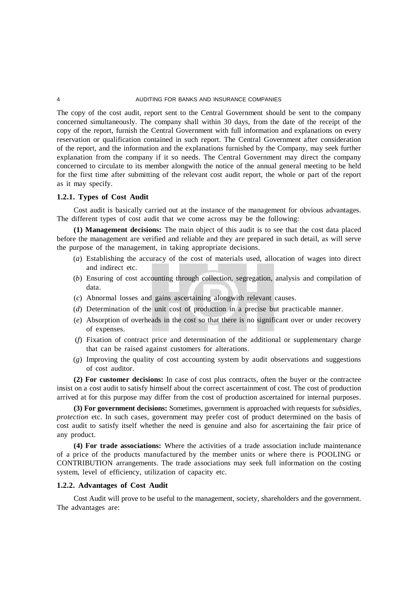The copy of the cost audit, report sent to the Central Government should be sent to the company concerned simultaneously. The company shall within 30 days, from the date of the receipt of the copy of the report, furnish the Central Government with full information and explanations on every reservation or qualification contained in such report. The Central Government after consideration of the report, and the information and the explanations furnished by the Company, may seek further explanation from the company if it so needs. The Central Government may direct the company concerned to circulate to its member alongwith the notice of the annual general meeting to be held for the first time after submitting of the relevant cost audit report, the whole or part of the report as it may specify.

#### **1.2.1. Types of Cost Audit**

Cost audit is basically carried out at the instance of the management for obvious advantages. The different types of cost audit that we come across may be the following:

**(1) Management decisions:** The main object of this audit is to see that the cost data placed before the management are verified and reliable and they are prepared in such detail, as will serve the purpose of the management, in taking appropriate decisions.

- (*a*) Establishing the accuracy of the cost of materials used, allocation of wages into direct and indirect etc.
- (*b*) Ensuring of cost accounting through collection, segregation, analysis and compilation of data.
- (*c*) Abnormal losses and gains ascertaining alongwith relevant causes.
- (*d*) Determination of the unit cost of production in a precise but practicable manner.
- (*e*) Absorption of overheads in the cost so that there is no significant over or under recovery of expenses.
- (*f*) Fixation of contract price and determination of the additional or supplementary charge that can be raised against customers for alterations.
- (*g*) Improving the quality of cost accounting system by audit observations and suggestions of cost auditor.

**(2) For customer decisions:** In case of cost plus contracts, often the buyer or the contractee insist on a cost audit to satisfy himself about the correct ascertainment of cost. The cost of production arrived at for this purpose may differ from the cost of production ascertained for internal purposes.

**(3) For government decisions:** Sometimes, government is approached with requests for *subsidies, protection* etc. In such cases, government may prefer cost of product determined on the basis of cost audit to satisfy itself whether the need is genuine and also for ascertaining the fair price of any product.

**(4) For trade associations:** Where the activities of a trade association include maintenance of a price of the products manufactured by the member units or where there is POOLING or CONTRIBUTION arrangements. The trade associations may seek full information on the costing system, level of efficiency, utilization of capacity etc.

#### **1.2.2. Advantages of Cost Audit**

Cost Audit will prove to be useful to the management, society, shareholders and the government. The advantages are: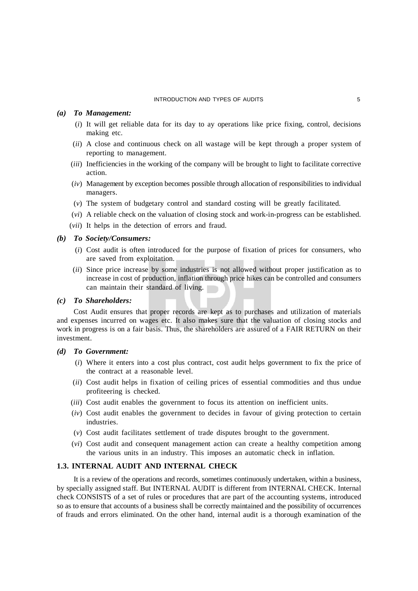#### INTRODUCTION AND TYPES OF AUDITS 5

#### *(a) To Management:*

- (*i*) It will get reliable data for its day to ay operations like price fixing, control, decisions making etc.
- (*ii*) A close and continuous check on all wastage will be kept through a proper system of reporting to management.
- (*iii*) Inefficiencies in the working of the company will be brought to light to facilitate corrective action.
- (*iv*) Management by exception becomes possible through allocation of responsibilities to individual managers.
- (*v*) The system of budgetary control and standard costing will be greatly facilitated.
- (*vi*) A reliable check on the valuation of closing stock and work-in-progress can be established.
- (*vii*) It helps in the detection of errors and fraud.

#### *(b) To Society/Consumers:*

- (*i*) Cost audit is often introduced for the purpose of fixation of prices for consumers, who are saved from exploitation.
- (*ii*) Since price increase by some industries is not allowed without proper justification as to increase in cost of production, inflation through price hikes can be controlled and consumers can maintain their standard of living.

#### *(c) To Shareholders:*

Cost Audit ensures that proper records are kept as to purchases and utilization of materials and expenses incurred on wages etc. It also makes sure that the valuation of closing stocks and work in progress is on a fair basis. Thus, the shareholders are assured of a FAIR RETURN on their investment.

#### *(d) To Government:*

- (*i*) Where it enters into a cost plus contract, cost audit helps government to fix the price of the contract at a reasonable level.
- (*ii*) Cost audit helps in fixation of ceiling prices of essential commodities and thus undue profiteering is checked.
- (*iii*) Cost audit enables the government to focus its attention on inefficient units.
- (*iv*) Cost audit enables the government to decides in favour of giving protection to certain industries.
- (*v*) Cost audit facilitates settlement of trade disputes brought to the government.
- (*vi*) Cost audit and consequent management action can create a healthy competition among the various units in an industry. This imposes an automatic check in inflation.

#### **1.3. INTERNAL AUDIT AND INTERNAL CHECK**

It is a review of the operations and records, sometimes continuously undertaken, within a business, by specially assigned staff. But INTERNAL AUDIT is different from INTERNAL CHECK. Internal check CONSISTS of a set of rules or procedures that are part of the accounting systems, introduced so as to ensure that accounts of a business shall be correctly maintained and the possibility of occurrences of frauds and errors eliminated. On the other hand, internal audit is a thorough examination of the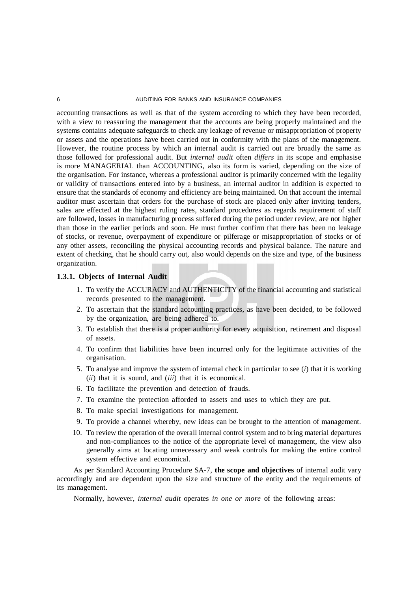accounting transactions as well as that of the system according to which they have been recorded, with a view to reassuring the management that the accounts are being properly maintained and the systems contains adequate safeguards to check any leakage of revenue or misappropriation of property or assets and the operations have been carried out in conformity with the plans of the management. However, the routine process by which an internal audit is carried out are broadly the same as those followed for professional audit. But *internal audit* often *differs* in its scope and emphasise is more MANAGERIAL than ACCOUNTING, also its form is varied, depending on the size of the organisation. For instance, whereas a professional auditor is primarily concerned with the legality or validity of transactions entered into by a business, an internal auditor in addition is expected to ensure that the standards of economy and efficiency are being maintained. On that account the internal auditor must ascertain that orders for the purchase of stock are placed only after inviting tenders, sales are effected at the highest ruling rates, standard procedures as regards requirement of staff are followed, losses in manufacturing process suffered during the period under review, are not higher than those in the earlier periods and soon. He must further confirm that there has been no leakage of stocks, or revenue, overpayment of expenditure or pilferage or misappropriation of stocks or of any other assets, reconciling the physical accounting records and physical balance. The nature and extent of checking, that he should carry out, also would depends on the size and type, of the business organization.

#### **1.3.1. Objects of Internal Audit**

- 1. To verify the ACCURACY and AUTHENTICITY of the financial accounting and statistical records presented to the management.
- 2. To ascertain that the standard accounting practices, as have been decided, to be followed by the organization, are being adhered to.
- 3. To establish that there is a proper authority for every acquisition, retirement and disposal of assets.
- 4. To confirm that liabilities have been incurred only for the legitimate activities of the organisation.
- 5. To analyse and improve the system of internal check in particular to see (*i*) that it is working (*ii*) that it is sound, and (*iii*) that it is economical.
- 6. To facilitate the prevention and detection of frauds.
- 7. To examine the protection afforded to assets and uses to which they are put.
- 8. To make special investigations for management.
- 9. To provide a channel whereby, new ideas can be brought to the attention of management.
- 10. To review the operation of the overall internal control system and to bring material departures and non-compliances to the notice of the appropriate level of management, the view also generally aims at locating unnecessary and weak controls for making the entire control system effective and economical.

As per Standard Accounting Procedure SA-7, **the scope and objectives** of internal audit vary accordingly and are dependent upon the size and structure of the entity and the requirements of its management.

Normally, however, *internal audit* operates *in one or more* of the following areas: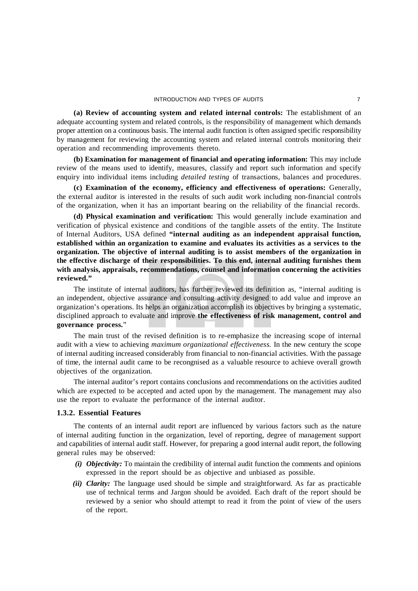**(a) Review of accounting system and related internal controls:** The establishment of an adequate accounting system and related controls, is the responsibility of management which demands proper attention on a continuous basis. The internal audit function is often assigned specific responsibility by management for reviewing the accounting system and related internal controls monitoring their operation and recommending improvements thereto.

**(b) Examination for management of financial and operating information:** This may include review of the means used to identify, measures, classify and report such information and specify enquiry into individual items including *detailed testing* of transactions, balances and procedures.

**(c) Examination of the economy, efficiency and effectiveness of operations:** Generally, the external auditor is interested in the results of such audit work including non-financial controls of the organization, when it has an important bearing on the reliability of the financial records.

**(d) Physical examination and verification:** This would generally include examination and verification of physical existence and conditions of the tangible assets of the entity. The Institute of Internal Auditors, USA defined **"internal auditing as an independent appraisal function, established within an organization to examine and evaluates its activities as a services to the organization. The objective of internal auditing is to assist members of the organization in the effective discharge of their responsibilities. To this end, internal auditing furnishes them with analysis, appraisals, recommendations, counsel and information concerning the activities reviewed."**

The institute of internal auditors, has further reviewed its definition as, "internal auditing is an independent, objective assurance and consulting activity designed to add value and improve an organization's operations. Its helps an organization accomplish its objectives by bringing a systematic, disciplined approach to evaluate and improve **the effectiveness of risk management, control and governance process.**"

The main trust of the revised definition is to re-emphasize the increasing scope of internal audit with a view to achieving *maximum organizational effectiveness.* In the new century the scope of internal auditing increased considerably from financial to non-financial activities. With the passage of time, the internal audit came to be recongnised as a valuable resource to achieve overall growth objectives of the organization.

The internal auditor's report contains conclusions and recommendations on the activities audited which are expected to be accepted and acted upon by the management. The management may also use the report to evaluate the performance of the internal auditor.

#### **1.3.2. Essential Features**

The contents of an internal audit report are influenced by various factors such as the nature of internal auditing function in the organization, level of reporting, degree of management support and capabilities of internal audit staff. However, for preparing a good internal audit report, the following general rules may be observed:

- *(i) Objectivity:* To maintain the credibility of internal audit function the comments and opinions expressed in the report should be as objective and unbiased as possible.
- *(ii) Clarity:* The language used should be simple and straightforward. As far as practicable use of technical terms and Jargon should be avoided. Each draft of the report should be reviewed by a senior who should attempt to read it from the point of view of the users of the report.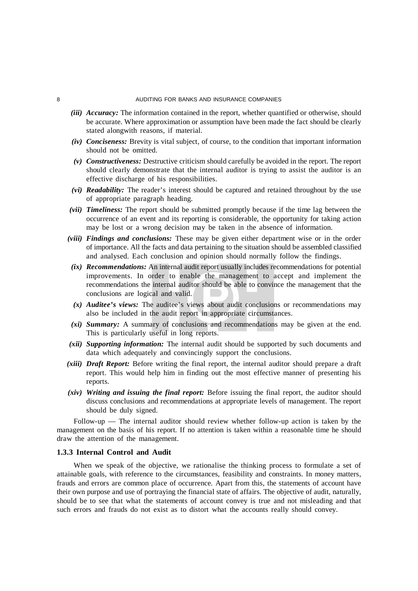- *(iii) Accuracy:* The information contained in the report, whether quantified or otherwise, should be accurate. Where approximation or assumption have been made the fact should be clearly stated alongwith reasons, if material.
- *(iv) Conciseness:* Brevity is vital subject, of course, to the condition that important information should not be omitted.
- *(v) Constructiveness:* Destructive criticism should carefully be avoided in the report. The report should clearly demonstrate that the internal auditor is trying to assist the auditor is an effective discharge of his responsibilities.
- *(vi) Readability:* The reader's interest should be captured and retained throughout by the use of appropriate paragraph heading.
- *(vii) Timeliness:* The report should be submitted promptly because if the time lag between the occurrence of an event and its reporting is considerable, the opportunity for taking action may be lost or a wrong decision may be taken in the absence of information.
- *(viii) Findings and conclusions:* These may be given either department wise or in the order of importance. All the facts and data pertaining to the situation should be assembled classified and analysed. Each conclusion and opinion should normally follow the findings.
- *(ix) Recommendations:* An internal audit report usually includes recommendations for potential improvements. In order to enable the management to accept and implement the recommendations the internal auditor should be able to convince the management that the conclusions are logical and valid.
- *(x) Auditee's views:* The auditee's views about audit conclusions or recommendations may also be included in the audit report in appropriate circumstances.
- *(xi) Summary:* A summary of conclusions and recommendations may be given at the end. This is particularly useful in long reports.
- *(xii) Supporting information:* The internal audit should be supported by such documents and data which adequately and convincingly support the conclusions.
- *(xiii) Draft Report:* Before writing the final report, the internal auditor should prepare a draft report. This would help him in finding out the most effective manner of presenting his reports.
- *(xiv) Writing and issuing the final report:* Before issuing the final report, the auditor should discuss conclusions and recommendations at appropriate levels of management. The report should be duly signed.

Follow-up — The internal auditor should review whether follow-up action is taken by the management on the basis of his report. If no attention is taken within a reasonable time he should draw the attention of the management.

#### **1.3.3 Internal Control and Audit**

When we speak of the objective, we rationalise the thinking process to formulate a set of attainable goals, with reference to the circumstances, feasibility and constraints. In money matters, frauds and errors are common place of occurrence. Apart from this, the statements of account have their own purpose and use of portraying the financial state of affairs. The objective of audit, naturally, should be to see that what the statements of account convey is true and not misleading and that such errors and frauds do not exist as to distort what the accounts really should convey.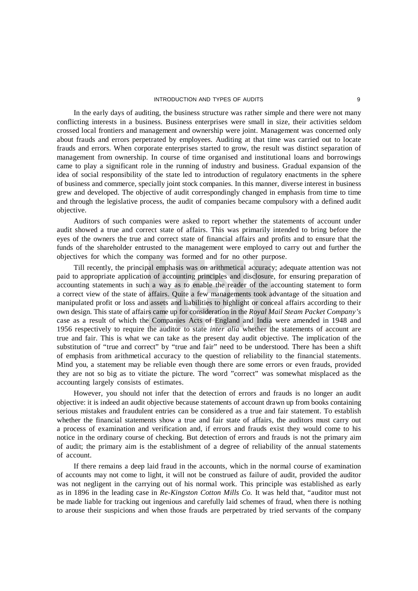#### INTRODUCTION AND TYPES OF AUDITS 9

In the early days of auditing, the business structure was rather simple and there were not many conflicting interests in a business. Business enterprises were small in size, their activities seldom crossed local frontiers and management and ownership were joint. Management was concerned only about frauds and errors perpetrated by employees. Auditing at that time was carried out to locate frauds and errors. When corporate enterprises started to grow, the result was distinct separation of management from ownership. In course of time organised and institutional loans and borrowings came to play a significant role in the running of industry and business. Gradual expansion of the idea of social responsibility of the state led to introduction of regulatory enactments in the sphere of business and commerce, specially joint stock companies. In this manner, diverse interest in business grew and developed. The objective of audit correspondingly changed in emphasis from time to time and through the legislative process, the audit of companies became compulsory with a defined audit objective.

Auditors of such companies were asked to report whether the statements of account under audit showed a true and correct state of affairs. This was primarily intended to bring before the eyes of the owners the true and correct state of financial affairs and profits and to ensure that the funds of the shareholder entrusted to the management were employed to carry out and further the objectives for which the company was formed and for no other purpose.

Till recently, the principal emphasis was on arithmetical accuracy; adequate attention was not paid to appropriate application of accounting principles and disclosure, for ensuring preparation of accounting statements in such a way as to enable the reader of the accounting statement to form a correct view of the state of affairs. Quite a few managements took advantage of the situation and manipulated profit or loss and assets and liabilities to highlight or conceal affairs according to their own design. This state of affairs came up for consideration in the *Royal Mail Steam Packet Company's* case as a result of which the Companies Acts of England and India were amended in 1948 and 1956 respectively to require the auditor to state *inter alia* whether the statements of account are true and fair. This is what we can take as the present day audit objective. The implication of the substitution of "true and correct" by "true and fair" need to be understood. There has been a shift of emphasis from arithmetical accuracy to the question of reliability to the financial statements. Mind you, a statement may be reliable even though there are some errors or even frauds, provided they are not so big as to vitiate the picture. The word "correct" was somewhat misplaced as the accounting largely consists of estimates.

However, you should not infer that the detection of errors and frauds is no longer an audit objective: it is indeed an audit objective because statements of account drawn up from books containing serious mistakes and fraudulent entries can be considered as a true and fair statement. To establish whether the financial statements show a true and fair state of affairs, the auditors must carry out a process of examination and verification and, if errors and frauds exist they would come to his notice in the ordinary course of checking. But detection of errors and frauds is not the primary aim of audit; the primary aim is the establishment of a degree of reliability of the annual statements of account.

If there remains a deep laid fraud in the accounts, which in the normal course of examination of accounts may not come to light, it will not be construed as failure of audit, provided the auditor was not negligent in the carrying out of his normal work. This principle was established as early as in 1896 in the leading case in *Re-Kingston Cotton Mills Co.* It was held that, "auditor must not be made liable for tracking out ingenious and carefully laid schemes of fraud, when there is nothing to arouse their suspicions and when those frauds are perpetrated by tried servants of the company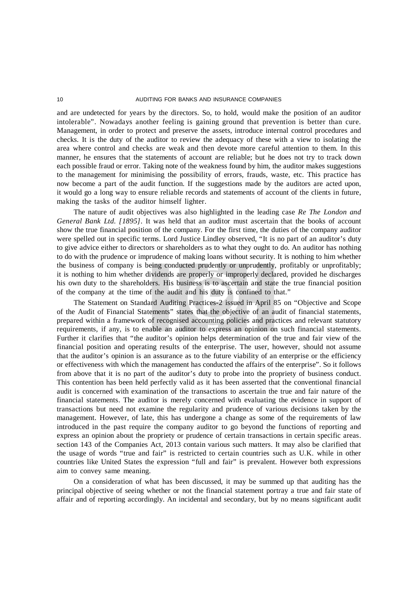and are undetected for years by the directors. So, to hold, would make the position of an auditor intolerable". Nowadays another feeling is gaining ground that prevention is better than cure. Management, in order to protect and preserve the assets, introduce internal control procedures and checks. It is the duty of the auditor to review the adequacy of these with a view to isolating the area where control and checks are weak and then devote more careful attention to them. In this manner, he ensures that the statements of account are reliable; but he does not try to track down each possible fraud or error. Taking note of the weakness found by him, the auditor makes suggestions to the management for minimising the possibility of errors, frauds, waste, etc. This practice has now become a part of the audit function. If the suggestions made by the auditors are acted upon, it would go a long way to ensure reliable records and statements of account of the clients in future, making the tasks of the auditor himself lighter.

The nature of audit objectives was also highlighted in the leading case *Re The London and General Bank Ltd. [1895]*. It was held that an auditor must ascertain that the books of account show the true financial position of the company. For the first time, the duties of the company auditor were spelled out in specific terms. Lord Justice Lindley observed, "It is no part of an auditor's duty to give advice either to directors or shareholders as to what they ought to do. An auditor has nothing to do with the prudence or imprudence of making loans without security. It is nothing to him whether the business of company is being conducted prudently or unprudently, profitably or unprofitably; it is nothing to him whether dividends are properly or improperly declared, provided he discharges his own duty to the shareholders. His business is to ascertain and state the true financial position of the company at the time of the audit and his duty is confined to that."

The Statement on Standard Auditing Practices-2 issued in April 85 on "Objective and Scope of the Audit of Financial Statements" states that the objective of an audit of financial statements, prepared within a framework of recognised accounting policies and practices and relevant statutory requirements, if any, is to enable an auditor to express an opinion on such financial statements. Further it clarifies that "the auditor's opinion helps determination of the true and fair view of the financial position and operating results of the enterprise. The user, however, should not assume that the auditor's opinion is an assurance as to the future viability of an enterprise or the efficiency or effectiveness with which the management has conducted the affairs of the enterprise". So it follows from above that it is no part of the auditor's duty to probe into the propriety of business conduct. This contention has been held perfectly valid as it has been asserted that the conventional financial audit is concerned with examination of the transactions to ascertain the true and fair nature of the financial statements. The auditor is merely concerned with evaluating the evidence in support of transactions but need not examine the regularity and prudence of various decisions taken by the management. However, of late, this has undergone a change as some of the requirements of law introduced in the past require the company auditor to go beyond the functions of reporting and express an opinion about the propriety or prudence of certain transactions in certain specific areas. section 143 of the Companies Act, 2013 contain various such matters. It may also be clarified that the usage of words "true and fair" is restricted to certain countries such as U.K. while in other countries like United States the expression "full and fair" is prevalent. However both expressions aim to convey same meaning.

On a consideration of what has been discussed, it may be summed up that auditing has the principal objective of seeing whether or not the financial statement portray a true and fair state of affair and of reporting accordingly. An incidental and secondary, but by no means significant audit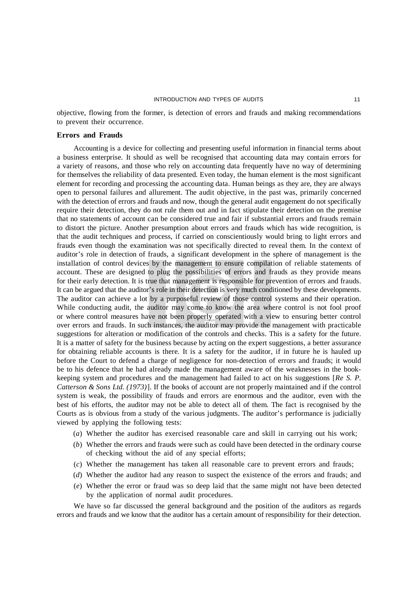objective, flowing from the former, is detection of errors and frauds and making recommendations to prevent their occurrence.

#### **Errors and Frauds**

Accounting is a device for collecting and presenting useful information in financial terms about a business enterprise. It should as well be recognised that accounting data may contain errors for a variety of reasons, and those who rely on accounting data frequently have no way of determining for themselves the reliability of data presented. Even today, the human element is the most significant element for recording and processing the accounting data. Human beings as they are, they are always open to personal failures and allurement. The audit objective, in the past was, primarily concerned with the detection of errors and frauds and now, though the general audit engagement do not specifically require their detection, they do not rule them out and in fact stipulate their detection on the premise that no statements of account can be considered true and fair if substantial errors and frauds remain to distort the picture. Another presumption about errors and frauds which has wide recognition, is that the audit techniques and process, if carried on conscientiously would bring to light errors and frauds even though the examination was not specifically directed to reveal them. In the context of auditor's role in detection of frauds, a significant development in the sphere of management is the installation of control devices by the management to ensure compilation of reliable statements of account. These are designed to plug the possibilities of errors and frauds as they provide means for their early detection. It is true that management is responsible for prevention of errors and frauds. It can be argued that the auditor's role in their detection is very much conditioned by these developments. The auditor can achieve a lot by a purposeful review of those control systems and their operation. While conducting audit, the auditor may come to know the area where control is not fool proof or where control measures have not been properly operated with a view to ensuring better control over errors and frauds. In such instances, the auditor may provide the management with practicable suggestions for alteration or modification of the controls and checks. This is a safety for the future. It is a matter of safety for the business because by acting on the expert suggestions, a better assurance for obtaining reliable accounts is there. It is a safety for the auditor, if in future he is hauled up before the Court to defend a charge of negligence for non-detection of errors and frauds; it would be to his defence that he had already made the management aware of the weaknesses in the bookkeeping system and procedures and the management had failed to act on his suggestions [*Re S. P. Catterson & Sons Ltd. (1973)*]. If the books of account are not properly maintained and if the control system is weak, the possibility of frauds and errors are enormous and the auditor, even with the best of his efforts, the auditor may not be able to detect all of them. The fact is recognised by the Courts as is obvious from a study of the various judgments. The auditor's performance is judicially viewed by applying the following tests:

- (*a*) Whether the auditor has exercised reasonable care and skill in carrying out his work;
- (*b*) Whether the errors and frauds were such as could have been detected in the ordinary course of checking without the aid of any special efforts;
- (*c*) Whether the management has taken all reasonable care to prevent errors and frauds;
- (*d*) Whether the auditor had any reason to suspect the existence of the errors and frauds; and
- (*e*) Whether the error or fraud was so deep laid that the same might not have been detected by the application of normal audit procedures.

We have so far discussed the general background and the position of the auditors as regards errors and frauds and we know that the auditor has a certain amount of responsibility for their detection.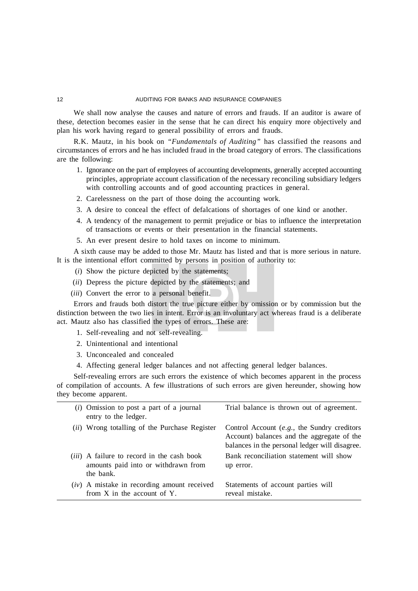We shall now analyse the causes and nature of errors and frauds. If an auditor is aware of these, detection becomes easier in the sense that he can direct his enquiry more objectively and plan his work having regard to general possibility of errors and frauds.

R.K. Mautz, in his book on *"Fundamentals of Auditing"* has classified the reasons and circumstances of errors and he has included fraud in the broad category of errors. The classifications are the following:

- 1. Ignorance on the part of employees of accounting developments, generally accepted accounting principles, appropriate account classification of the necessary reconciling subsidiary ledgers with controlling accounts and of good accounting practices in general.
- 2. Carelessness on the part of those doing the accounting work.
- 3. A desire to conceal the effect of defalcations of shortages of one kind or another.
- 4. A tendency of the management to permit prejudice or bias to influence the interpretation of transactions or events or their presentation in the financial statements.
- 5. An ever present desire to hold taxes on income to minimum.

A sixth cause may be added to those Mr. Mautz has listed and that is more serious in nature. It is the intentional effort committed by persons in position of authority to:

- (*i*) Show the picture depicted by the statements;
- (*ii*) Depress the picture depicted by the statements; and
- (*iii*) Convert the error to a personal benefit.

Errors and frauds both distort the true picture either by omission or by commission but the distinction between the two lies in intent. Error is an involuntary act whereas fraud is a deliberate act. Mautz also has classified the types of errors. These are:

- 1. Self-revealing and not self-revealing.
- 2. Unintentional and intentional
- 3. Unconcealed and concealed
- 4. Affecting general ledger balances and not affecting general ledger balances.

Self-revealing errors are such errors the existence of which becomes apparent in the process of compilation of accounts. A few illustrations of such errors are given hereunder, showing how they become apparent.

| $(i)$ Omission to post a part of a journal<br>entry to the ledger.                                    | Trial balance is thrown out of agreement.                                                                                                         |
|-------------------------------------------------------------------------------------------------------|---------------------------------------------------------------------------------------------------------------------------------------------------|
| (ii) Wrong totalling of the Purchase Register                                                         | Control Account $(e.g., the Sunday\ coefficients$<br>Account) balances and the aggregate of the<br>balances in the personal ledger will disagree. |
| <i>(iii)</i> A failure to record in the cash book<br>amounts paid into or withdrawn from<br>the bank. | Bank reconciliation statement will show<br>up error.                                                                                              |
| $(iv)$ A mistake in recording amount received<br>from $X$ in the account of $Y$ .                     | Statements of account parties will<br>reveal mistake.                                                                                             |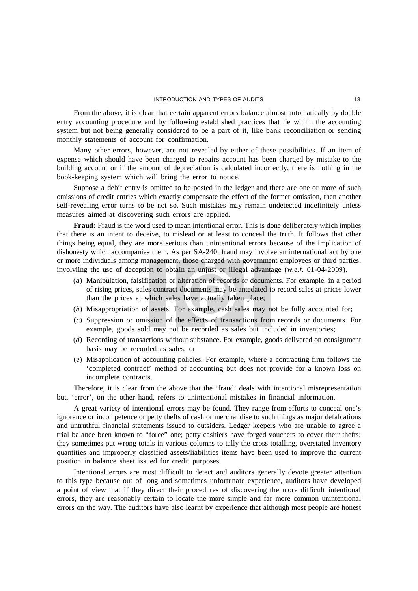From the above, it is clear that certain apparent errors balance almost automatically by double entry accounting procedure and by following established practices that lie within the accounting system but not being generally considered to be a part of it, like bank reconciliation or sending monthly statements of account for confirmation.

Many other errors, however, are not revealed by either of these possibilities. If an item of expense which should have been charged to repairs account has been charged by mistake to the building account or if the amount of depreciation is calculated incorrectly, there is nothing in the book-keeping system which will bring the error to notice.

Suppose a debit entry is omitted to be posted in the ledger and there are one or more of such omissions of credit entries which exactly compensate the effect of the former omission, then another self-revealing error turns to be not so. Such mistakes may remain undetected indefinitely unless measures aimed at discovering such errors are applied.

**Fraud:** Fraud is the word used to mean intentional error. This is done deliberately which implies that there is an intent to deceive, to mislead or at least to conceal the truth. It follows that other things being equal, they are more serious than unintentional errors because of the implication of dishonesty which accompanies them. As per SA-240, fraud may involve an international act by one or more individuals among management, those charged with government employees or third parties, involviing the use of deception to obtain an unjust or illegal advantage (*w.e.f.* 01-04-2009).

- (*a*) Manipulation, falsification or alteration of records or documents. For example, in a period of rising prices, sales contract documents may be antedated to record sales at prices lower than the prices at which sales have actually taken place;
- (*b*) Misappropriation of assets. For example, cash sales may not be fully accounted for;
- (*c*) Suppression or omission of the effects of transactions from records or documents. For example, goods sold may not be recorded as sales but included in inventories;
- (*d*) Recording of transactions without substance. For example, goods delivered on consignment basis may be recorded as sales; or
- (*e*) Misapplication of accounting policies. For example, where a contracting firm follows the 'completed contract' method of accounting but does not provide for a known loss on incomplete contracts.

Therefore, it is clear from the above that the 'fraud' deals with intentional misrepresentation but, 'error', on the other hand, refers to unintentional mistakes in financial information.

A great variety of intentional errors may be found. They range from efforts to conceal one's ignorance or incompetence or petty thefts of cash or merchandise to such things as major defalcations and untruthful financial statements issued to outsiders. Ledger keepers who are unable to agree a trial balance been known to "force" one; petty cashiers have forged vouchers to cover their thefts; they sometimes put wrong totals in various columns to tally the cross totalling, overstated inventory quantities and improperly classified assets/liabilities items have been used to improve the current position in balance sheet issued for credit purposes.

Intentional errors are most difficult to detect and auditors generally devote greater attention to this type because out of long and sometimes unfortunate experience, auditors have developed a point of view that if they direct their procedures of discovering the more difficult intentional errors, they are reasonably certain to locate the more simple and far more common unintentional errors on the way. The auditors have also learnt by experience that although most people are honest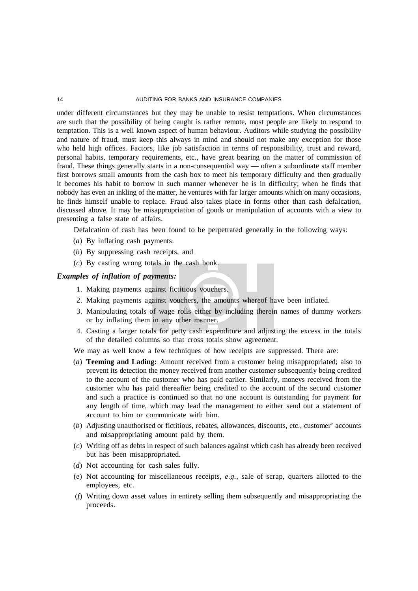under different circumstances but they may be unable to resist temptations. When circumstances are such that the possibility of being caught is rather remote, most people are likely to respond to temptation. This is a well known aspect of human behaviour. Auditors while studying the possibility and nature of fraud, must keep this always in mind and should not make any exception for those who held high offices. Factors, like job satisfaction in terms of responsibility, trust and reward, personal habits, temporary requirements, etc., have great bearing on the matter of commission of fraud. These things generally starts in a non-consequential way — often a subordinate staff member first borrows small amounts from the cash box to meet his temporary difficulty and then gradually it becomes his habit to borrow in such manner whenever he is in difficulty; when he finds that nobody has even an inkling of the matter, he ventures with far larger amounts which on many occasions, he finds himself unable to replace. Fraud also takes place in forms other than cash defalcation, discussed above. It may be misappropriation of goods or manipulation of accounts with a view to presenting a false state of affairs.

Defalcation of cash has been found to be perpetrated generally in the following ways:

- (*a*) By inflating cash payments.
- (*b*) By suppressing cash receipts, and
- (*c*) By casting wrong totals in the cash book.

#### *Examples of inflation of payments:*

- 1. Making payments against fictitious vouchers.
- 2. Making payments against vouchers, the amounts whereof have been inflated.
- 3. Manipulating totals of wage rolls either by including therein names of dummy workers or by inflating them in any other manner.
- 4. Casting a larger totals for petty cash expenditure and adjusting the excess in the totals of the detailed columns so that cross totals show agreement.
- We may as well know a few techniques of how receipts are suppressed. There are:
- (*a*) **Teeming and Lading:** Amount received from a customer being misappropriated; also to prevent its detection the money received from another customer subsequently being credited to the account of the customer who has paid earlier. Similarly, moneys received from the customer who has paid thereafter being credited to the account of the second customer and such a practice is continued so that no one account is outstanding for payment for any length of time, which may lead the management to either send out a statement of account to him or communicate with him.
- (*b*) Adjusting unauthorised or fictitious, rebates, allowances, discounts, etc., customer' accounts and misappropriating amount paid by them.
- (*c*) Writing off as debts in respect of such balances against which cash has already been received but has been misappropriated.
- (*d*) Not accounting for cash sales fully.
- (*e*) Not accounting for miscellaneous receipts, *e.g.,* sale of scrap, quarters allotted to the employees, etc.
- (*f*) Writing down asset values in entirety selling them subsequently and misappropriating the proceeds.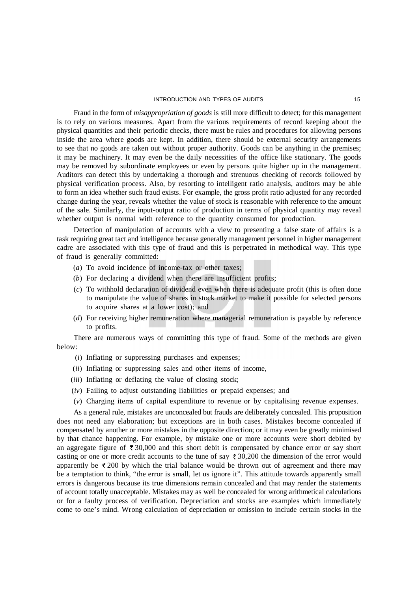#### INTRODUCTION AND TYPES OF AUDITS 15

Fraud in the form of *misappropriation of goods* is still more difficult to detect; for this management is to rely on various measures. Apart from the various requirements of record keeping about the physical quantities and their periodic checks, there must be rules and procedures for allowing persons inside the area where goods are kept. In addition, there should be external security arrangements to see that no goods are taken out without proper authority. Goods can be anything in the premises; it may be machinery. It may even be the daily necessities of the office like stationary. The goods may be removed by subordinate employees or even by persons quite higher up in the management. Auditors can detect this by undertaking a thorough and strenuous checking of records followed by physical verification process. Also, by resorting to intelligent ratio analysis, auditors may be able to form an idea whether such fraud exists. For example, the gross profit ratio adjusted for any recorded change during the year, reveals whether the value of stock is reasonable with reference to the amount of the sale. Similarly, the input-output ratio of production in terms of physical quantity may reveal whether output is normal with reference to the quantity consumed for production.

Detection of manipulation of accounts with a view to presenting a false state of affairs is a task requiring great tact and intelligence because generally management personnel in higher management cadre are associated with this type of fraud and this is perpetrated in methodical way. This type of fraud is generally committed:

- (*a*) To avoid incidence of income-tax or other taxes;
- (*b*) For declaring a dividend when there are insufficient profits;
- (*c*) To withhold declaration of dividend even when there is adequate profit (this is often done to manipulate the value of shares in stock market to make it possible for selected persons to acquire shares at a lower cost); and
- (*d*) For receiving higher remuneration where managerial remuneration is payable by reference to profits.

There are numerous ways of committing this type of fraud. Some of the methods are given below:

- (*i*) Inflating or suppressing purchases and expenses;
- (*ii*) Inflating or suppressing sales and other items of income,
- (*iii*) Inflating or deflating the value of closing stock;
- (*iv*) Failing to adjust outstanding liabilities or prepaid expenses; and
- (*v*) Charging items of capital expenditure to revenue or by capitalising revenue expenses.

As a general rule, mistakes are unconcealed but frauds are deliberately concealed. This proposition does not need any elaboration; but exceptions are in both cases. Mistakes become concealed if compensated by another or more mistakes in the opposite direction; or it may even be greatly minimised by that chance happening. For example, by mistake one or more accounts were short debited by an aggregate figure of  $\bar{\tau}$  30,000 and this short debit is compensated by chance error or say short casting or one or more credit accounts to the tune of say  $\overline{\xi}$  30,200 the dimension of the error would apparently be  $\overline{\xi}$  200 by which the trial balance would be thrown out of agreement and there may be a temptation to think, "the error is small, let us ignore it". This attitude towards apparently small errors is dangerous because its true dimensions remain concealed and that may render the statements of account totally unacceptable. Mistakes may as well be concealed for wrong arithmetical calculations or for a faulty process of verification. Depreciation and stocks are examples which immediately come to one's mind. Wrong calculation of depreciation or omission to include certain stocks in the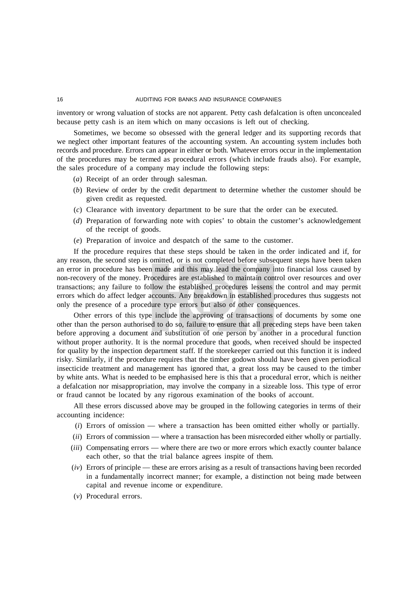inventory or wrong valuation of stocks are not apparent. Petty cash defalcation is often unconcealed because petty cash is an item which on many occasions is left out of checking.

Sometimes, we become so obsessed with the general ledger and its supporting records that we neglect other important features of the accounting system. An accounting system includes both records and procedure. Errors can appear in either or both. Whatever errors occur in the implementation of the procedures may be termed as procedural errors (which include frauds also). For example, the sales procedure of a company may include the following steps:

- (*a*) Receipt of an order through salesman.
- (*b*) Review of order by the credit department to determine whether the customer should be given credit as requested.
- (*c*) Clearance with inventory department to be sure that the order can be executed.
- (*d*) Preparation of forwarding note with copies' to obtain the customer's acknowledgement of the receipt of goods.
- (*e*) Preparation of invoice and despatch of the same to the customer.

If the procedure requires that these steps should be taken in the order indicated and if, for any reason, the second step is omitted, or is not completed before subsequent steps have been taken an error in procedure has been made and this may lead the company into financial loss caused by non-recovery of the money. Procedures are established to maintain control over resources and over transactions; any failure to follow the established procedures lessens the control and may permit errors which do affect ledger accounts. Any breakdown in established procedures thus suggests not only the presence of a procedure type errors but also of other consequences.

Other errors of this type include the approving of transactions of documents by some one other than the person authorised to do so, failure to ensure that all preceding steps have been taken before approving a document and substitution of one person by another in a procedural function without proper authority. It is the normal procedure that goods, when received should be inspected for quality by the inspection department staff. If the storekeeper carried out this function it is indeed risky. Similarly, if the procedure requires that the timber godown should have been given periodical insecticide treatment and management has ignored that, a great loss may be caused to the timber by white ants. What is needed to be emphasised here is this that a procedural error, which is neither a defalcation nor misappropriation, may involve the company in a sizeable loss. This type of error or fraud cannot be located by any rigorous examination of the books of account.

All these errors discussed above may be grouped in the following categories in terms of their accounting incidence:

- (*i*) Errors of omission where a transaction has been omitted either wholly or partially.
- (*ii*) Errors of commission where a transaction has been misrecorded either wholly or partially.
- (*iii*) Compensating errors where there are two or more errors which exactly counter balance each other, so that the trial balance agrees inspite of them.
- (*iv*) Errors of principle these are errors arising as a result of transactions having been recorded in a fundamentally incorrect manner; for example, a distinction not being made between capital and revenue income or expenditure.
- (*v*) Procedural errors.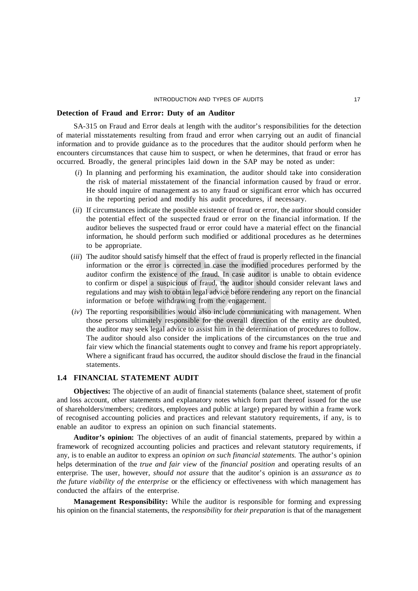#### **Detection of Fraud and Error: Duty of an Auditor**

SA-315 on Fraud and Error deals at length with the auditor's responsibilities for the detection of material misstatements resulting from fraud and error when carrying out an audit of financial information and to provide guidance as to the procedures that the auditor should perform when he encounters circumstances that cause him to suspect, or when he determines, that fraud or error has occurred. Broadly, the general principles laid down in the SAP may be noted as under:

- (*i*) In planning and performing his examination, the auditor should take into consideration the risk of material misstatement of the financial information caused by fraud or error. He should inquire of management as to any fraud or significant error which has occurred in the reporting period and modify his audit procedures, if necessary.
- (*ii*) If circumstances indicate the possible existence of fraud or error, the auditor should consider the potential effect of the suspected fraud or error on the financial information. If the auditor believes the suspected fraud or error could have a material effect on the financial information, he should perform such modified or additional procedures as he determines to be appropriate.
- (*iii*) The auditor should satisfy himself that the effect of fraud is properly reflected in the financial information or the error is corrected in case the modified procedures performed by the auditor confirm the existence of the fraud. In case auditor is unable to obtain evidence to confirm or dispel a suspicious of fraud, the auditor should consider relevant laws and regulations and may wish to obtain legal advice before rendering any report on the financial information or before withdrawing from the engagement.
- (*iv*) The reporting responsibilities would also include communicating with management. When those persons ultimately responsible for the overall direction of the entity are doubted, the auditor may seek legal advice to assist him in the determination of procedures to follow. The auditor should also consider the implications of the circumstances on the true and fair view which the financial statements ought to convey and frame his report appropriately. Where a significant fraud has occurred, the auditor should disclose the fraud in the financial statements.

#### **1.4 FINANCIAL STATEMENT AUDIT**

**Objectives:** The objective of an audit of financial statements (balance sheet, statement of profit and loss account, other statements and explanatory notes which form part thereof issued for the use of shareholders/members; creditors, employees and public at large) prepared by within a frame work of recognised accounting policies and practices and relevant statutory requirements, if any, is to enable an auditor to express an opinion on such financial statements.

**Auditor's opinion:** The objectives of an audit of financial statements, prepared by within a framework of recognized accounting policies and practices and relevant statutory requirements, if any, is to enable an auditor to express an *opinion on such financial statements.* The author's opinion helps determination of the *true and fair view* of the *financial position* and operating results of an enterprise. The user, however, *should not assure* that the auditor's opinion is an *assurance as to the future viability of the enterprise* or the efficiency or effectiveness with which management has conducted the affairs of the enterprise.

**Management Responsibility:** While the auditor is responsible for forming and expressing his opinion on the financial statements, the *responsibility* for *their preparation* is that of the management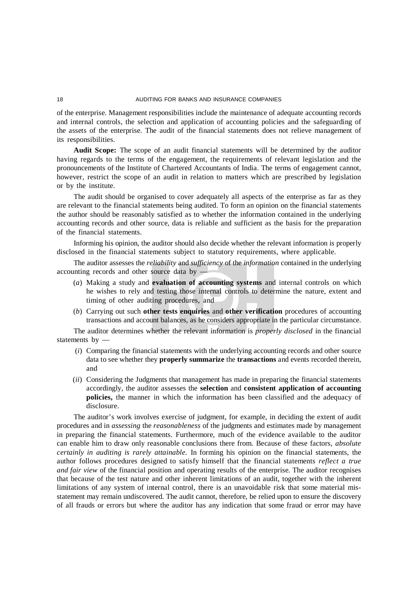of the enterprise. Management responsibilities include the maintenance of adequate accounting records and internal controls, the selection and application of accounting policies and the safeguarding of the assets of the enterprise. The audit of the financial statements does not relieve management of its responsibilities.

**Audit Scope:** The scope of an audit financial statements will be determined by the auditor having regards to the terms of the engagement, the requirements of relevant legislation and the pronouncements of the Institute of Chartered Accountants of India. The terms of engagement cannot, however, restrict the scope of an audit in relation to matters which are prescribed by legislation or by the institute.

The audit should be organised to cover adequately all aspects of the enterprise as far as they are relevant to the financial statements being audited. To form an opinion on the financial statements the author should be reasonably satisfied as to whether the information contained in the underlying accounting records and other source, data is reliable and sufficient as the basis for the preparation of the financial statements.

Informing his opinion, the auditor should also decide whether the relevant information is properly disclosed in the financial statements subject to statutory requirements, where applicable.

The auditor assesses the *reliability* and *sufficiency* of the *information* contained in the underlying accounting records and other source data by —

- (*a*) Making a study and **evaluation of accounting systems** and internal controls on which he wishes to rely and testing those internal controls to determine the nature, extent and timing of other auditing procedures, and
- (*b*) Carrying out such **other tests enquiries** and **other verification** procedures of accounting transactions and account balances, as he considers appropriate in the particular circumstance.

The auditor determines whether the relevant information is *properly disclosed* in the financial statements by —

- (*i*) Comparing the financial statements with the underlying accounting records and other source data to see whether they **properly summarize** the **transactions** and events recorded therein, and
- (*ii*) Considering the Judgments that management has made in preparing the financial statements accordingly, the auditor assesses the **selection** and **consistent application of accounting policies,** the manner in which the information has been classified and the adequacy of disclosure.

The auditor's work involves exercise of judgment, for example, in deciding the extent of audit procedures and in *assessing* the *reasonableness* of the judgments and estimates made by management in preparing the financial statements. Furthermore, much of the evidence available to the auditor can enable him to draw only reasonable conclusions there from. Because of these factors, *absolute certainly in auditing is rarely attainable.* In forming his opinion on the financial statements, the author follows procedures designed to satisfy himself that the financial statements *reflect a true and fair view* of the financial position and operating results of the enterprise. The auditor recognises that because of the test nature and other inherent limitations of an audit, together with the inherent limitations of any system of internal control, there is an unavoidable risk that some material misstatement may remain undiscovered. The audit cannot, therefore, be relied upon to ensure the discovery of all frauds or errors but where the auditor has any indication that some fraud or error may have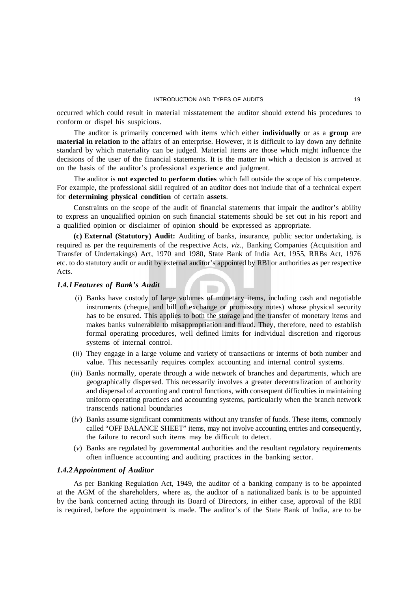occurred which could result in material misstatement the auditor should extend his procedures to conform or dispel his suspicious.

The auditor is primarily concerned with items which either **individually** or as a **group** are **material in relation** to the affairs of an enterprise. However, it is difficult to lay down any definite standard by which materiality can be judged. Material items are those which might influence the decisions of the user of the financial statements. It is the matter in which a decision is arrived at on the basis of the auditor's professional experience and judgment.

The auditor is **not expected** to **perform duties** which fall outside the scope of his competence. For example, the professional skill required of an auditor does not include that of a technical expert for **determining physical condition** of certain **assets**.

Constraints on the scope of the audit of financial statements that impair the auditor's ability to express an unqualified opinion on such financial statements should be set out in his report and a qualified opinion or disclaimer of opinion should be expressed as appropriate.

**(c) External (Statutory) Audit:** Auditing of banks, insurance, public sector undertaking, is required as per the requirements of the respective Acts, *viz.,* Banking Companies (Acquisition and Transfer of Undertakings) Act, 1970 and 1980, State Bank of India Act, 1955, RRBs Act, 1976 etc. to do statutory audit or audit by external auditor's appointed by RBI or authorities as per respective Acts.

#### *1.4.1Features of Bank's Audit*

- (*i*) Banks have custody of large volumes of monetary items, including cash and negotiable instruments (cheque, and bill of exchange or promissory notes) whose physical security has to be ensured. This applies to both the storage and the transfer of monetary items and makes banks vulnerable to misappropriation and fraud. They, therefore, need to establish formal operating procedures, well defined limits for individual discretion and rigorous systems of internal control.
- (*ii*) They engage in a large volume and variety of transactions or interms of both number and value. This necessarily requires complex accounting and internal control systems.
- (*iii*) Banks normally, operate through a wide network of branches and departments, which are geographically dispersed. This necessarily involves a greater decentralization of authority and dispersal of accounting and control functions, with consequent difficulties in maintaining uniform operating practices and accounting systems, particularly when the branch network transcends national boundaries
- (*iv*) Banks assume significant commitments without any transfer of funds. These items, commonly called "OFF BALANCE SHEET" items, may not involve accounting entries and consequently, the failure to record such items may be difficult to detect.
- (*v*) Banks are regulated by governmental authorities and the resultant regulatory requirements often influence accounting and auditing practices in the banking sector.

#### *1.4.2Appointment of Auditor*

As per Banking Regulation Act, 1949, the auditor of a banking company is to be appointed at the AGM of the shareholders, where as, the auditor of a nationalized bank is to be appointed by the bank concerned acting through its Board of Directors, in either case, approval of the RBI is required, before the appointment is made. The auditor's of the State Bank of India, are to be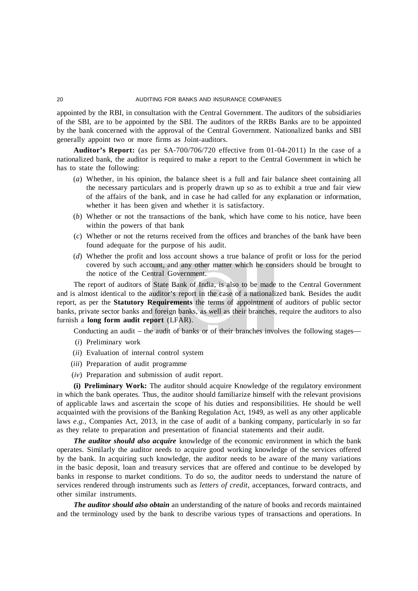appointed by the RBI, in consultation with the Central Government. The auditors of the subsidiaries of the SBI, are to be appointed by the SBI. The auditors of the RRBs Banks are to be appointed by the bank concerned with the approval of the Central Government. Nationalized banks and SBI generally appoint two or more firms as Joint-auditors.

**Auditor's Report:** (as per SA-700/706/720 effective from 01-04-2011) In the case of a nationalized bank, the auditor is required to make a report to the Central Government in which he has to state the following:

- (*a*) Whether, in his opinion, the balance sheet is a full and fair balance sheet containing all the necessary particulars and is properly drawn up so as to exhibit a true and fair view of the affairs of the bank, and in case he had called for any explanation or information, whether it has been given and whether it is satisfactory.
- (*b*) Whether or not the transactions of the bank, which have come to his notice, have been within the powers of that bank
- (*c*) Whether or not the returns received from the offices and branches of the bank have been found adequate for the purpose of his audit.
- (*d*) Whether the profit and loss account shows a true balance of profit or loss for the period covered by such account, and any other matter which he considers should be brought to the notice of the Central Government.

The report of auditors of State Bank of India, is also to be made to the Central Government and is almost identical to the auditor's report in the case of a nationalized bank. Besides the audit report, as per the **Statutory Requirements** the terms of appointment of auditors of public sector banks, private sector banks and foreign banks, as well as their branches, require the auditors to also furnish a **long form audit report** (LFAR).

Conducting an audit – the audit of banks or of their branches involves the following stages—

- (*i*) Preliminary work
- (*ii*) Evaluation of internal control system
- (*iii*) Preparation of audit programme
- (*iv*) Preparation and submission of audit report.

**(i) Preliminary Work:** The auditor should acquire Knowledge of the regulatory environment in which the bank operates. Thus, the auditor should familiarize himself with the relevant provisions of applicable laws and ascertain the scope of his duties and responsibilities. He should be well acquainted with the provisions of the Banking Regulation Act, 1949, as well as any other applicable laws *e.g.,* Companies Act, 2013, in the case of audit of a banking company, particularly in so far as they relate to preparation and presentation of financial statements and their audit.

*The auditor should also acquire* knowledge of the economic environment in which the bank operates. Similarly the auditor needs to acquire good working knowledge of the services offered by the bank. In acquiring such knowledge, the auditor needs to be aware of the many variations in the basic deposit, loan and treasury services that are offered and continue to be developed by banks in response to market conditions. To do so, the auditor needs to understand the nature of services rendered through instruments such as *letters of credit*, acceptances, forward contracts, and other similar instruments.

*The auditor should also obtain* an understanding of the nature of books and records maintained and the terminology used by the bank to describe various types of transactions and operations. In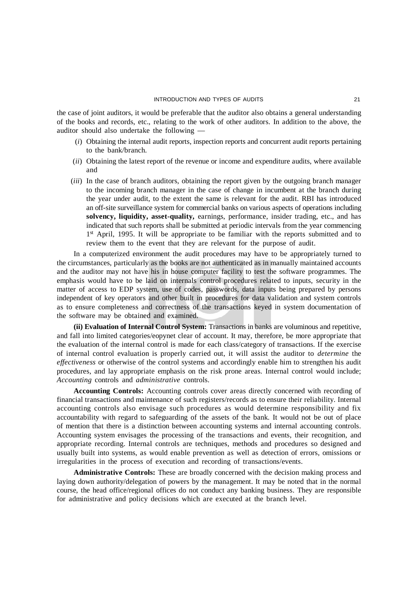the case of joint auditors, it would be preferable that the auditor also obtains a general understanding of the books and records, etc., relating to the work of other auditors. In addition to the above, the auditor should also undertake the following —

- (*i*) Obtaining the internal audit reports, inspection reports and concurrent audit reports pertaining to the bank/branch.
- (*ii*) Obtaining the latest report of the revenue or income and expenditure audits, where available and
- (*iii*) In the case of branch auditors, obtaining the report given by the outgoing branch manager to the incoming branch manager in the case of change in incumbent at the branch during the year under audit, to the extent the same is relevant for the audit. RBI has introduced an off-site surveillance system for commercial banks on various aspects of operations including **solvency, liquidity, asset-quality,** earnings, performance, insider trading, etc., and has indicated that such reports shall be submitted at periodic intervals from the year commencing 1<sup>st</sup> April, 1995. It will be appropriate to be familiar with the reports submitted and to review them to the event that they are relevant for the purpose of audit.

In a computerized environment the audit procedures may have to be appropriately turned to the circumstances, particularly as the books are not authenticated as in manually maintained accounts and the auditor may not have his in house computer facility to test the software programmes. The emphasis would have to be laid on internals control procedures related to inputs, security in the matter of access to EDP system, use of codes, passwords, data inputs being prepared by persons independent of key operators and other built in procedures for data validation and system controls as to ensure completeness and correctness of the transactions keyed in system documentation of the software may be obtained and examined.

**(ii) Evaluation of Internal Control System:** Transactions in banks are voluminous and repetitive, and fall into limited categories/eopynet clear of account. It may, therefore, be more appropriate that the evaluation of the internal control is made for each class/category of transactions. If the exercise of internal control evaluation is properly carried out, it will assist the auditor to *determine* the *effectiveness* or otherwise of the control systems and accordingly enable him to strengthen his audit procedures, and lay appropriate emphasis on the risk prone areas. Internal control would include; *Accounting* controls and *administrative* controls.

**Accounting Controls:** Accounting controls cover areas directly concerned with recording of financial transactions and maintenance of such registers/records as to ensure their reliability. Internal accounting controls also envisage such procedures as would determine responsibility and fix accountability with regard to safeguarding of the assets of the bank. It would not be out of place of mention that there is a distinction between accounting systems and internal accounting controls. Accounting system envisages the processing of the transactions and events, their recognition, and appropriate recording. Internal controls are techniques, methods and procedures so designed and usually built into systems, as would enable prevention as well as detection of errors, omissions or irregularities in the process of execution and recording of transactions/events.

**Administrative Controls:** These are broadly concerned with the decision making process and laying down authority/delegation of powers by the management. It may be noted that in the normal course, the head office/regional offices do not conduct any banking business. They are responsible for administrative and policy decisions which are executed at the branch level.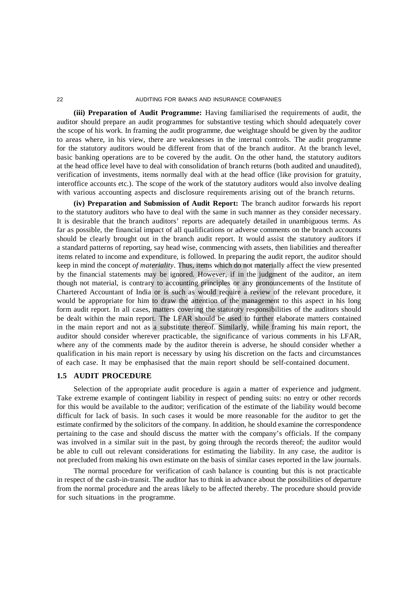**(iii) Preparation of Audit Programme:** Having familiarised the requirements of audit, the auditor should prepare an audit programmes for substantive testing which should adequately cover the scope of his work. In framing the audit programme, due weightage should be given by the auditor to areas where, in his view, there are weaknesses in the internal controls. The audit programme for the statutory auditors would be different from that of the branch auditor. At the branch level, basic banking operations are to be covered by the audit. On the other hand, the statutory auditors at the head office level have to deal with consolidation of branch returns (both audited and unaudited), verification of investments, items normally deal with at the head office (like provision for gratuity, interoffice accounts etc.). The scope of the work of the statutory auditors would also involve dealing with various accounting aspects and disclosure requirements arising out of the branch returns.

**(iv) Preparation and Submission of Audit Report:** The branch auditor forwards his report to the statutory auditors who have to deal with the same in such manner as they consider necessary. It is desirable that the branch auditors' reports are adequately detailed in unambiguous terms. As far as possible, the financial impact of all qualifications or adverse comments on the branch accounts should be clearly brought out in the branch audit report. It would assist the statutory auditors if a standard patterns of reporting, say head wise, commencing with assets, then liabilities and thereafter items related to income and expenditure, is followed. In preparing the audit report, the auditor should keep in mind the concept *of materiality*. Thus, items which do not materially affect the view presented by the financial statements may be ignored. However, if in the judgment of the auditor, an item though not material, is contrary to accounting principles or any pronouncements of the Institute of Chartered Accountant of India or is such as would require a review of the relevant procedure, it would be appropriate for him to draw the attention of the management to this aspect in his long form audit report. In all cases, matters covering the statutory responsibilities of the auditors should be dealt within the main report. The LFAR should be used to further elaborate matters contained in the main report and not as a substitute thereof. Similarly, while framing his main report, the auditor should consider wherever practicable, the significance of various comments in his LFAR, where any of the comments made by the auditor therein is adverse, he should consider whether a qualification in his main report is necessary by using his discretion on the facts and circumstances of each case. It may be emphasised that the main report should be self-contained document.

#### **1.5 AUDIT PROCEDURE**

Selection of the appropriate audit procedure is again a matter of experience and judgment. Take extreme example of contingent liability in respect of pending suits: no entry or other records for this would be available to the auditor; verification of the estimate of the liability would become difficult for lack of basis. In such cases it would be more reasonable for the auditor to get the estimate confirmed by the solicitors of the company. In addition, he should examine the correspondence pertaining to the case and should discuss the matter with the company's officials. If the company was involved in a similar suit in the past, by going through the records thereof; the auditor would be able to cull out relevant considerations for estimating the liability. In any case, the auditor is not precluded from making his own estimate on the basis of similar cases reported in the law journals.

The normal procedure for verification of cash balance is counting but this is not practicable in respect of the cash-in-transit. The auditor has to think in advance about the possibilities of departure from the normal procedure and the areas likely to be affected thereby. The procedure should provide for such situations in the programme.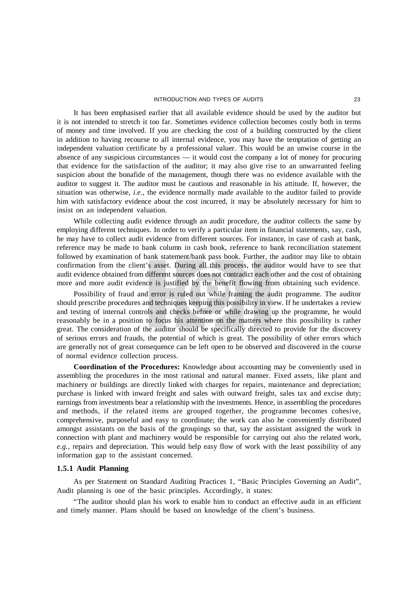#### INTRODUCTION AND TYPES OF AUDITS 23

It has been emphasised earlier that all available evidence should be used by the auditor but it is not intended to stretch it too far. Sometimes evidence collection becomes costly both in terms of money and time involved. If you are checking the cost of a building constructed by the client in addition to having recourse to all internal evidence, you may have the temptation of getting an independent valuation certificate by a professional valuer. This would be an unwise course in the absence of any suspicious circumstances — it would cost the company a lot of money for procuring that evidence for the satisfaction of the auditor; it may also give rise to an unwarranted feeling suspicion about the bonafide of the management, though there was no evidence available with the auditor to suggest it. The auditor must be cautious and reasonable in his attitude. If, however, the situation was otherwise, *i.e.,* the evidence normally made available to the auditor failed to provide him with satisfactory evidence about the cost incurred, it may be absolutely necessary for him to insist on an independent valuation.

While collecting audit evidence through an audit procedure, the auditor collects the same by employing different techniques. In order to verify a particular item in financial statements, say, cash, he may have to collect audit evidence from different sources. For instance, in case of cash at bank, reference may be made to bank column in cash book, reference to bank reconciliation statement followed by examination of bank statement/bank pass book. Further, the auditor may like to obtain confirmation from the client's asset. During all this process, the auditor would have to see that audit evidence obtained from different sources does not contradict each other and the cost of obtaining more and more audit evidence is justified by the benefit flowing from obtaining such evidence.

Possibility of fraud and error is ruled out while framing the audit programme. The auditor should prescribe procedures and techniques keeping this possibility in view. If he undertakes a review and testing of internal controls and checks before or while drawing up the programme, he would reasonably be in a position to focus his attention on the matters where this possibility is rather great. The consideration of the auditor should be specifically directed to provide for the discovery of serious errors and frauds, the potential of which is great. The possibility of other errors which are generally not of great consequence can be left open to be observed and discovered in the course of normal evidence collection process.

**Coordination of the Procedures:** Knowledge about accounting may be conveniently used in assembling the procedures in the most rational and natural manner. Fixed assets, like plant and machinery or buildings are directly linked with charges for repairs, maintenance and depreciation; purchase is linked with inward freight and sales with outward freight, sales tax and excise duty; earnings from investments bear a relationship with the investments. Hence, in assembling the procedures and methods, if the related items are grouped together, the programme becomes cohesive, comprehensive, purposeful and easy to coordinate; the work can also he conveniently distributed amongst assistants on the basis of the groupings so that, say the assistant assigned the work in connection with plant and machinery would be responsible for carrying out also the related work, *e.g.,* repairs and depreciation. This would help easy flow of work with the least possibility of any information gap to the assistant concerned.

#### **1.5.1 Audit Planning**

As per Statement on Standard Auditing Practices 1, "Basic Principles Governing an Audit", Audit planning is one of the basic principles. Accordingly, it states:

"The auditor should plan his work to enable him to conduct an effective audit in an efficient and timely manner. Plans should be based on knowledge of the client's business.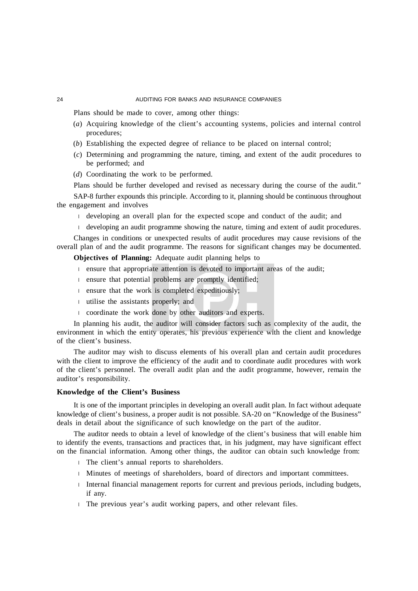Plans should be made to cover, among other things:

- (*a*) Acquiring knowledge of the client's accounting systems, policies and internal control procedures;
- (*b*) Establishing the expected degree of reliance to be placed on internal control;
- (*c*) Determining and programming the nature, timing, and extent of the audit procedures to be performed; and
- (*d*) Coordinating the work to be performed.

Plans should be further developed and revised as necessary during the course of the audit." SAP-8 further expounds this principle. According to it, planning should be continuous throughout the engagement and involves

- developing an overall plan for the expected scope and conduct of the audit; and
- developing an audit programme showing the nature, timing and extent of audit procedures.

Changes in conditions or unexpected results of audit procedures may cause revisions of the overall plan of and the audit programme. The reasons for significant changes may be documented.

**Objectives of Planning:** Adequate audit planning helps to

- ensure that appropriate attention is devoted to important areas of the audit;
- ensure that potential problems are promptly identified;
- ensure that the work is completed expeditiously;
- utilise the assistants properly; and
- coordinate the work done by other auditors and experts.

In planning his audit, the auditor will consider factors such as complexity of the audit, the environment in which the entity operates, his previous experience with the client and knowledge of the client's business.

The auditor may wish to discuss elements of his overall plan and certain audit procedures with the client to improve the efficiency of the audit and to coordinate audit procedures with work of the client's personnel. The overall audit plan and the audit programme, however, remain the auditor's responsibility.

#### **Knowledge of the Client's Business**

It is one of the important principles in developing an overall audit plan. In fact without adequate knowledge of client's business, a proper audit is not possible. SA-20 on "Knowledge of the Business" deals in detail about the significance of such knowledge on the part of the auditor.

The auditor needs to obtain a level of knowledge of the client's business that will enable him to identify the events, transactions and practices that, in his judgment, may have significant effect on the financial information. Among other things, the auditor can obtain such knowledge from:

- The client's annual reports to shareholders.
- Minutes of meetings of shareholders, board of directors and important committees.
- Internal financial management reports for current and previous periods, including budgets, if any.
- The previous year's audit working papers, and other relevant files.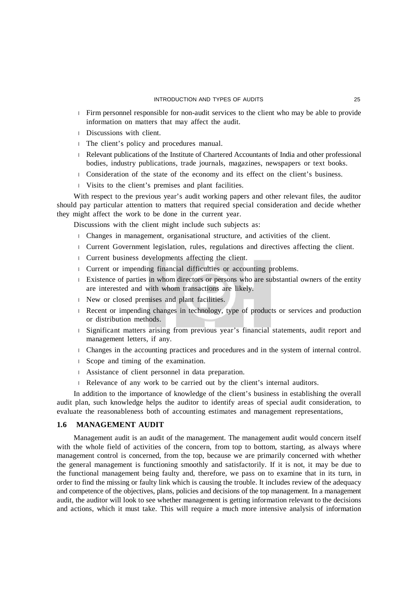- Firm personnel responsible for non-audit services to the client who may be able to provide information on matters that may affect the audit.
- Discussions with client.
- The client's policy and procedures manual.
- Relevant publications of the Institute of Chartered Accountants of India and other professional bodies, industry publications, trade journals, magazines, newspapers or text books.
- Consideration of the state of the economy and its effect on the client's business.
- Visits to the client's premises and plant facilities.

With respect to the previous year's audit working papers and other relevant files, the auditor should pay particular attention to matters that required special consideration and decide whether they might affect the work to be done in the current year.

Discussions with the client might include such subjects as:

- Changes in management, organisational structure, and activities of the client.
- Current Government legislation, rules, regulations and directives affecting the client.
- Current business developments affecting the client.
- Current or impending financial difficulties or accounting problems.
- Existence of parties in whom directors or persons who are substantial owners of the entity are interested and with whom transactions are likely.
- New or closed premises and plant facilities.
- Recent or impending changes in technology, type of products or services and production or distribution methods.
- Significant matters arising from previous year's financial statements, audit report and management letters, if any.
- Changes in the accounting practices and procedures and in the system of internal control.
- Scope and timing of the examination.
- Assistance of client personnel in data preparation.
- Relevance of any work to be carried out by the client's internal auditors.

In addition to the importance of knowledge of the client's business in establishing the overall audit plan, such knowledge helps the auditor to identify areas of special audit consideration, to evaluate the reasonableness both of accounting estimates and management representations,

#### **1.6 MANAGEMENT AUDIT**

Management audit is an audit of the management. The management audit would concern itself with the whole field of activities of the concern, from top to bottom, starting, as always where management control is concerned, from the top, because we are primarily concerned with whether the general management is functioning smoothly and satisfactorily. If it is not, it may be due to the functional management being faulty and, therefore, we pass on to examine that in its turn, in order to find the missing or faulty link which is causing the trouble. It includes review of the adequacy and competence of the objectives, plans, policies and decisions of the top management. In a management audit, the auditor will look to see whether management is getting information relevant to the decisions and actions, which it must take. This will require a much more intensive analysis of information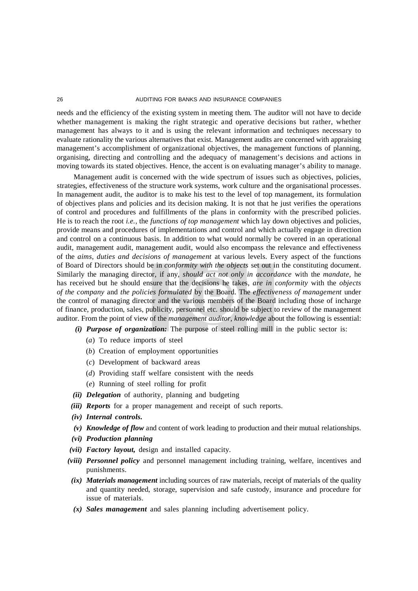needs and the efficiency of the existing system in meeting them. The auditor will not have to decide whether management is making the right strategic and operative decisions but rather, whether management has always to it and is using the relevant information and techniques necessary to evaluate rationality the various alternatives that exist. Management audits are concerned with appraising management's accomplishment of organizational objectives, the management functions of planning, organising, directing and controlling and the adequacy of management's decisions and actions in moving towards its stated objectives. Hence, the accent is on evaluating manager's ability to manage.

Management audit is concerned with the wide spectrum of issues such as objectives, policies, strategies, effectiveness of the structure work systems, work culture and the organisational processes. In management audit, the auditor is to make his test to the level of top management, its formulation of objectives plans and policies and its decision making. It is not that he just verifies the operations of control and procedures and fulfillments of the plans in conformity with the prescribed policies. He is to reach the root *i.e.,* the *functions of top management* which lay down objectives and policies, provide means and procedures of implementations and control and which actually engage in direction and control on a continuous basis. In addition to what would normally be covered in an operational audit, management audit, management audit, would also encompass the relevance and effectiveness of the *aims, duties and decisions of management* at various levels. Every aspect of the functions of Board of Directors should be in *conformity with the objects* set out in the constituting document. Similarly the managing director, if any, *should act not only in accordance* with the *mandate,* he has received but he should ensure that the decisions he takes, *are in conformity* with the *objects of the company* and *the policies formulated* by the Board. The *effectiveness of management* under the control of managing director and the various members of the Board including those of incharge of finance, production, sales, publicity, personnel etc. should be subject to review of the management auditor. From the point of view of the *management auditor, knowledge* about the following is essential:

- *(i) Purpose of organization:* The purpose of steel rolling mill in the public sector is:
	- (*a*) To reduce imports of steel
	- (*b*) Creation of employment opportunities
	- (*c*) Development of backward areas
	- (*d*) Providing staff welfare consistent with the needs
	- (*e*) Running of steel rolling for profit
- *(ii) Delegation* of authority, planning and budgeting
- *(iii) Reports* for a proper management and receipt of such reports.
- *(iv) Internal controls.*
- *(v) Knowledge of flow* and content of work leading to production and their mutual relationships.
- *(vi) Production planning*
- *(vii) Factory layout,* design and installed capacity.
- *(viii) Personnel policy* and personnel management including training, welfare, incentives and punishments.
- *(ix) Materials management* including sources of raw materials, receipt of materials of the quality and quantity needed, storage, supervision and safe custody, insurance and procedure for issue of materials.
- *(x) Sales management* and sales planning including advertisement policy.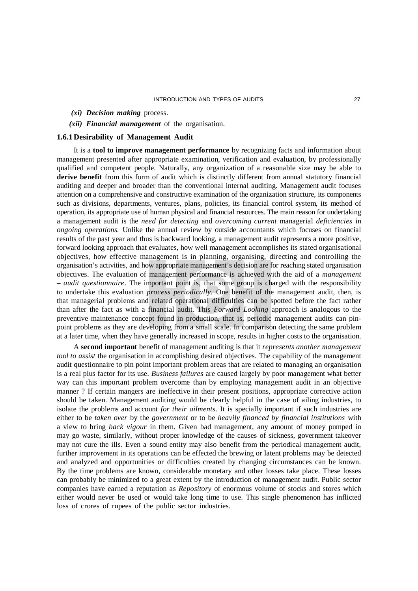- *(xi) Decision making* process.
- *(xii) Financial management* of the organisation.

## **1.6.1Desirability of Management Audit**

It is a **tool to improve management performance** by recognizing facts and information about management presented after appropriate examination, verification and evaluation, by professionally qualified and competent people. Naturally, any organization of a reasonable size may be able to **derive benefit** from this form of audit which is distinctly different from annual statutory financial auditing and deeper and broader than the conventional internal auditing. Management audit focuses attention on a comprehensive and constructive examination of the organization structure, its components such as divisions, departments, ventures, plans, policies, its financial control system, its method of operation, its appropriate use of human physical and financial resources. The main reason for undertaking a management audit is the *need for detecting* and *overcoming current* managerial *deficiencies* in *ongoing operations*. Unlike the annual review by outside accountants which focuses on financial results of the past year and thus is backward looking, a management audit represents a more positive, forward looking approach that evaluates, how well management accomplishes its stated organisational objectives, how effective management is in planning, organising, directing and controlling the organisation's activities, and how appropriate management's decision are for reaching stated organisation objectives. The evaluation of management performance is achieved with the aid of a *management – audit questionnaire*. The important point is, that some group is charged with the responsibility to undertake this evaluation *process periodically.* One benefit of the management audit, then, is that managerial problems and related operational difficulties can be spotted before the fact rather than after the fact as with a financial audit. This *Forward Looking* approach is analogous to the preventive maintenance concept found in production, that is, periodic management audits can pinpoint problems as they are developing from a small scale. In comparison detecting the same problem at a later time, when they have generally increased in scope, results in higher costs to the organisation.

A **second important** benefit of management auditing is that it *represents another management tool to assist* the organisation in accomplishing desired objectives. The capability of the management audit questionnaire to pin point important problem areas that are related to managing an organisation is a real plus factor for its use. *Business failures* are caused largely by poor management what better way can this important problem overcome than by employing management audit in an objective manner ? If certain mangers are ineffective in their present positions, appropriate corrective action should be taken. Management auditing would be clearly helpful in the case of ailing industries, to isolate the problems and account *for their ailments*. It is specially important if such industries are either to be *taken over* by the *government* or to be *heavily financed by financial institutions* with a view to bring *back vigour* in them. Given bad management, any amount of money pumped in may go waste, similarly, without proper knowledge of the causes of sickness, government takeover may not cure the ills. Even a sound entity may also benefit from the periodical management audit, further improvement in its operations can be effected the brewing or latent problems may be detected and analyzed and opportunities or difficulties created by changing circumstances can be known. By the time problems are known, considerable monetary and other losses take place. These losses can probably be minimized to a great extent by the introduction of management audit. Public sector companies have earned a reputation as *Repository* of enormous volume of stocks and stores which either would never be used or would take long time to use. This single phenomenon has inflicted loss of crores of rupees of the public sector industries.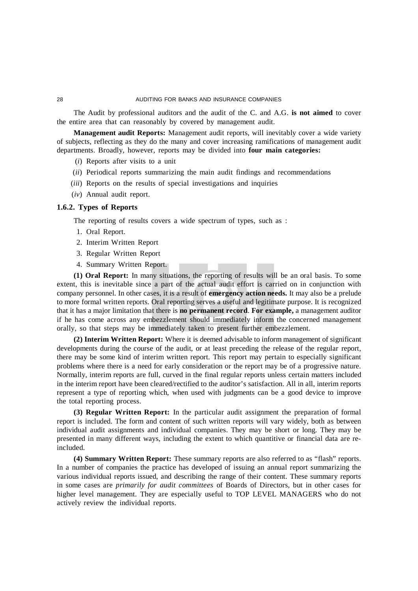The Audit by professional auditors and the audit of the C. and A.G. **is not aimed** to cover the entire area that can reasonably by covered by management audit.

**Management audit Reports:** Management audit reports, will inevitably cover a wide variety of subjects, reflecting as they do the many and cover increasing ramifications of management audit departments. Broadly, however, reports may be divided into **four main categories:**

- (*i*) Reports after visits to a unit
- (*ii*) Periodical reports summarizing the main audit findings and recommendations
- (*iii*) Reports on the results of special investigations and inquiries
- (*iv*) Annual audit report.

# **1.6.2. Types of Reports**

The reporting of results covers a wide spectrum of types, such as :

- 1. Oral Report.
- 2. Interim Written Report
- 3. Regular Written Report
- 4. Summary Written Report.

**(1) Oral Report:** In many situations, the reporting of results will be an oral basis. To some extent, this is inevitable since a part of the actual audit effort is carried on in conjunction with company personnel. In other cases, it is a result of **emergency action needs.** It may also be a prelude to more formal written reports. Oral reporting serves a useful and legitimate purpose. It is recognized that it has a major limitation that there is **no permanent record**. **For example,** a management auditor if he has come across any embezzlement should immediately inform the concerned management orally, so that steps may be immediately taken to present further embezzlement.

**(2) Interim Written Report:** Where it is deemed advisable to inform management of significant developments during the course of the audit, or at least preceding the release of the regular report, there may be some kind of interim written report. This report may pertain to especially significant problems where there is a need for early consideration or the report may be of a progressive nature. Normally, interim reports are full, curved in the final regular reports unless certain matters included in the interim report have been cleared/rectified to the auditor's satisfaction. All in all, interim reports represent a type of reporting which, when used with judgments can be a good device to improve the total reporting process.

**(3) Regular Written Report:** In the particular audit assignment the preparation of formal report is included. The form and content of such written reports will vary widely, both as between individual audit assignments and individual companies. They may be short or long. They may be presented in many different ways, including the extent to which quantitive or financial data are reincluded.

**(4) Summary Written Report:** These summary reports are also referred to as "flash" reports. In a number of companies the practice has developed of issuing an annual report summarizing the various individual reports issued, and describing the range of their content. These summary reports in some cases are *primarily for audit committees* of Boards of Directors, but in other cases for higher level management. They are especially useful to TOP LEVEL MANAGERS who do not actively review the individual reports.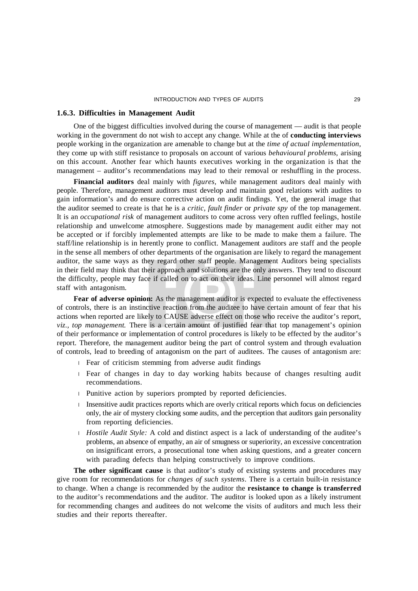#### **1.6.3. Difficulties in Management Audit**

One of the biggest difficulties involved during the course of management — audit is that people working in the government do not wish to accept any change. While at the of **conducting interviews** people working in the organization are amenable to change but at the *time of actual implementation,* they come up with stiff resistance to proposals on account of various *behavioural problems,* arising on this account. Another fear which haunts executives working in the organization is that the management – auditor's recommendations may lead to their removal or reshuffling in the process.

**Financial auditors** deal mainly with *figures,* while management auditors deal mainly with people. Therefore, management auditors must develop and maintain good relations with audites to gain information's and do ensure corrective action on audit findings. Yet, the general image that the auditor seemed to create is that he is a *critic, fault finder* or *private spy* of the top management. It is an *occupational risk* of management auditors to come across very often ruffled feelings, hostile relationship and unwelcome atmosphere. Suggestions made by management audit either may not be accepted or if forcibly implemented attempts are like to be made to make them a failure. The staff/line relationship is in herently prone to conflict. Management auditors are staff and the people in the sense all members of other departments of the organisation are likely to regard the management auditor, the same ways as they regard other staff people. Management Auditors being specialists in their field may think that their approach amd solutions are the only answers. They tend to discount the difficulty, people may face if called on to act on their ideas. Line personnel will almost regard staff with antagonism.

**Fear of adverse opinion:** As the management auditor is expected to evaluate the effectiveness of controls, there is an instinctive reaction from the auditee to have certain amount of fear that his actions when reported are likely to CAUSE adverse effect on those who receive the auditor's report, *viz., top management.* There is a certain amount of justified fear that top management's opinion of their performance or implementation of control procedures is likely to be effected by the auditor's report. Therefore, the management auditor being the part of control system and through evaluation of controls, lead to breeding of antagonism on the part of auditees. The causes of antagonism are:

- Fear of criticism stemming from adverse audit findings
- Fear of changes in day to day working habits because of changes resulting audit recommendations.
- Punitive action by superiors prompted by reported deficiencies.
- Insensitive audit practices reports which are overly critical reports which focus on deficiencies only, the air of mystery clocking some audits, and the perception that auditors gain personality from reporting deficiencies.
- *Hostile Audit Style:* A cold and distinct aspect is a lack of understanding of the auditee's problems, an absence of empathy, an air of smugness or superiority, an excessive concentration on insignificant errors, a prosecutional tone when asking questions, and a greater concern with parading defects than helping constructively to improve conditions.

**The other significant cause** is that auditor's study of existing systems and procedures may give room for recommendations for *changes of such systems*. There is a certain built-in resistance to change. When a change is recommended by the auditor the **resistance to change is transferred** to the auditor's recommendations and the auditor. The auditor is looked upon as a likely instrument for recommending changes and auditees do not welcome the visits of auditors and much less their studies and their reports thereafter.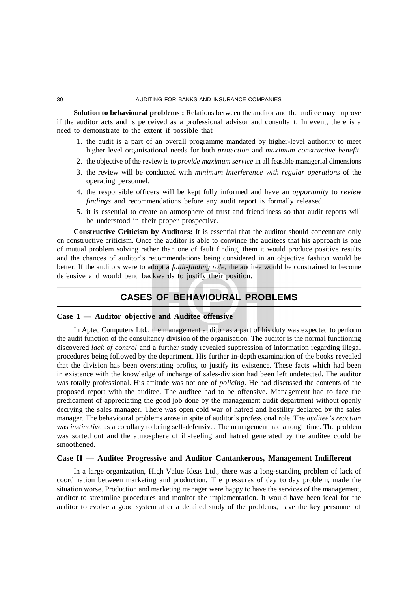**Solution to behavioural problems :** Relations between the auditor and the auditee may improve if the auditor acts and is perceived as a professional advisor and consultant. In event, there is a need to demonstrate to the extent if possible that

- 1. the audit is a part of an overall programme mandated by higher-level authority to meet higher level organisational needs for both *protection* and *maximum constructive benefit.*
- 2. the objective of the review is to *provide maximum service* in all feasible managerial dimensions
- 3. the review will be conducted with *minimum interference with regular operations* of the operating personnel.
- 4. the responsible officers will be kept fully informed and have an *opportunity* to *review findings* and recommendations before any audit report is formally released.
- 5. it is essential to create an atmosphere of trust and friendliness so that audit reports will be understood in their proper prospective.

**Constructive Criticism by Auditors:** It is essential that the auditor should concentrate only on constructive criticism. Once the auditor is able to convince the auditees that his approach is one of mutual problem solving rather than one of fault finding, them it would produce positive results and the chances of auditor's recommendations being considered in an objective fashion would be better. If the auditors were to adopt a *fault-finding role*, the auditee would be constrained to become defensive and would bend backwards to justify their position.

# **CASES OF BEHAVIOURAL PROBLEMS**

#### **Case 1 — Auditor objective and Auditee offensive**

In Aptec Computers Ltd., the management auditor as a part of his duty was expected to perform the audit function of the consultancy division of the organisation. The auditor is the normal functioning discovered *lack of control* and a further study revealed suppression of information regarding illegal procedures being followed by the department. His further in-depth examination of the books revealed that the division has been overstating profits, to justify its existence. These facts which had been in existence with the knowledge of incharge of sales-division had been left undetected. The auditor was totally professional. His attitude was not one of *policing*. He had discussed the contents of the proposed report with the auditee. The auditee had to be offensive. Management had to face the predicament of appreciating the good job done by the management audit department without openly decrying the sales manager. There was open cold war of hatred and hostility declared by the sales manager. The behavioural problems arose in spite of auditor's professional role. The *auditee's reaction* was *instinctive* as a corollary to being self-defensive. The management had a tough time. The problem was sorted out and the atmosphere of ill-feeling and hatred generated by the auditee could be smoothened.

## **Case II — Auditee Progressive and Auditor Cantankerous, Management Indifferent**

In a large organization, High Value Ideas Ltd., there was a long-standing problem of lack of coordination between marketing and production. The pressures of day to day problem, made the situation worse. Production and marketing manager were happy to have the services of the management, auditor to streamline procedures and monitor the implementation. It would have been ideal for the auditor to evolve a good system after a detailed study of the problems, have the key personnel of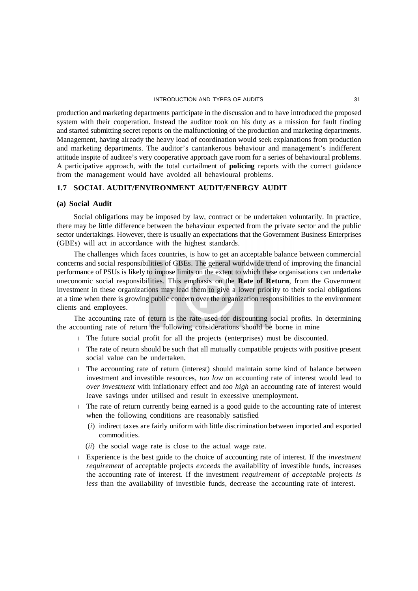production and marketing departments participate in the discussion and to have introduced the proposed system with their cooperation. Instead the auditor took on his duty as a mission for fault finding and started submitting secret reports on the malfunctioning of the production and marketing departments. Management, having already the heavy load of coordination would seek explanations from production and marketing departments. The auditor's cantankerous behaviour and management's indifferent attitude inspite of auditee's very cooperative approach gave room for a series of behavioural problems. A participative approach, with the total curtailment of **policing** reports with the correct guidance from the management would have avoided all behavioural problems.

# **1.7 SOCIAL AUDIT/ENVIRONMENT AUDIT/ENERGY AUDIT**

#### **(a) Social Audit**

Social obligations may be imposed by law, contract or be undertaken voluntarily. In practice, there may be little difference between the behaviour expected from the private sector and the public sector undertakings. However, there is usually an expectations that the Government Business Enterprises (GBEs) will act in accordance with the highest standards.

The challenges which faces countries, is how to get an acceptable balance between commercial concerns and social responsibilities of GBEs. The general worldwide trend of improving the financial performance of PSUs is likely to impose limits on the extent to which these organisations can undertake uneconomic social responsibilities. This emphasis on the **Rate of Return**, from the Government investment in these organizations may lead them to give a lower priority to their social obligations at a time when there is growing public concern over the organization responsibilities to the environment clients and employees.

The accounting rate of return is the rate used for discounting social profits. In determining the accounting rate of return the following considerations should be borne in mine

- The future social profit for all the projects (enterprises) must be discounted.
- The rate of return should be such that all mutually compatible projects with positive present social value can be undertaken.
- The accounting rate of return (interest) should maintain some kind of balance between investment and investible resources, *too low* on accounting rate of interest would lead to *over investment* with inflationary effect and *too high* an accounting rate of interest would leave savings under utilised and result in exeessive unemployment.
- The rate of return currently being earned is a good guide to the accounting rate of interest when the following conditions are reasonably satisfied
	- (*i*) indirect taxes are fairly uniform with little discrimination between imported and exported commodities.
	- (*ii*) the social wage rate is close to the actual wage rate.
- Experience is the best guide to the choice of accounting rate of interest. If the *investment requirement* of acceptable projects *exceeds* the availability of investible funds, increases the accounting rate of interest. If the investment *requirement of acceptable* projects *is less* than the availability of investible funds, decrease the accounting rate of interest.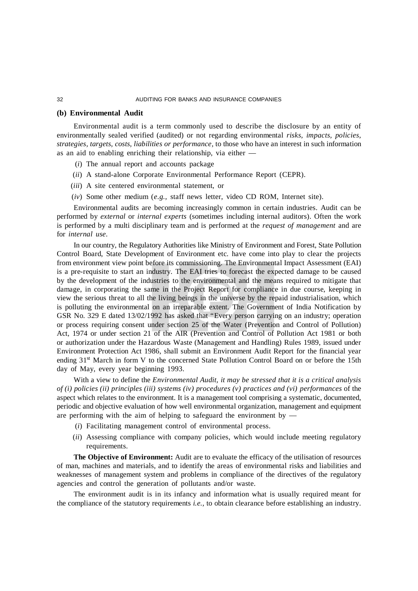## **(b) Environmental Audit**

Environmental audit is a term commonly used to describe the disclosure by an entity of environmentally sealed verified (audited) or not regarding environmental *risks, impacts, policies, strategies, targets, costs, liabilities or performance,* to those who have an interest in such information as an aid to enabling enriching their relationship, via either —

- (*i*) The annual report and accounts package
- (*ii*) A stand-alone Corporate Environmental Performance Report (CEPR).
- (*iii*) A site centered environmental statement, or
- (*iv*) Some other medium (*e.g.,* staff news letter, video CD ROM, Internet site).

Environmental audits are becoming increasingly common in certain industries. Audit can be performed by *external* or *internal experts* (sometimes including internal auditors). Often the work is performed by a multi disciplinary team and is performed at the *request of management* and are for *internal use.*

In our country, the Regulatory Authorities like Ministry of Environment and Forest, State Pollution Control Board, State Development of Environment etc. have come into play to clear the projects from environment view point before its commissioning. The Environmental Impact Assessment (EAI) is a pre-requisite to start an industry. The EAI tries to forecast the expected damage to be caused by the development of the industries to the environmental and the means required to mitigate that damage, in corporating the same in the Project Report for compliance in due course, keeping in view the serious threat to all the living beings in the universe by the repaid industrialisation, which is polluting the environmental on an irreparable extent. The Government of India Notification by GSR No. 329 E dated 13/02/1992 has asked that "Every person carrying on an industry; operation or process requiring consent under section 25 of the Water (Prevention and Control of Pollution) Act, 1974 or under section 21 of the AIR (Prevention and Control of Pollution Act 1981 or both or authorization under the Hazardous Waste (Management and Handling) Rules 1989, issued under Environment Protection Act 1986, shall submit an Environment Audit Report for the financial year ending 31<sup>st</sup> March in form V to the concerned State Pollution Control Board on or before the 15th day of May, every year beginning 1993.

With a view to define the *Environmental Audit, it may be stressed that it is a critical analysis of (i) policies (ii) principles (iii) systems (iv) procedures (v) practices and (vi) performances* of the aspect which relates to the environment. It is a management tool comprising a systematic, documented, periodic and objective evaluation of how well environmental organization, management and equipment are performing with the aim of helping to safeguard the environment by  $-$ 

- (*i*) Facilitating management control of environmental process.
- (*ii*) Assessing compliance with company policies, which would include meeting regulatory requirements.

**The Objective of Environment:** Audit are to evaluate the efficacy of the utilisation of resources of man, machines and materials, and to identify the areas of environmental risks and liabilities and weaknesses of management system and problems in compliance of the directives of the regulatory agencies and control the generation of pollutants and/or waste.

The environment audit is in its infancy and information what is usually required meant for the compliance of the statutory requirements *i.e.,* to obtain clearance before establishing an industry.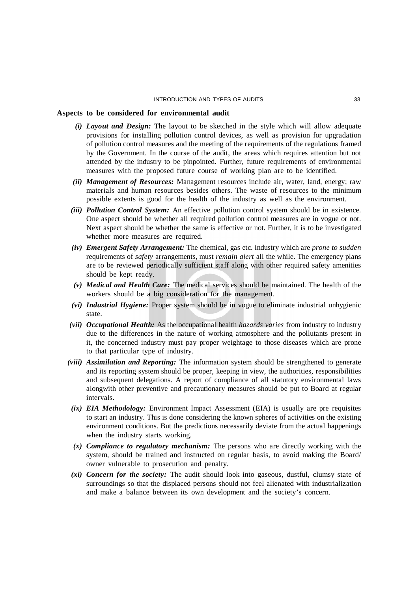#### **Aspects to be considered for environmental audit**

- *(i) Layout and Design:* The layout to be sketched in the style which will allow adequate provisions for installing pollution control devices, as well as provision for upgradation of pollution control measures and the meeting of the requirements of the regulations framed by the Government. In the course of the audit, the areas which requires attention but not attended by the industry to be pinpointed. Further, future requirements of environmental measures with the proposed future course of working plan are to be identified.
- *(ii) Management of Resources:* Management resources include air, water, land, energy; raw materials and human resources besides others. The waste of resources to the minimum possible extents is good for the health of the industry as well as the environment.
- *(iii) Pollution Control System:* An effective pollution control system should be in existence. One aspect should be whether all required pollution control measures are in vogue or not. Next aspect should be whether the same is effective or not. Further, it is to be investigated whether more measures are required.
- *(iv) Emergent Safety Arrangement:* The chemical, gas etc. industry which are *prone to sudden* requirements of *safety* arrangements, must *remain alert* all the while. The emergency plans are to be reviewed periodically sufficient staff along with other required safety amenities should be kept ready.
- *(v) Medical and Health Care:* The medical services should be maintained. The health of the workers should be a big consideration for the management.
- *(vi) Industrial Hygiene:* Proper system should be in vogue to eliminate industrial unhygienic state.
- *(vii) Occupational Health:* As the occupational health *hazards varies* from industry to industry due to the differences in the nature of working atmosphere and the pollutants present in it, the concerned industry must pay proper weightage to those diseases which are prone to that particular type of industry.
- *(viii) Assimilation and Reporting:* The information system should be strengthened to generate and its reporting system should be proper, keeping in view, the authorities, responsibilities and subsequent delegations. A report of compliance of all statutory environmental laws alongwith other preventive and precautionary measures should be put to Board at regular intervals.
- *(ix) EIA Methodology:* Environment Impact Assessment (EIA) is usually are pre requisites to start an industry. This is done considering the known spheres of activities on the existing environment conditions. But the predictions necessarily deviate from the actual happenings when the industry starts working.
- *(x) Compliance to regulatory mechanism:* The persons who are directly working with the system, should be trained and instructed on regular basis, to avoid making the Board/ owner vulnerable to prosecution and penalty.
- *(xi) Concern for the society:* The audit should look into gaseous, dustful, clumsy state of surroundings so that the displaced persons should not feel alienated with industrialization and make a balance between its own development and the society's concern.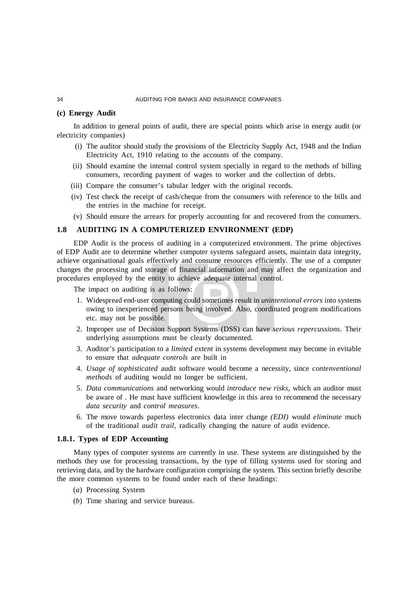# **(c) Energy Audit**

In addition to general points of audit, there are special points which arise in energy audit (or electricity companies)

- (i) The auditor should study the provisions of the Electricity Supply Act, 1948 and the Indian Electricity Act, 1910 relating to the accounts of the company.
- (ii) Should examine the internal control system specially in regard to the methods of billing consumers, recording payment of wages to worker and the collection of debts.
- (iii) Compare the consumer's tabular ledger with the original records.
- (iv) Test check the receipt of cash/cheque from the consumers with reference to the bills and the entries in the machine for receipt.
- (v) Should ensure the arrears for properly accounting for and recovered from the consumers.

#### **1.8 AUDITING IN A COMPUTERIZED ENVIRONMENT (EDP)**

EDP Audit is the process of auditing in a computerized environment. The prime objectives of EDP Audit are to determine whether computer systems safeguard assets, maintain data integrity, achieve organisational goals effectively and consume resources efficiently. The use of a computer changes the processing and storage of financial information and may affect the organization and procedures employed by the entity to achieve adequate internal control.

The impact on auditing is as follows:

- 1. Widespread end-user computing could sometimes result in *unintentional errors* into systems owing to inexperienced persons being involved. Also, coordinated program modifications etc. may not be possible.
- 2. Improper use of Decision Support Systems (DSS) can have *serious repercussions*. Their underlying assumptions must be clearly documented.
- 3. Auditor's participation to a *limited extent* in systems development may become in evitable to ensure that *adequate controls* are built in
- 4. *Usage of sophisticated* audit software would become a necessity, since *contenventional methods* of auditing would no longer be sufficient.
- 5. *Data communications* and networking would *introduce new risks,* which an auditor must be aware of . He must have sufficient knowledge in this area to recommend the necessary *data security* and *control measures.*
- 6. The move towards paperless electronics data inter change *(EDI)* would *eliminate* much of the traditional *audit trail,* radically changing the nature of audit evidence.

#### **1.8.1. Types of EDP Accounting**

Many types of computer systems are currently in use. These systems are distinguished by the methods they use for processing transactions, by the type of filling systems used for storing and retrieving data, and by the hardware configuration comprising the system. This section briefly describe the more common systems to be found under each of these headings:

- (*a*) Processing System
- (*b*) Time sharing and service bureaus.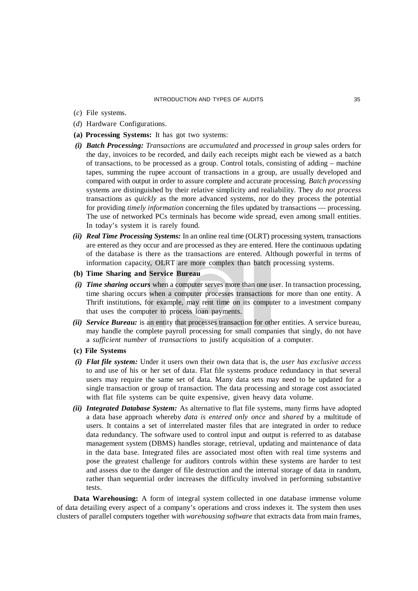- (*c*) File systems.
- (*d*) Hardware Configurations.
- **(a) Processing Systems:** It has got two systems:
- *(i) Batch Processing: Transactions* are *accumulated* and *processed* in *group* sales orders for the day, invoices to be recorded, and daily each receipts might each be viewed as a batch of transactions, to be processed as a group. Control totals, consisting of adding – machine tapes, summing the rupee account of transactions in a group, are usually developed and compared with output in order to assure complete and accurate processing. *Batch processing* systems are distinguished by their relative simplicity and realiability. They *do not process* transactions as *quickly* as the more advanced systems, nor do they process the potential for providing *timely information* concerning the files updated by transactions — processing. The use of networked PCs terminals has become wide spread, even among small entities. In today's system it is rarely found.
- *(ii) Real Time Processing Systems:* In an online real time (OLRT) processing system, transactions are entered as they occur and are processed as they are entered. Here the continuous updating of the database is there as the transactions are entered. Although powerful in terms of information capacity, OLRT are more complex than batch processing systems.
- **(b) Time Sharing and Service Bureau**
- *(i) Time sharing occurs* when a computer serves more than one user. In transaction processing, time sharing occurs when a computer processes transactions for more than one entity. A Thrift institutions, for example, may rent time on its computer to a investment company that uses the computer to process loan payments.
- *(ii) Service Bureau:* is an entity that processes transaction for other entities. A service bureau, may handle the complete payroll processing for small companies that singly, do not have a *sufficient number* of *transactions* to justify acquisition of a computer.
- **(c) File Systems**
- *(i) Flat file system:* Under it users own their own data that is, the *user has exclusive access* to and use of his or her set of data. Flat file systems produce redundancy in that several users may require the same set of data. Many data sets may need to be updated for a single transaction or group of transaction. The data processing and storage cost associated with flat file systems can be quite expensive, given heavy data volume.
- *(ii) Integrated Database System:* As alternative to flat file systems, many firms have adopted a data base approach whereby *data is entered only once* and *shared* by a multitude of users. It contains a set of interrelated master files that are integrated in order to reduce data redundancy. The software used to control input and output is referred to as database management system (DBMS) handles storage, retrieval, updating and maintenance of data in the data base. Integrated files are associated most often with real time systems and pose the greatest challenge for auditors controls within these systems are harder to test and assess due to the danger of file destruction and the internal storage of data in random, rather than sequential order increases the difficulty involved in performing substantive tests.

**Data Warehousing:** A form of integral system collected in one database immense volume of data detailing every aspect of a company's operations and cross indexes it. The system then uses clusters of parallel computers together with *warehousing software* that extracts data from main frames,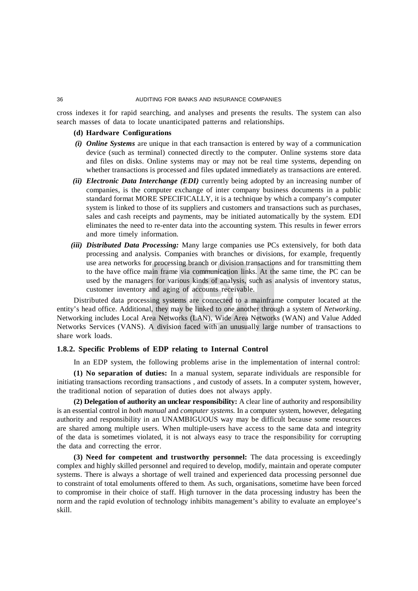cross indexes it for rapid searching, and analyses and presents the results. The system can also search masses of data to locate unanticipated patterns and relationships.

#### **(d) Hardware Configurations**

- *(i) Online Systems* are unique in that each transaction is entered by way of a communication device (such as terminal) connected directly to the computer. Online systems store data and files on disks. Online systems may or may not be real time systems, depending on whether transactions is processed and files updated immediately as transactions are entered.
- *(ii) Electronic Data Interchange (EDI)* currently being adopted by an increasing number of companies, is the computer exchange of inter company business documents in a public standard format MORE SPECIFICALLY, it is a technique by which a company's computer system is linked to those of its suppliers and customers and transactions such as purchases, sales and cash receipts and payments, may be initiated automatically by the system. EDI eliminates the need to re-enter data into the accounting system. This results in fewer errors and more timely information.
- *(iii) Distributed Data Processing:* Many large companies use PCs extensively, for both data processing and analysis. Companies with branches or divisions, for example, frequently use area networks for processing branch or division transactions and for transmitting them to the have office main frame via communication links. At the same time, the PC can be used by the managers for various kinds of analysis, such as analysis of inventory status, customer inventory and aging of accounts receivable.

Distributed data processing systems are connected to a mainframe computer located at the entity's head office. Additional, they may be linked to one another through a system of *Networking*. Networking includes Local Area Networks (LAN), Wide Area Networks (WAN) and Value Added Networks Services (VANS). A division faced with an unusually large number of transactions to share work loads.

# **1.8.2. Specific Problems of EDP relating to Internal Control**

In an EDP system, the following problems arise in the implementation of internal control:

**(1) No separation of duties:** In a manual system, separate individuals are responsible for initiating transactions recording transactions , and custody of assets. In a computer system, however, the traditional notion of separation of duties does not always apply.

**(2) Delegation of authority an unclear responsibility:** A clear line of authority and responsibility is an essential control in *both manual* and *computer systems.* In a computer system, however, delegating authority and responsibility in an UNAMBIGUOUS way may be difficult because some resources are shared among multiple users. When multiple-users have access to the same data and integrity of the data is sometimes violated, it is not always easy to trace the responsibility for corrupting the data and correcting the error.

**(3) Need for competent and trustworthy personnel:** The data processing is exceedingly complex and highly skilled personnel and required to develop, modify, maintain and operate computer systems. There is always a shortage of well trained and experienced data processing personnel due to constraint of total emoluments offered to them. As such, organisations, sometime have been forced to compromise in their choice of staff. High turnover in the data processing industry has been the norm and the rapid evolution of technology inhibits management's ability to evaluate an employee's skill.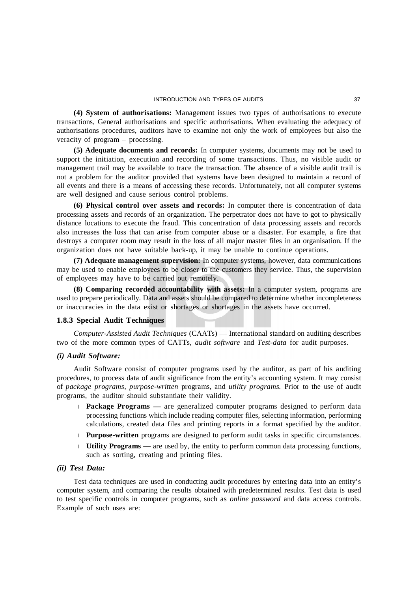**(4) System of authorisations:** Management issues two types of authorisations to execute transactions, General authorisations and specific authorisations. When evaluating the adequacy of authorisations procedures, auditors have to examine not only the work of employees but also the veracity of program – processing.

**(5) Adequate documents and records:** In computer systems, documents may not be used to support the initiation, execution and recording of some transactions. Thus, no visible audit or management trail may be available to trace the transaction. The absence of a visible audit trail is not a problem for the auditor provided that systems have been designed to maintain a record of all events and there is a means of accessing these records. Unfortunately, not all computer systems are well designed and cause serious control problems.

**(6) Physical control over assets and records:** In computer there is concentration of data processing assets and records of an organization. The perpetrator does not have to got to physically distance locations to execute the fraud. This concentration of data processing assets and records also increases the loss that can arise from computer abuse or a disaster. For example, a fire that destroys a computer room may result in the loss of all major master files in an organisation. If the organization does not have suitable back-up, it may be unable to continue operations.

**(7) Adequate management supervision:** In computer systems, however, data communications may be used to enable employees to be closer to the customers they service. Thus, the supervision of employees may have to be carried out remotely.

**(8) Comparing recorded accountability with assets:** In a computer system, programs are used to prepare periodically. Data and assets should be compared to determine whether incompleteness or inaccuracies in the data exist or shortages or shortages in the assets have occurred.

# **1.8.3 Special Audit Techniques**

*Computer-Assisted Audit Techniques* (CAATs) — International standard on auditing describes two of the more common types of CATTs, *audit software* and *Test-data* for audit purposes.

## *(i) Audit Software:*

Audit Software consist of computer programs used by the auditor, as part of his auditing procedures, to process data of audit significance from the entity's accounting system. It may consist of *package programs, purpose-written* programs, and *utility programs.* Prior to the use of audit programs, the auditor should substantiate their validity.

- **Package Programs** are generalized computer programs designed to perform data processing functions which include reading computer files, selecting information, performing calculations, created data files and printing reports in a format specified by the auditor.
- **Purpose-written** programs are designed to perform audit tasks in specific circumstances.
- **Utility Programs** are used by, the entity to perform common data processing functions, such as sorting, creating and printing files.

# *(ii) Test Data:*

Test data techniques are used in conducting audit procedures by entering data into an entity's computer system, and comparing the results obtained with predetermined results. Test data is used to test specific controls in computer programs, such as *online password* and data access controls. Example of such uses are: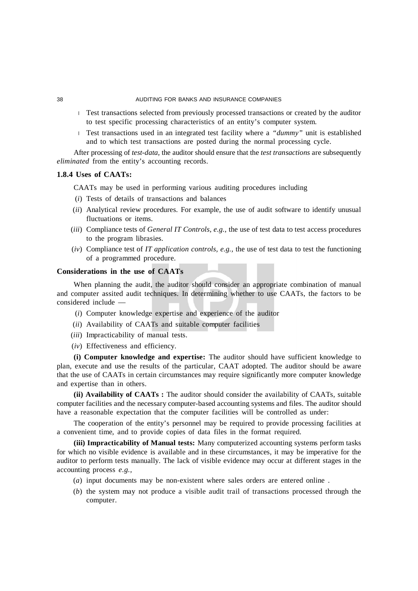- Test transactions selected from previously processed transactions or created by the auditor to test specific processing characteristics of an entity's computer system.
- Test transactions used in an integrated test facility where a *"dummy"* unit is established  $\mathbf{L}$ and to which test transactions are posted during the normal processing cycle.

After processing of *test-data,* the auditor should ensure that the *test transactions* are subsequently *eliminated* from the entity's accounting records.

# **1.8.4 Uses of CAATs:**

CAATs may be used in performing various auditing procedures including

- (*i*) Tests of details of transactions and balances
- (*ii*) Analytical review procedures. For example, the use of audit software to identify unusual fluctuations or items.
- (*iii*) Compliance tests of *General IT Controls, e.g.,* the use of test data to test access procedures to the program librasies.
- (*iv*) Compliance test of *IT application controls, e.g.,* the use of test data to test the functioning of a programmed procedure.

## **Considerations in the use of CAATs**

When planning the audit, the auditor should consider an appropriate combination of manual and computer assited audit techniques. In determining whether to use CAATs, the factors to be considered include —

- (*i*) Computer knowledge expertise and experience of the auditor
- (*ii*) Availability of CAATs and suitable computer facilities
- (*iii*) Impracticability of manual tests.
- (*iv*) Effectiveness and efficiency.

**(i) Computer knowledge and expertise:** The auditor should have sufficient knowledge to plan, execute and use the results of the particular, CAAT adopted. The auditor should be aware that the use of CAATs in certain circumstances may require significantly more computer knowledge and expertise than in others.

**(ii) Availability of CAATs :** The auditor should consider the availability of CAATs, suitable computer facilities and the necessary computer-based accounting systems and files. The auditor should have a reasonable expectation that the computer facilities will be controlled as under:

The cooperation of the entity's personnel may be required to provide processing facilities at a convenient time, and to provide copies of data files in the format required.

**(iii) Impracticability of Manual tests:** Many computerized accounting systems perform tasks for which no visible evidence is available and in these circumstances, it may be imperative for the auditor to perform tests manually. The lack of visible evidence may occur at different stages in the accounting process *e.g.,*

- (*a*) input documents may be non-existent where sales orders are entered online .
- (*b*) the system may not produce a visible audit trail of transactions processed through the computer.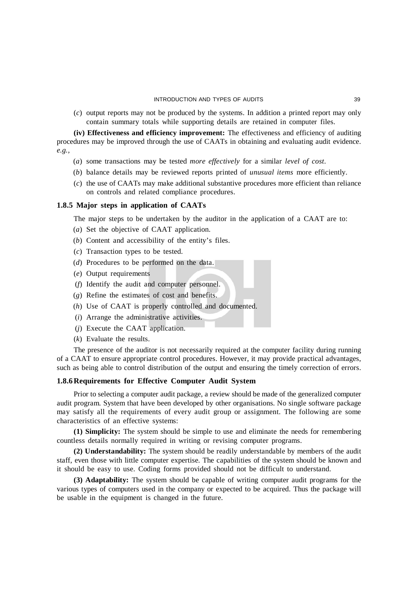(*c*) output reports may not be produced by the systems. In addition a printed report may only contain summary totals while supporting details are retained in computer files.

**(iv) Effectiveness and efficiency improvement:** The effectiveness and efficiency of auditing procedures may be improved through the use of CAATs in obtaining and evaluating audit evidence. *e.g.,*

- (*a*) some transactions may be tested *more effectively* for a similar *level of cost*.
- (*b*) balance details may be reviewed reports printed of *unusual items* more efficiently.
- (*c*) the use of CAATs may make additional substantive procedures more efficient than reliance on controls and related compliance procedures.

# **1.8.5 Major steps in application of CAATs**

The major steps to be undertaken by the auditor in the application of a CAAT are to:

- (*a*) Set the objective of CAAT application.
- (*b*) Content and accessibility of the entity's files.
- (*c*) Transaction types to be tested.
- (*d*) Procedures to be performed on the data.
- (*e*) Output requirements
- (*f*) Identify the audit and computer personnel.
- (*g*) Refine the estimates of cost and benefits.
- (*h*) Use of CAAT is properly controlled and documented.
- (*i*) Arrange the administrative activities.
- (*j*) Execute the CAAT application.
- (*k*) Evaluate the results.

The presence of the auditor is not necessarily required at the computer facility during running of a CAAT to ensure appropriate control procedures. However, it may provide practical advantages, such as being able to control distribution of the output and ensuring the timely correction of errors.

# **1.8.6Requirements for Effective Computer Audit System**

Prior to selecting a computer audit package, a review should be made of the generalized computer audit program. System that have been developed by other organisations. No single software package may satisfy all the requirements of every audit group or assignment. The following are some characteristics of an effective systems:

**(1) Simplicity:** The system should be simple to use and eliminate the needs for remembering countless details normally required in writing or revising computer programs.

**(2) Understandability:** The system should be readily understandable by members of the audit staff, even those with little computer expertise. The capabilities of the system should be known and it should be easy to use. Coding forms provided should not be difficult to understand.

**(3) Adaptability:** The system should be capable of writing computer audit programs for the various types of computers used in the company or expected to be acquired. Thus the package will be usable in the equipment is changed in the future.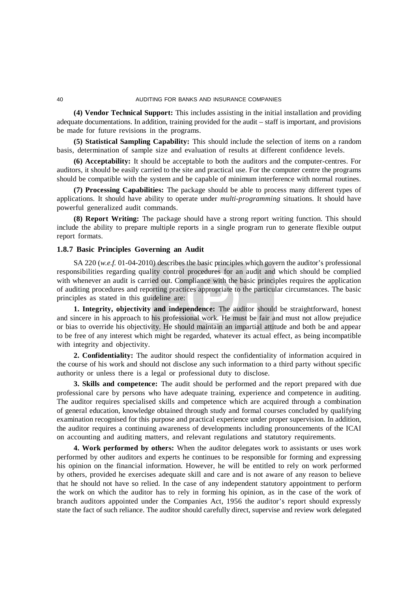**(4) Vendor Technical Support:** This includes assisting in the initial installation and providing adequate documentations. In addition, training provided for the audit – staff is important, and provisions be made for future revisions in the programs.

**(5) Statistical Sampling Capability:** This should include the selection of items on a random basis, determination of sample size and evaluation of results at different confidence levels.

**(6) Acceptability:** It should be acceptable to both the auditors and the computer-centres. For auditors, it should be easily carried to the site and practical use. For the computer centre the programs should be compatible with the system and be capable of minimum interference with normal routines.

**(7) Processing Capabilities:** The package should be able to process many different types of applications. It should have ability to operate under *multi-programming* situations. It should have powerful generalized audit commands.

**(8) Report Writing:** The package should have a strong report writing function. This should include the ability to prepare multiple reports in a single program run to generate flexible output report formats.

# **1.8.7 Basic Principles Governing an Audit**

SA 220 (*w.e.f.* 01-04-2010) describes the basic principles which govern the auditor's professional responsibilities regarding quality control procedures for an audit and which should be complied with whenever an audit is carried out. Compliance with the basic principles requires the application of auditing procedures and reporting practices appropriate to the particular circumstances. The basic principles as stated in this guideline are:

**1. Integrity, objectivity and independence:** The auditor should be straightforward, honest and sincere in his approach to his professional work. He must be fair and must not allow prejudice or bias to override his objectivity. He should maintain an impartial attitude and both be and appear to be free of any interest which might be regarded, whatever its actual effect, as being incompatible with integrity and objectivity.

**2. Confidentiality:** The auditor should respect the confidentiality of information acquired in the course of his work and should not disclose any such information to a third party without specific authority or unless there is a legal or professional duty to disclose.

**3. Skills and competence:** The audit should be performed and the report prepared with due professional care by persons who have adequate training, experience and competence in auditing. The auditor requires specialised skills and competence which are acquired through a combination of general education, knowledge obtained through study and formal courses concluded by qualifying examination recognised for this purpose and practical experience under proper supervision. In addition, the auditor requires a continuing awareness of developments including pronouncements of the ICAI on accounting and auditing matters, and relevant regulations and statutory requirements.

**4. Work performed by others:** When the auditor delegates work to assistants or uses work performed by other auditors and experts he continues to be responsible for forming and expressing his opinion on the financial information. However, he will be entitled to rely on work performed by others, provided he exercises adequate skill and care and is not aware of any reason to believe that he should not have so relied. In the case of any independent statutory appointment to perform the work on which the auditor has to rely in forming his opinion, as in the case of the work of branch auditors appointed under the Companies Act, 1956 the auditor's report should expressly state the fact of such reliance. The auditor should carefully direct, supervise and review work delegated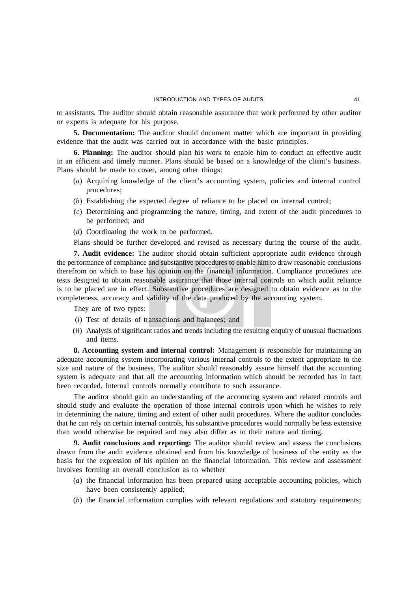to assistants. The auditor should obtain reasonable assurance that work performed by other auditor or experts is adequate for his purpose.

**5. Documentation:** The auditor should document matter which are important in providing evidence that the audit was carried out in accordance with the basic principles.

**6. Planning:** The auditor should plan his work to enable him to conduct an effective audit in an efficient and timely manner. Plans should be based on a knowledge of the client's business. Plans should be made to cover, among other things:

- (*a*) Acquiring knowledge of the client's accounting system, policies and internal control procedures;
- (*b*) Establishing the expected degree of reliance to be placed on internal control;
- (*c*) Determining and programming the nature, timing, and extent of the audit procedures to be performed; and
- (*d*) Coordinating the work to be performed.

Plans should be further developed and revised as necessary during the course of the audit.

**7. Audit evidence:** The auditor should obtain sufficient appropriate audit evidence through the performance of compliance and substantive procedures to enable him to draw reasonable conclusions therefrom on which to base his opinion on the financial information. Compliance procedures are tests designed to obtain reasonable assurance that those internal controls on which audit reliance is to be placed are in effect. Substantive procedures are designed to obtain evidence as to the completeness, accuracy and validity of the data produced by the accounting system.

They are of two types:

- (*i*) Test of details of transactions and balances; and
- (*ii*) Analysis of significant ratios and trends including the resulting enquiry of unusual fluctuations and items.

**8. Accounting system and internal control:** Management is responsible for maintaining an adequate accounting system incorporating various internal controls to the extent appropriate to the size and nature of the business. The auditor should reasonably assure himself that the accounting system is adequate and that all the accounting information which should be recorded has in fact been recorded. Internal controls normally contribute to such assurance.

The auditor should gain an understanding of the accounting system and related controls and should study and evaluate the operation of those internal controls upon which he wishes to rely in determining the nature, timing and extent of other audit procedures. Where the auditor concludes that he can rely on certain internal controls, his substantive procedures would normally be less extensive than would otherwise be required and may also differ as to their nature and timing.

**9. Audit conclusions and reporting:** The auditor should review and assess the conclusions drawn from the audit evidence obtained and from his knowledge of business of the entity as the basis for the expression of his opinion on the financial information. This review and assessment involves forming an overall conclusion as to whether

- (*a*) the financial information has been prepared using acceptable accounting policies, which have been consistently applied;
- (*b*) the financial information complies with relevant regulations and statutory requirements;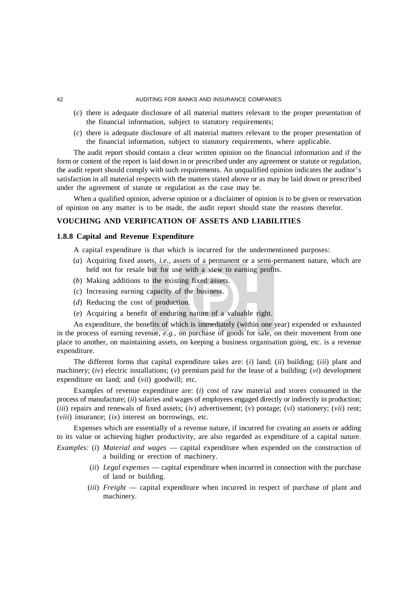- (*c*) there is adequate disclosure of all material matters relevant to the proper presentation of the financial information, subject to statutory requirements;
- (*c*) there is adequate disclosure of all material matters relevant to the proper presentation of the financial information, subject to statutory requirements, where applicable.

The audit report should contain a clear written opinion on the financial information and if the form or content of the report is laid down in or prescribed under any agreement or statute or regulation, the audit report should comply with such requirements. An unqualified opinion indicates the auditor's satisfaction in all material respects with the matters stated above or as may be laid down or prescribed under the agreement of statute or regulation as the case may be.

When a qualified opinion, adverse opinion or a disclaimer of opinion is to be given or reservation of opinion on any matter is to be made, the audit report should state the reasons therefor.

# **VOUCHING AND VERIFICATION OF ASSETS AND LIABILITIES**

## **1.8.8 Capital and Revenue Expenditure**

A capital expenditure is that which is incurred for the undermentioned purposes:

- (*a*) Acquiring fixed assets, *i.e.,* assets of a permanent or a semi-permanent nature, which are held not for resale but for use with a view to earning profits.
- (*b*) Making additions to the existing fixed assets.
- (*c*) Increasing earning capacity of the business.
- (*d*) Reducing the cost of production.
- (*e*) Acquiring a benefit of enduring nature of a valuable right.

An expenditure, the benefits of which is immediately (within one year) expended or exhausted in the process of earning revenue, *e.g.,* on purchase of goods for sale, on their movement from one place to another, on maintaining assets, on keeping a business organisation going, etc. is a revenue expenditure.

The different forms that capital expenditure takes are: (*i*) land; (*ii*) building; (*iii*) plant and machinery;  $(iv)$  electric installations;  $(v)$  premium paid for the lease of a building;  $(vi)$  development expenditure on land; and (*vii*) goodwill; etc.

Examples of revenue expenditure are: (*i*) cost of raw material and stores consumed in the process of manufacture; (*ii*) salaries and wages of employees engaged directly or indirectly in production; (*iii*) repairs and renewals of fixed assets; (*iv*) advertisement; (*v*) postage; (*vi*) stationery; (*vii*) rent; (*viii*) insurance; (*ix*) interest on borrowings, etc.

Expenses which are essentially of a revenue nature, if incurred for creating an assets or adding to its value or achieving higher productivity, are also regarded as expenditure of a capital nature.

- *Examples:* (*i*) *Material and wages* capital expenditure when expended on the construction of a building or erection of machinery.
	- (*ii*) *Legal expenses* capital expenditure when incurred in connection with the purchase of land or building.
	- (*iii*) *Freight*  capital expenditure when incurred in respect of purchase of plant and machinery.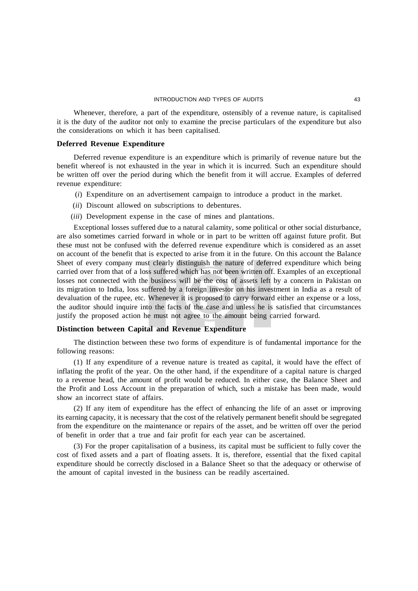Whenever, therefore, a part of the expenditure, ostensibly of a revenue nature, is capitalised it is the duty of the auditor not only to examine the precise particulars of the expenditure but also the considerations on which it has been capitalised.

## **Deferred Revenue Expenditure**

Deferred revenue expenditure is an expenditure which is primarily of revenue nature but the benefit whereof is not exhausted in the year in which it is incurred. Such an expenditure should be written off over the period during which the benefit from it will accrue. Examples of deferred revenue expenditure:

- (*i*) Expenditure on an advertisement campaign to introduce a product in the market.
- (*ii*) Discount allowed on subscriptions to debentures.
- (*iii*) Development expense in the case of mines and plantations.

Exceptional losses suffered due to a natural calamity, some political or other social disturbance, are also sometimes carried forward in whole or in part to be written off against future profit. But these must not be confused with the deferred revenue expenditure which is considered as an asset on account of the benefit that is expected to arise from it in the future. On this account the Balance Sheet of every company must clearly distinguish the nature of deferred expenditure which being carried over from that of a loss suffered which has not been written off. Examples of an exceptional losses not connected with the business will be the cost of assets left by a concern in Pakistan on its migration to India, loss suffered by a foreign investor on his investment in India as a result of devaluation of the rupee, etc. Whenever it is proposed to carry forward either an expense or a loss, the auditor should inquire into the facts of the case and unless he is satisfied that circumstances justify the proposed action he must not agree to the amount being carried forward.

# **Distinction between Capital and Revenue Expenditure**

The distinction between these two forms of expenditure is of fundamental importance for the following reasons:

(1) If any expenditure of a revenue nature is treated as capital, it would have the effect of inflating the profit of the year. On the other hand, if the expenditure of a capital nature is charged to a revenue head, the amount of profit would be reduced. In either case, the Balance Sheet and the Profit and Loss Account in the preparation of which, such a mistake has been made, would show an incorrect state of affairs.

(2) If any item of expenditure has the effect of enhancing the life of an asset or improving its earning capacity, it is necessary that the cost of the relatively permanent benefit should be segregated from the expenditure on the maintenance or repairs of the asset, and be written off over the period of benefit in order that a true and fair profit for each year can be ascertained.

(3) For the proper capitalisation of a business, its capital must be sufficient to fully cover the cost of fixed assets and a part of floating assets. It is, therefore, essential that the fixed capital expenditure should be correctly disclosed in a Balance Sheet so that the adequacy or otherwise of the amount of capital invested in the business can be readily ascertained.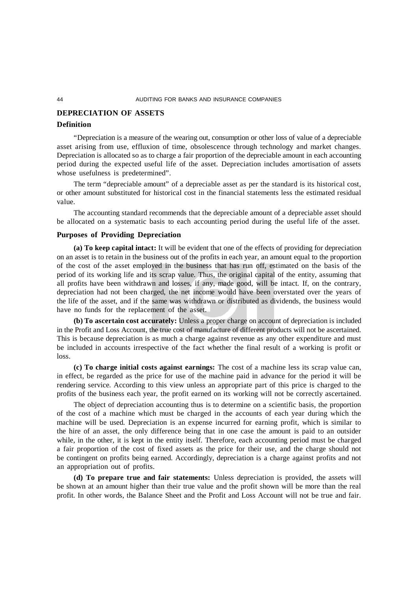# **DEPRECIATION OF ASSETS**

#### **Definition**

"Depreciation is a measure of the wearing out, consumption or other loss of value of a depreciable asset arising from use, effluxion of time, obsolescence through technology and market changes. Depreciation is allocated so as to charge a fair proportion of the depreciable amount in each accounting period during the expected useful life of the asset. Depreciation includes amortisation of assets whose usefulness is predetermined".

The term "depreciable amount" of a depreciable asset as per the standard is its historical cost, or other amount substituted for historical cost in the financial statements less the estimated residual value.

The accounting standard recommends that the depreciable amount of a depreciable asset should be allocated on a systematic basis to each accounting period during the useful life of the asset.

## **Purposes of Providing Depreciation**

**(a) To keep capital intact:** It will be evident that one of the effects of providing for depreciation on an asset is to retain in the business out of the profits in each year, an amount equal to the proportion of the cost of the asset employed in the business that has run off, estimated on the basis of the period of its working life and its scrap value. Thus, the original capital of the entity, assuming that all profits have been withdrawn and losses, if any, made good, will be intact. If, on the contrary, depreciation had not been charged, the net income would have been overstated over the years of the life of the asset, and if the same was withdrawn or distributed as dividends, the business would have no funds for the replacement of the asset.

**(b) To ascertain cost accurately:** Unless a proper charge on account of depreciation is included in the Profit and Loss Account, the true cost of manufacture of different products will not be ascertained. This is because depreciation is as much a charge against revenue as any other expenditure and must be included in accounts irrespective of the fact whether the final result of a working is profit or loss.

**(c) To charge initial costs against earnings:** The cost of a machine less its scrap value can, in effect, be regarded as the price for use of the machine paid in advance for the period it will be rendering service. According to this view unless an appropriate part of this price is charged to the profits of the business each year, the profit earned on its working will not be correctly ascertained.

The object of depreciation accounting thus is to determine on a scientific basis, the proportion of the cost of a machine which must be charged in the accounts of each year during which the machine will be used. Depreciation is an expense incurred for earning profit, which is similar to the hire of an asset, the only difference being that in one case the amount is paid to an outsider while, in the other, it is kept in the entity itself. Therefore, each accounting period must be charged a fair proportion of the cost of fixed assets as the price for their use, and the charge should not be contingent on profits being earned. Accordingly, depreciation is a charge against profits and not an appropriation out of profits.

**(d) To prepare true and fair statements:** Unless depreciation is provided, the assets will be shown at an amount higher than their true value and the profit shown will be more than the real profit. In other words, the Balance Sheet and the Profit and Loss Account will not be true and fair.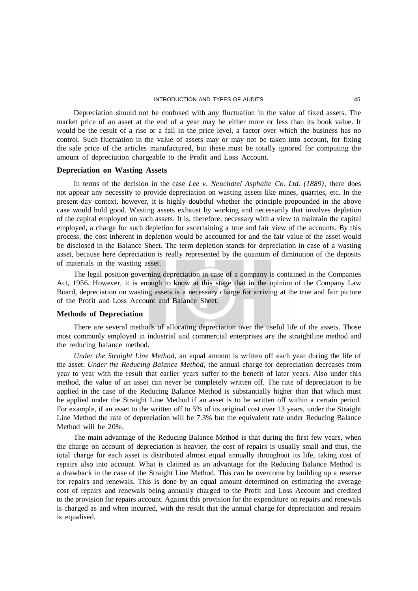Depreciation should not be confused with any fluctuation in the value of fixed assets. The market price of an asset at the end of a year may be either more or less than its book value. It would be the result of a rise or a fall in the price level, a factor over which the business has no control. Such fluctuation in the value of assets may or may not be taken into account, for fixing the sale price of the articles manufactured, but these must be totally ignored for computing the amount of depreciation chargeable to the Profit and Loss Account.

## **Depreciation on Wasting Assets**

In terms of the decision in the case *Lee v. Neuchatel Asphalte Co. Ltd. (1889)*, there does not appear any necessity to provide depreciation on wasting assets like mines, quarries, etc. In the present-day context, however, it is highly doubtful whether the principle propounded in the above case would hold good. Wasting assets exhaust by working and necessarily that involves depletion of the capital employed on such assets. It is, therefore, necessary with a view to maintain the capital employed, a charge for such depletion for ascertaining a true and fair view of the accounts. By this process, the cost inherent in depletion would be accounted for and the fair value of the asset would be disclosed in the Balance Sheet. The term depletion stands for depreciation in case of a wasting asset, because here depreciation is really represented by the quantum of diminution of the deposits of materials in the wasting asset.

The legal position governing depreciation in case of a company is contained in the Companies Act, 1956. However, it is enough to know at this stage that in the opinion of the Company Law Board, depreciation on wasting assets is a necessary charge for arriving at the true and fair picture of the Profit and Loss Account and Balance Sheet.

#### **Methods of Depreciation**

There are several methods of allocating depreciation over the useful life of the assets. Those most commonly employed in industrial and commercial enterprises are the straightline method and the reducing balance method.

*Under the Straight Line Method,* an equal amount is written off each year during the life of the asset. *Under the Reducing Balance Method,* the annual charge for depreciation decreases from year to year with the result that earlier years suffer to the benefit of later years. Also under this method, the value of an asset can never be completely written off. The rate of depreciation to be applied in the case of the Reducing Balance Method is substantially higher than that which must be applied under the Straight Line Method if an asset is to be written off within a certain period. For example, if an asset to the written off to 5% of its original cost over 13 years, under the Straight Line Method the rate of depreciation will be 7.3% but the equivalent rate under Reducing Balance Method will be 20%.

The main advantage of the Reducing Balance Method is that during the first few years, when the charge on account of depreciation is heavier, the cost of repairs is usually small and thus, the total charge for each asset is distributed almost equal annually throughout its life, taking cost of repairs also into account. What is claimed as an advantage for the Reducing Balance Method is a drawback in the case of the Straight Line Method. This can be overcome by building up a reserve for repairs and renewals. This is done by an equal amount determined on estimating the average cost of repairs and renewals being annually charged to the Profit and Loss Account and credited to the provision for repairs account. Against this provision for the expenditure on repairs and renewals is charged as and when incurred, with the result that the annual charge for depreciation and repairs is equalised.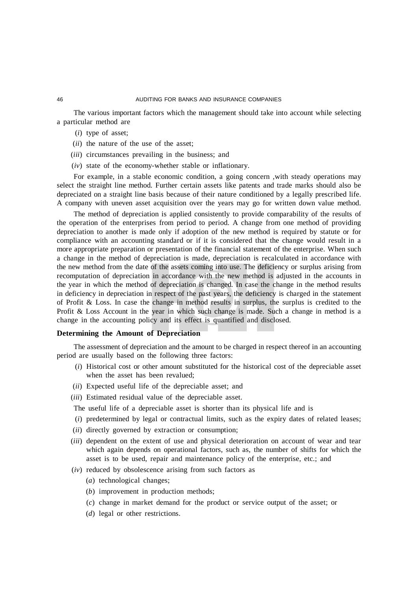The various important factors which the management should take into account while selecting a particular method are

- (*i*) type of asset;
- (*ii*) the nature of the use of the asset;
- (*iii*) circumstances prevailing in the business; and
- (*iv*) state of the economy-whether stable or inflationary.

For example, in a stable economic condition, a going concern ,with steady operations may select the straight line method. Further certain assets like patents and trade marks should also be depreciated on a straight line basis because of their nature conditioned by a legally prescribed life. A company with uneven asset acquisition over the years may go for written down value method.

The method of depreciation is applied consistently to provide comparability of the results of the operation of the enterprises from period to period. A change from one method of providing depreciation to another is made only if adoption of the new method is required by statute or for compliance with an accounting standard or if it is considered that the change would result in a more appropriate preparation or presentation of the financial statement of the enterprise. When such a change in the method of depreciation is made, depreciation is recalculated in accordance with the new method from the date of the assets coming into use. The deficiency or surplus arising from recomputation of depreciation in accordance with the new method is adjusted in the accounts in the year in which the method of depreciation is changed. In case the change in the method results in deficiency in depreciation in respect of the past years, the deficiency is charged in the statement of Profit & Loss. In case the change in method results in surplus, the surplus is credited to the Profit & Loss Account in the year in which such change is made. Such a change in method is a change in the accounting policy and its effect is quantified and disclosed.

## **Determining the Amount of Depreciation**

The assessment of depreciation and the amount to be charged in respect thereof in an accounting period are usually based on the following three factors:

- (*i*) Historical cost or other amount substituted for the historical cost of the depreciable asset when the asset has been revalued;
- (*ii*) Expected useful life of the depreciable asset; and
- (*iii*) Estimated residual value of the depreciable asset.

The useful life of a depreciable asset is shorter than its physical life and is

- (*i*) predetermined by legal or contractual limits, such as the expiry dates of related leases;
- (*ii*) directly governed by extraction or consumption;
- (*iii*) dependent on the extent of use and physical deterioration on account of wear and tear which again depends on operational factors, such as, the number of shifts for which the asset is to be used, repair and maintenance policy of the enterprise, etc.; and
- (*iv*) reduced by obsolescence arising from such factors as
	- (*a*) technological changes;
	- (*b*) improvement in production methods;
	- (*c*) change in market demand for the product or service output of the asset; or
	- (*d*) legal or other restrictions.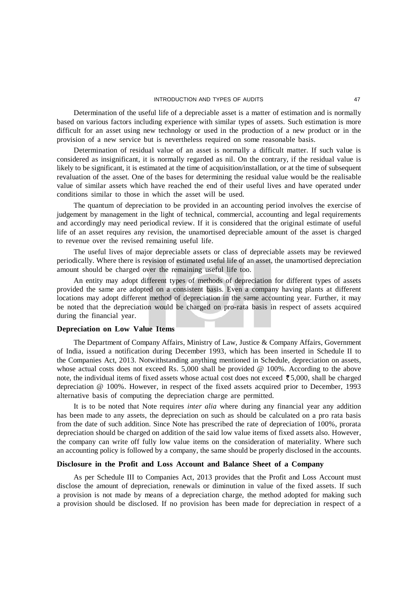Determination of the useful life of a depreciable asset is a matter of estimation and is normally based on various factors including experience with similar types of assets. Such estimation is more difficult for an asset using new technology or used in the production of a new product or in the provision of a new service but is nevertheless required on some reasonable basis.

Determination of residual value of an asset is normally a difficult matter. If such value is considered as insignificant, it is normally regarded as nil. On the contrary, if the residual value is likely to be significant, it is estimated at the time of acquisition/installation, or at the time of subsequent revaluation of the asset. One of the bases for determining the residual value would be the realisable value of similar assets which have reached the end of their useful lives and have operated under conditions similar to those in which the asset will be used.

The quantum of depreciation to be provided in an accounting period involves the exercise of judgement by management in the light of technical, commercial, accounting and legal requirements and accordingly may need periodical review. If it is considered that the original estimate of useful life of an asset requires any revision, the unamortised depreciable amount of the asset is charged to revenue over the revised remaining useful life.

The useful lives of major depreciable assets or class of depreciable assets may be reviewed periodically. Where there is revision of estimated useful life of an asset, the unamortised depreciation amount should be charged over the remaining useful life too.

An entity may adopt different types of methods of depreciation for different types of assets provided the same are adopted on a consistent basis. Even a company having plants at different locations may adopt different method of depreciation in the same accounting year. Further, it may be noted that the depreciation would be charged on pro-rata basis in respect of assets acquired during the financial year.

# **Depreciation on Low Value Items**

The Department of Company Affairs, Ministry of Law, Justice & Company Affairs, Government of India, issued a notification during December 1993, which has been inserted in Schedule II to the Companies Act, 2013. Notwithstanding anything mentioned in Schedule, depreciation on assets, whose actual costs does not exceed Rs. 5,000 shall be provided @ 100%. According to the above note, the individual items of fixed assets whose actual cost does not exceed  $\bar{\tau}$  5,000, shall be charged depreciation @ 100%. However, in respect of the fixed assets acquired prior to December, 1993 alternative basis of computing the depreciation charge are permitted.

It is to be noted that Note requires *inter alia* where during any financial year any addition has been made to any assets, the depreciation on such as should be calculated on a pro rata basis from the date of such addition. Since Note has prescribed the rate of depreciation of 100%, prorata depreciation should be charged on addition of the said low value items of fixed assets also. However, the company can write off fully low value items on the consideration of materiality. Where such an accounting policy is followed by a company, the same should be properly disclosed in the accounts.

## **Disclosure in the Profit and Loss Account and Balance Sheet of a Company**

As per Schedule III to Companies Act, 2013 provides that the Profit and Loss Account must disclose the amount of depreciation, renewals or diminution in value of the fixed assets. If such a provision is not made by means of a depreciation charge, the method adopted for making such a provision should be disclosed. If no provision has been made for depreciation in respect of a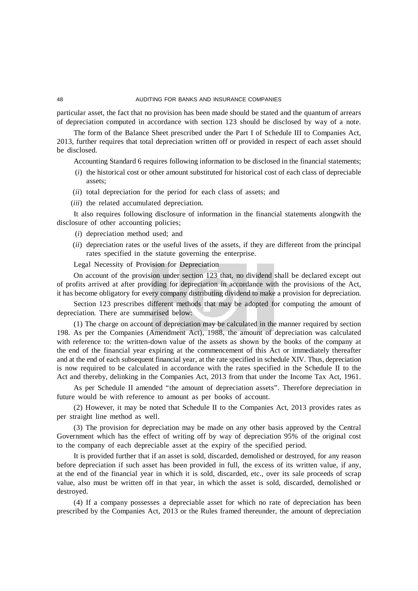particular asset, the fact that no provision has been made should be stated and the quantum of arrears of depreciation computed in accordance with section 123 should be disclosed by way of a note.

The form of the Balance Sheet prescribed under the Part I of Schedule III to Companies Act, 2013, further requires that total depreciation written off or provided in respect of each asset should be disclosed.

Accounting Standard 6 requires following information to be disclosed in the financial statements;

- (*i*) the historical cost or other amount substituted for historical cost of each class of depreciable assets;
- (*ii*) total depreciation for the period for each class of assets; and
- (*iii*) the related accumulated depreciation.

It also requires following disclosure of information in the financial statements alongwith the disclosure of other accounting policies;

- (*i*) depreciation method used; and
- (*ii*) depreciation rates or the useful lives of the assets, if they are different from the principal rates specified in the statute governing the enterprise.

Legal Necessity of Provision for Depreciation

On account of the provision under section 123 that, no dividend shall be declared except out of profits arrived at after providing for depreciation in accordance with the provisions of the Act, it has become obligatory for every company distributing dividend to make a provision for depreciation.

Section 123 prescribes different methods that may be adopted for computing the amount of depreciation. There are summarised below:

(1) The charge on account of depreciation may be calculated in the manner required by section 198. As per the Companies (Amendment Act), 1988, the amount of depreciation was calculated with reference to: the written-down value of the assets as shown by the books of the company at the end of the financial year expiring at the commencement of this Act or immediately thereafter and at the end of each subsequent financial year, at the rate specified in schedule XIV. Thus, depreciation is now required to be calculated in accordance with the rates specified in the Schedule II to the Act and thereby, delinking in the Companies Act, 2013 from that under the Income Tax Act, 1961.

As per Schedule II amended "the amount of depreciation assets". Therefore depreciation in future would be with reference to amount as per books of account.

(2) However, it may be noted that Schedule II to the Companies Act, 2013 provides rates as per straight line method as well.

(3) The provision for depreciation may be made on any other basis approved by the Central Government which has the effect of writing off by way of depreciation 95% of the original cost to the company of each depreciable asset at the expiry of the specified period.

It is provided further that if an asset is sold, discarded, demolished or destroyed, for any reason before depreciation if such asset has been provided in full, the excess of its written value, if any, at the end of the financial year in which it is sold, discarded, etc., over its sale proceeds of scrap value, also must be written off in that year, in which the asset is sold, discarded, demolished or destroyed.

(4) If a company possesses a depreciable asset for which no rate of depreciation has been prescribed by the Companies Act, 2013 or the Rules framed thereunder, the amount of depreciation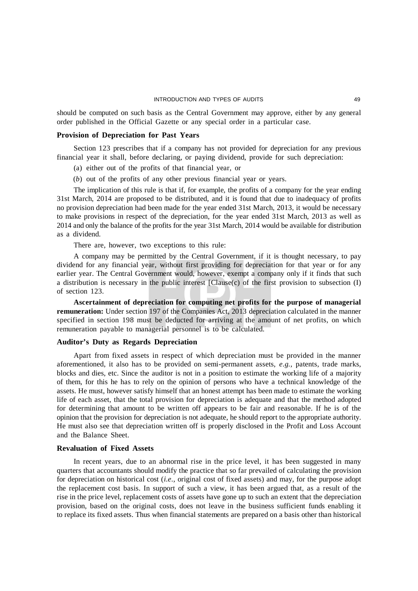should be computed on such basis as the Central Government may approve, either by any general order published in the Official Gazette or any special order in a particular case.

#### **Provision of Depreciation for Past Years**

Section 123 prescribes that if a company has not provided for depreciation for any previous financial year it shall, before declaring, or paying dividend, provide for such depreciation:

- (a) either out of the profits of that financial year, or
- (*b*) out of the profits of any other previous financial year or years.

The implication of this rule is that if, for example, the profits of a company for the year ending 31st March, 2014 are proposed to be distributed, and it is found that due to inadequacy of profits no provision depreciation had been made for the year ended 31st March, 2013, it would be necessary to make provisions in respect of the depreciation, for the year ended 31st March, 2013 as well as 2014 and only the balance of the profits for the year 31st March, 2014 would be available for distribution as a dividend.

There are, however, two exceptions to this rule:

A company may be permitted by the Central Government, if it is thought necessary, to pay dividend for any financial year, without first providing for depreciation for that year or for any earlier year. The Central Government would, however, exempt a company only if it finds that such a distribution is necessary in the public interest [Clause(c) of the first provision to subsection (I) of section 123.

**Ascertainment of depreciation for computing net profits for the purpose of managerial remuneration:** Under section 197 of the Companies Act, 2013 depreciation calculated in the manner specified in section 198 must be deducted for arriving at the amount of net profits, on which remuneration payable to managerial personnel is to be calculated.

#### **Auditor's Duty as Regards Depreciation**

Apart from fixed assets in respect of which depreciation must be provided in the manner aforementioned, it also has to be provided on semi-permanent assets, *e.g.,* patents, trade marks, blocks and dies, etc. Since the auditor is not in a position to estimate the working life of a majority of them, for this he has to rely on the opinion of persons who have a technical knowledge of the assets. He must, however satisfy himself that an honest attempt has been made to estimate the working life of each asset, that the total provision for depreciation is adequate and that the method adopted for determining that amount to be written off appears to be fair and reasonable. If he is of the opinion that the provision for depreciation is not adequate, he should report to the appropriate authority. He must also see that depreciation written off is properly disclosed in the Profit and Loss Account and the Balance Sheet.

## **Revaluation of Fixed Assets**

In recent years, due to an abnormal rise in the price level, it has been suggested in many quarters that accountants should modify the practice that so far prevailed of calculating the provision for depreciation on historical cost (*i.e.,* original cost of fixed assets) and may, for the purpose adopt the replacement cost basis. In support of such a view, it has been argued that, as a result of the rise in the price level, replacement costs of assets have gone up to such an extent that the depreciation provision, based on the original costs, does not leave in the business sufficient funds enabling it to replace its fixed assets. Thus when financial statements are prepared on a basis other than historical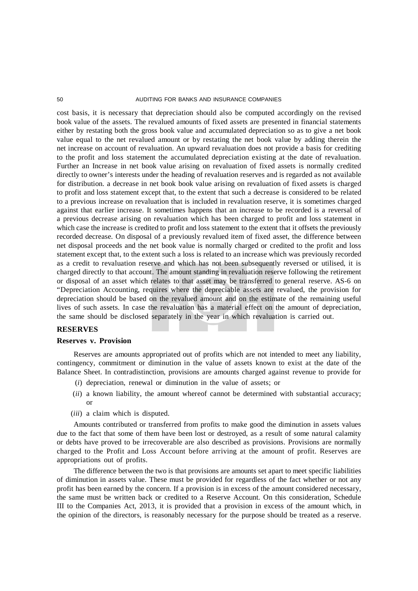cost basis, it is necessary that depreciation should also be computed accordingly on the revised book value of the assets. The revalued amounts of fixed assets are presented in financial statements either by restating both the gross book value and accumulated depreciation so as to give a net book value equal to the net revalued amount or by restating the net book value by adding therein the net increase on account of revaluation. An upward revaluation does not provide a basis for crediting to the profit and loss statement the accumulated depreciation existing at the date of revaluation. Further an Increase in net book value arising on revaluation of fixed assets is normally credited directly to owner's interests under the heading of revaluation reserves and is regarded as not available for distribution. a decrease in net book book value arising on revaluation of fixed assets is charged to profit and loss statement except that, to the extent that such a decrease is considered to be related to a previous increase on revaluation that is included in revaluation reserve, it is sometimes charged against that earlier increase. It sometimes happens that an increase to be recorded is a reversal of a previous decrease arising on revaluation which has been charged to profit and loss statement in which case the increase is credited to profit and loss statement to the extent that it offsets the previously recorded decrease. On disposal of a previously revalued item of fixed asset, the difference between net disposal proceeds and the net book value is normally charged or credited to the profit and loss statement except that, to the extent such a loss is related to an increase which was previously recorded as a credit to revaluation reserve and which has not been subsequently reversed or utilised, it is charged directly to that account. The amount standing in revaluation reserve following the retirement or disposal of an asset which relates to that asset may be transferred to general reserve. AS-6 on "Depreciation Accounting, requires where the depreciable assets are revalued, the provision for depreciation should be based on the revalued amount and on the estimate of the remaining useful lives of such assets. In case the revaluation has a material effect on the amount of depreciation, the same should be disclosed separately in the year in which revaluation is carried out.

#### **RESERVES**

#### **Reserves v. Provision**

Reserves are amounts appropriated out of profits which are not intended to meet any liability, contingency, commitment or diminution in the value of assets known to exist at the date of the Balance Sheet. In contradistinction, provisions are amounts charged against revenue to provide for

- (*i*) depreciation, renewal or diminution in the value of assets; or
- (*ii*) a known liability, the amount whereof cannot be determined with substantial accuracy; or
- (*iii*) a claim which is disputed.

Amounts contributed or transferred from profits to make good the diminution in assets values due to the fact that some of them have been lost or destroyed, as a result of some natural calamity or debts have proved to be irrecoverable are also described as provisions. Provisions are normally charged to the Profit and Loss Account before arriving at the amount of profit. Reserves are appropriations out of profits.

The difference between the two is that provisions are amounts set apart to meet specific liabilities of diminution in assets value. These must be provided for regardless of the fact whether or not any profit has been earned by the concern. If a provision is in excess of the amount considered necessary, the same must be written back or credited to a Reserve Account. On this consideration, Schedule III to the Companies Act, 2013, it is provided that a provision in excess of the amount which, in the opinion of the directors, is reasonably necessary for the purpose should be treated as a reserve.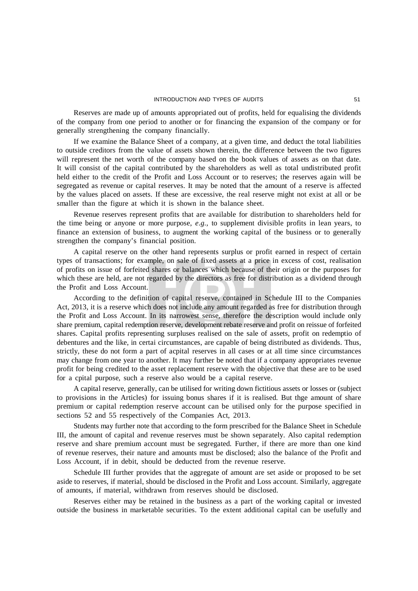Reserves are made up of amounts appropriated out of profits, held for equalising the dividends of the company from one period to another or for financing the expansion of the company or for generally strengthening the company financially.

If we examine the Balance Sheet of a company, at a given time, and deduct the total liabilities to outside creditors from the value of assets shown therein, the difference between the two figures will represent the net worth of the company based on the book values of assets as on that date. It will consist of the capital contributed by the shareholders as well as total undistributed profit held either to the credit of the Profit and Loss Account or to reserves; the reserves again will be segregated as revenue or capital reserves. It may be noted that the amount of a reserve is affected by the values placed on assets. If these are excessive, the real reserve might not exist at all or be smaller than the figure at which it is shown in the balance sheet.

Revenue reserves represent profits that are available for distribution to shareholders held for the time being or anyone or more purpose, *e.g.,* to supplement divisible profits in lean years, to finance an extension of business, to augment the working capital of the business or to generally strengthen the company's financial position.

A capital reserve on the other hand represents surplus or profit earned in respect of certain types of transactions; for example, on sale of fixed assets at a price in excess of cost, realisation of profits on issue of forfeited shares or balances which because of their origin or the purposes for which these are held, are not regarded by the directors as free for distribution as a dividend through the Profit and Loss Account.

According to the definition of capital reserve, contained in Schedule III to the Companies Act, 2013, it is a reserve which does not include any amount regarded as free for distribution through the Profit and Loss Account. In its narrowest sense, therefore the description would include only share premium, capital redemption reserve, development rebate reserve and profit on reissue of forfeited shares. Capital profits representing surpluses realised on the sale of assets, profit on redemptio of debentures and the like, in certai circumstances, are capable of being distributed as dividends. Thus, strictly, these do not form a part of acpital reserves in all cases or at all time since circumstances may change from one year to another. It may further be noted that if a company appropriates revenue profit for being credited to the asset replacement reserve with the objective that these are to be used for a cpital purpose, such a reserve also would be a capital reserve.

A capital reserve, generally, can be utilised for writing down fictitious assets or losses or (subject to provisions in the Articles) for issuing bonus shares if it is realised. But thge amount of share premium or capital redemption reserve account can be utilised only for the purpose specified in sections 52 and 55 respectively of the Companies Act, 2013.

Students may further note that according to the form prescribed for the Balance Sheet in Schedule III, the amount of capital and revenue reserves must be shown separately. Also capital redemption reserve and share premium account must be segregated. Further, if there are more than one kind of revenue reserves, their nature and amounts must be disclosed; also the balance of the Profit and Loss Account, if in debit, should be deducted from the revenue reserve.

Schedule III further provides that the aggregate of amount are set aside or proposed to be set aside to reserves, if material, should be disclosed in the Profit and Loss account. Similarly, aggregate of amounts, if material, withdrawn from reserves should be disclosed.

Reserves either may be retained in the business as a part of the working capital or invested outside the business in marketable securities. To the extent additional capital can be usefully and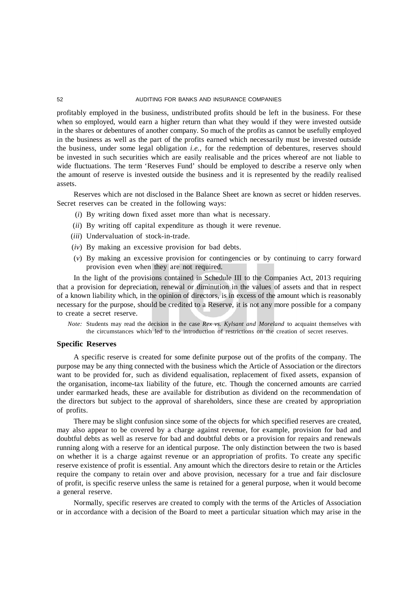profitably employed in the business, undistributed profits should be left in the business. For these when so employed, would earn a higher return than what they would if they were invested outside in the shares or debentures of another company. So much of the profits as cannot be usefully employed in the business as well as the part of the profits earned which necessarily must be invested outside the business, under some legal obligation *i.e.,* for the redemption of debentures, reserves should be invested in such securities which are easily realisable and the prices whereof are not liable to wide fluctuations. The term 'Reserves Fund' should be employed to describe a reserve only when the amount of reserve is invested outside the business and it is represented by the readily realised assets.

Reserves which are not disclosed in the Balance Sheet are known as secret or hidden reserves. Secret reserves can be created in the following ways:

- (*i*) By writing down fixed asset more than what is necessary.
- (*ii*) By writing off capital expenditure as though it were revenue.
- (*iii*) Undervaluation of stock-in-trade.
- (*iv*) By making an excessive provision for bad debts.
- (*v*) By making an excessive provision for contingencies or by continuing to carry forward provision even when they are not required.

In the light of the provisions contained in Schedule III to the Companies Act, 2013 requiring that a provision for depreciation, renewal or diminution in the values of assets and that in respect of a known liability which, in the opinion of directors, is in excess of the amount which is reasonably necessary for the purpose, should be credited to a Reserve, it is not any more possible for a company to create a secret reserve.

*Note:* Students may read the decision in the case *Rex vs. Kylsant and Moreland* to acquaint themselves with the circumstances which led to the introduction of restrictions on the creation of secret reserves.

#### **Specific Reserves**

A specific reserve is created for some definite purpose out of the profits of the company. The purpose may be any thing connected with the business which the Article of Association or the directors want to be provided for, such as dividend equalisation, replacement of fixed assets, expansion of the organisation, income-tax liability of the future, etc. Though the concerned amounts are carried under earmarked heads, these are available for distribution as dividend on the recommendation of the directors but subject to the approval of shareholders, since these are created by appropriation of profits.

There may be slight confusion since some of the objects for which specified reserves are created, may also appear to be covered by a charge against revenue, for example, provision for bad and doubtful debts as well as reserve for bad and doubtful debts or a provision for repairs and renewals running along with a reserve for an identical purpose. The only distinction between the two is based on whether it is a charge against revenue or an appropriation of profits. To create any specific reserve existence of profit is essential. Any amount which the directors desire to retain or the Articles require the company to retain over and above provision, necessary for a true and fair disclosure of profit, is specific reserve unless the same is retained for a general purpose, when it would become a general reserve.

Normally, specific reserves are created to comply with the terms of the Articles of Association or in accordance with a decision of the Board to meet a particular situation which may arise in the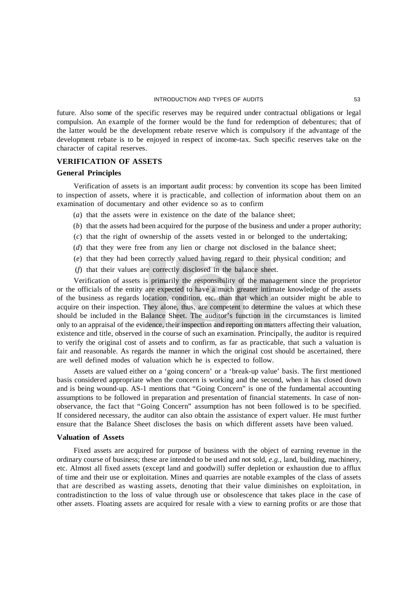future. Also some of the specific reserves may be required under contractual obligations or legal compulsion. An example of the former would be the fund for redemption of debentures; that of the latter would be the development rebate reserve which is compulsory if the advantage of the development rebate is to be enjoyed in respect of income-tax. Such specific reserves take on the character of capital reserves.

## **VERIFICATION OF ASSETS**

# **General Principles**

Verification of assets is an important audit process: by convention its scope has been limited to inspection of assets, where it is practicable, and collection of information about them on an examination of documentary and other evidence so as to confirm

- (*a*) that the assets were in existence on the date of the balance sheet;
- (*b*) that the assets had been acquired for the purpose of the business and under a proper authority;
- (*c*) that the right of ownership of the assets vested in or belonged to the undertaking;
- (*d*) that they were free from any lien or charge not disclosed in the balance sheet;
- (*e*) that they had been correctly valued having regard to their physical condition; and
- (*f*) that their values are correctly disclosed in the balance sheet.

Verification of assets is primarily the responsibility of the management since the proprietor or the officials of the entity are expected to have a much greater intimate knowledge of the assets of the business as regards location, condition, etc. than that which an outsider might be able to acquire on their inspection. They alone, thus, are competent to determine the values at which these should be included in the Balance Sheet. The auditor's function in the circumstances is limited only to an appraisal of the evidence, their inspection and reporting on matters affecting their valuation, existence and title, observed in the course of such an examination. Principally, the auditor is required to verify the original cost of assets and to confirm, as far as practicable, that such a valuation is fair and reasonable. As regards the manner in which the original cost should be ascertained, there are well defined modes of valuation which he is expected to follow.

Assets are valued either on a 'going concern' or a 'break-up value' basis. The first mentioned basis considered appropriate when the concern is working and the second, when it has closed down and is being wound-up. AS-1 mentions that "Going Concern" is one of the fundamental accounting assumptions to be followed in preparation and presentation of financial statements. In case of nonobservance, the fact that "Going Concern" assumption has not been followed is to be specified. If considered necessary, the auditor can also obtain the assistance of expert valuer. He must further ensure that the Balance Sheet discloses the basis on which different assets have been valued.

#### **Valuation of Assets**

Fixed assets are acquired for purpose of business with the object of earning revenue in the ordinary course of business; these are intended to be used and not sold, *e.g.,* land, building, machinery, etc. Almost all fixed assets (except land and goodwill) suffer depletion or exhaustion due to afflux of time and their use or exploitation. Mines and quarries are notable examples of the class of assets that are described as wasting assets, denoting that their value diminishes on exploitation, in contradistinction to the loss of value through use or obsolescence that takes place in the case of other assets. Floating assets are acquired for resale with a view to earning profits or are those that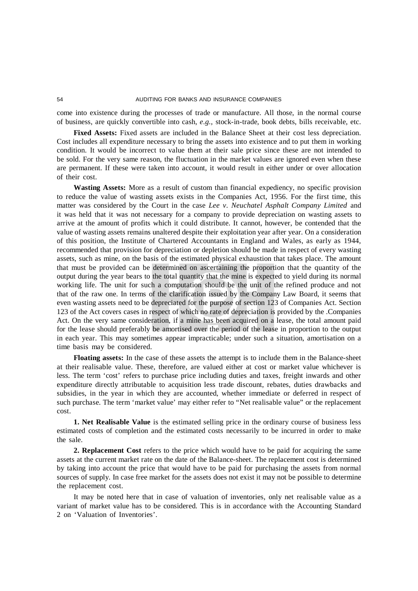come into existence during the processes of trade or manufacture. All those, in the normal course of business, are quickly convertible into cash, *e.g.,* stock-in-trade, book debts, bills receivable, etc.

**Fixed Assets:** Fixed assets are included in the Balance Sheet at their cost less depreciation. Cost includes all expenditure necessary to bring the assets into existence and to put them in working condition. It would be incorrect to value them at their sale price since these are not intended to be sold. For the very same reason, the fluctuation in the market values are ignored even when these are permanent. If these were taken into account, it would result in either under or over allocation of their cost.

**Wasting Assets:** More as a result of custom than financial expediency, no specific provision to reduce the value of wasting assets exists in the Companies Act, 1956. For the first time, this matter was considered by the Court in the case *Lee v. Neuchatel Asphalt Company Limited* and it was held that it was not necessary for a company to provide depreciation on wasting assets to arrive at the amount of profits which it could distribute. It cannot, however, be contended that the value of wasting assets remains unaltered despite their exploitation year after year. On a consideration of this position, the Institute of Chartered Accountants in England and Wales, as early as 1944, recommended that provision for depreciation or depletion should be made in respect of every wasting assets, such as mine, on the basis of the estimated physical exhaustion that takes place. The amount that must be provided can be determined on ascertaining the proportion that the quantity of the output during the year bears to the total quantity that the mine is expected to yield during its normal working life. The unit for such a computation should be the unit of the refined produce and not that of the raw one. In terms of the clarification issued by the Company Law Board, it seems that even wasting assets need to be depreciated for the purpose of section 123 of Companies Act. Section 123 of the Act covers cases in respect of which no rate of depreciation is provided by the .Companies Act. On the very same consideration, if a mine has been acquired on a lease, the total amount paid for the lease should preferably be amortised over the period of the lease in proportion to the output in each year. This may sometimes appear impracticable; under such a situation, amortisation on a time basis may be considered.

**Floating assets:** In the case of these assets the attempt is to include them in the Balance-sheet at their realisable value. These, therefore, are valued either at cost or market value whichever is less. The term 'cost' refers to purchase price including duties and taxes, freight inwards and other expenditure directly attributable to acquisition less trade discount, rebates, duties drawbacks and subsidies, in the year in which they are accounted, whether immediate or deferred in respect of such purchase. The term 'market value' may either refer to "Net realisable value" or the replacement cost.

**1. Net Realisable Value** is the estimated selling price in the ordinary course of business less estimated costs of completion and the estimated costs necessarily to be incurred in order to make the sale.

**2. Replacement Cost** refers to the price which would have to be paid for acquiring the same assets at the current market rate on the date of the Balance-sheet. The replacement cost is determined by taking into account the price that would have to be paid for purchasing the assets from normal sources of supply. In case free market for the assets does not exist it may not be possible to determine the replacement cost.

It may be noted here that in case of valuation of inventories, only net realisable value as a variant of market value has to be considered. This is in accordance with the Accounting Standard 2 on 'Valuation of Inventories'.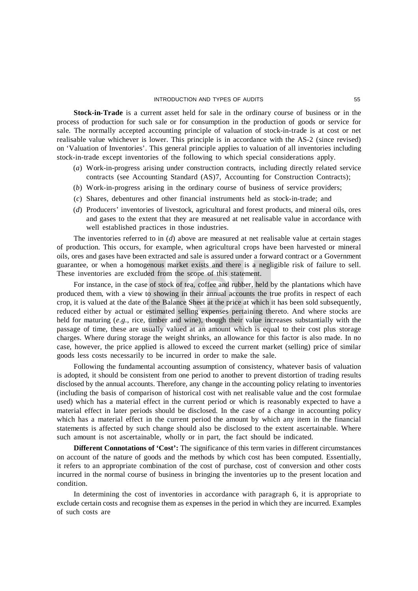**Stock-in-Trade** is a current asset held for sale in the ordinary course of business or in the process of production for such sale or for consumption in the production of goods or service for sale. The normally accepted accounting principle of valuation of stock-in-trade is at cost or net realisable value whichever is lower. This principle is in accordance with the AS-2 (since revised) on 'Valuation of Inventories'. This general principle applies to valuation of all inventories including stock-in-trade except inventories of the following to which special considerations apply.

- (*a*) Work-in-progress arising under construction contracts, including directly related service contracts (see Accounting Standard (AS)7, Accounting for Construction Contracts);
- (*b*) Work-in-progress arising in the ordinary course of business of service providers;
- (*c*) Shares, debentures and other financial instruments held as stock-in-trade; and
- (*d*) Producers' inventories of livestock, agricultural and forest products, and mineral oils, ores and gases to the extent that they are measured at net realisable value in accordance with well established practices in those industries.

The inventories referred to in (*d*) above are measured at net realisable value at certain stages of production. This occurs, for example, when agricultural crops have been harvested or mineral oils, ores and gases have been extracted and sale is assured under a forward contract or a Government guarantee, or when a homogenous market exists and there is a negligible risk of failure to sell. These inventories are excluded from the scope of this statement.

For instance, in the case of stock of tea, coffee and rubber, held by the plantations which have produced them, with a view to showing in their annual accounts the true profits in respect of each crop, it is valued at the date of the Balance Sheet at the price at which it has been sold subsequently, reduced either by actual or estimated selling expenses pertaining thereto. And where stocks are held for maturing (*e.g.,* rice, timber and wine), though their value increases substantially with the passage of time, these are usually valued at an amount which is equal to their cost plus storage charges. Where during storage the weight shrinks, an allowance for this factor is also made. In no case, however, the price applied is allowed to exceed the current market (selling) price of similar goods less costs necessarily to be incurred in order to make the sale.

Following the fundamental accounting assumption of consistency, whatever basis of valuation is adopted, it should be consistent from one period to another to prevent distortion of trading results disclosed by the annual accounts. Therefore, any change in the accounting policy relating to inventories (including the basis of comparison of historical cost with net realisable value and the cost formulae used) which has a material effect in the current period or which is reasonably expected to have a material effect in later periods should be disclosed. In the case of a change in accounting policy which has a material effect in the current period the amount by which any item in the financial statements is affected by such change should also be disclosed to the extent ascertainable. Where such amount is not ascertainable, wholly or in part, the fact should be indicated.

**Different Connotations of 'Cost':** The significance of this term varies in different circumstances on account of the nature of goods and the methods by which cost has been computed. Essentially, it refers to an appropriate combination of the cost of purchase, cost of conversion and other costs incurred in the normal course of business in bringing the inventories up to the present location and condition.

In determining the cost of inventories in accordance with paragraph 6, it is appropriate to exclude certain costs and recognise them as expenses in the period in which they are incurred. Examples of such costs are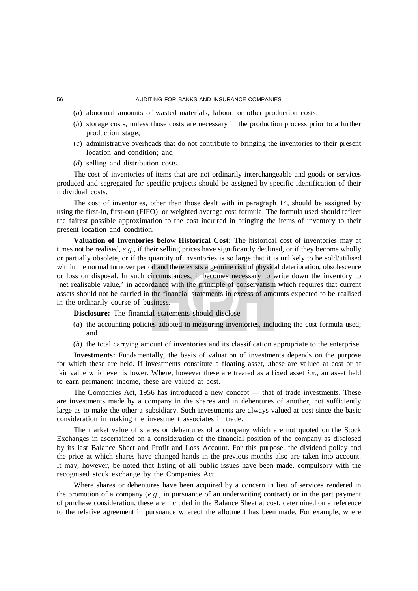- (*a*) abnormal amounts of wasted materials, labour, or other production costs;
- (*b*) storage costs, unless those costs are necessary in the production process prior to a further production stage;
- (*c*) administrative overheads that do not contribute to bringing the inventories to their present location and condition; and
- (*d*) selling and distribution costs.

The cost of inventories of items that are not ordinarily interchangeable and goods or services produced and segregated for specific projects should be assigned by specific identification of their individual costs.

The cost of inventories, other than those dealt with in paragraph 14, should be assigned by using the first-in, first-out (FIFO), or weighted average cost formula. The formula used should reflect the fairest possible approximation to the cost incurred in bringing the items of inventory to their present location and condition.

**Valuation of Inventories below Historical Cost:** The historical cost of inventories may at times not be realised, *e.g.,* if their selling prices have significantly declined, or if they become wholly or partially obsolete, or if the quantity of inventories is so large that it is unlikely to be sold/utilised within the normal turnover period and there exists a genuine risk of physical deterioration, obsolescence or loss on disposal. In such circumstances, it becomes necessary to write down the inventory to 'net realisable value,' in accordance with the principle of conservatism which requires that current assets should not be carried in the financial statements in excess of amounts expected to be realised in the ordinarily course of business.

**Disclosure:** The financial statements should disclose

- (*a*) the accounting policies adopted in measuring inventories, including the cost formula used; and
- (*b*) the total carrying amount of inventories and its classification appropriate to the enterprise.

**Investments:** Fundamentally, the basis of valuation of investments depends on the purpose for which these are held. If investments constitute a floating asset, .these are valued at cost or at fair value whichever is lower. Where, however these are treated as a fixed asset *i.e.,* an asset held to earn permanent income, these are valued at cost.

The Companies Act, 1956 has introduced a new concept — that of trade investments. These are investments made by a company in the shares and in debentures of another, not sufficiently large as to make the other a subsidiary. Such investments are always valued at cost since the basic consideration in making the investment associates in trade.

The market value of shares or debentures of a company which are not quoted on the Stock Exchanges in ascertained on a consideration of the financial position of the company as disclosed by its last Balance Sheet and Profit and Loss Account. For this purpose, the dividend policy and the price at which shares have changed hands in the previous months also are taken into account. It may, however, be noted that listing of all public issues have been made. compulsory with the recognised stock exchange by the Companies Act.

Where shares or debentures have been acquired by a concern in lieu of services rendered in the promotion of a company (*e.g.,* in pursuance of an underwriting contract) or in the part payment of purchase consideration, these are included in the Balance Sheet at cost, determined on a reference to the relative agreement in pursuance whereof the allotment has been made. For example, where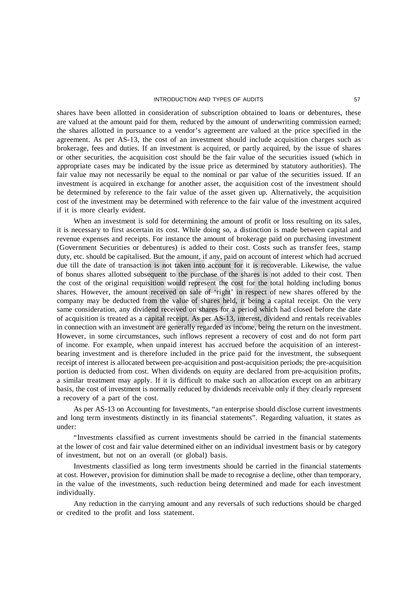#### INTRODUCTION AND TYPES OF AUDITS **1999 120 ST**

shares have been allotted in consideration of subscription obtained to loans or debentures, these are valued at the amount paid for them, reduced by the amount of underwriting commission earned; the shares allotted in pursuance to a vendor's agreement are valued at the price specified in the agreement. As per AS-13, the cost of an investment should include acquisition charges such as brokerage, fees and duties. If an investment is acquired, or partly acquired, by the issue of shares or other securities, the acquisition cost should be the fair value of the securities issued (which in appropriate cases may be indicated by the issue price as determined by statutory authorities). The fair value may not necessarily be equal to the nominal or par value of the securities issued. If an investment is acquired in exchange for another asset, the acquisition cost of the investment should be determined by reference to the fair value of the asset given up. Alternatively, the acquisition cost of the investment may be determined with reference to the fair value of the investment acquired if it is more clearly evident.

When an investment is sold for determining the amount of profit or loss resulting on its sales, it is necessary to first ascertain its cost. While doing so, a distinction is made between capital and revenue expenses and receipts. For instance the amount of brokerage paid on purchasing investment (Government Securities or debentures) is added to their cost. Costs such as transfer fees, stamp duty, etc. should be capitalised. But the amount, if any, paid on account of interest which had accrued due till the date of transaction is not taken into account for it is recoverable. Likewise, the value of bonus shares allotted subsequent to the purchase of the shares is not added to their cost. Then the cost of the original requisition would represent the cost for the total holding including bonus shares. However, the amount received on sale of 'right' in respect of new shares offered by the company may be deducted from the value of shares held, it being a capital receipt. On the very same consideration, any dividend received on shares for a period which had closed before the date of acquisition is treated as a capital receipt. As per AS-13, interest, dividend and rentals receivables in connection with an investment are generally regarded as income, being the return on the investment. However, in some circumstances, such inflows represent a recovery of cost and do not form part of income. For example, when unpaid interest has accrued before the acquisition of an interestbearing investment and is therefore included in the price paid for the investment, the subsequent receipt of interest is allocated between pre-acquisition and post-acquisition periods; the pre-acquisition portion is deducted from cost. When dividends on equity are declared from pre-acquisition profits, a similar treatment may apply. If it is difficult to make such an allocation except on an arbitrary basis, the cost of investment is normally reduced by dividends receivable only if they clearly represent a recovery of a part of the cost.

As per AS-13 on Accounting for Investments, "an enterprise should disclose current investments and long term investments distinctly in its financial statements". Regarding valuation, it states as under:

"Investments classified as current investments should be carried in the financial statements at the lower of cost and fair value determined either on an individual investment basis or by category of investment, but not on an overall (or global) basis.

Investments classified as long term investments should be carried in the financial statements at cost. However, provision for diminution shall be made to recognise a decline, other than temporary, in the value of the investments, such reduction being determined and made for each investment individually.

Any reduction in the carrying amount and any reversals of such reductions should be charged or credited to the profit and loss statement.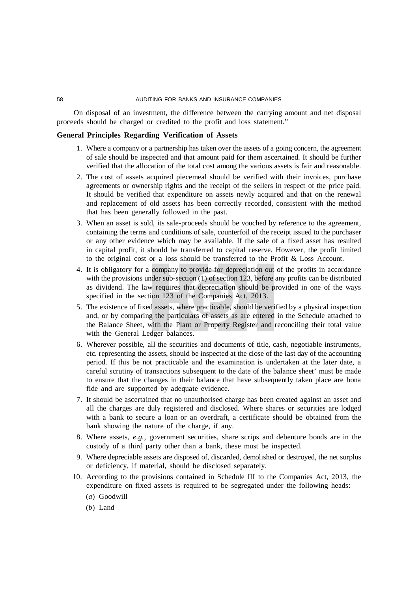On disposal of an investment, the difference between the carrying amount and net disposal proceeds should be charged or credited to the profit and loss statement."

# **General Principles Regarding Verification of Assets**

- 1. Where a company or a partnership has taken over the assets of a going concern, the agreement of sale should be inspected and that amount paid for them ascertained. It should be further verified that the allocation of the total cost among the various assets is fair and reasonable.
- 2. The cost of assets acquired piecemeal should be verified with their invoices, purchase agreements or ownership rights and the receipt of the sellers in respect of the price paid. It should be verified that expenditure on assets newly acquired and that on the renewal and replacement of old assets has been correctly recorded, consistent with the method that has been generally followed in the past.
- 3. When an asset is sold, its sale-proceeds should be vouched by reference to the agreement, containing the terms and conditions of sale, counterfoil of the receipt issued to the purchaser or any other evidence which may be available. If the sale of a fixed asset has resulted in capital profit, it should be transferred to capital reserve. However, the profit limited to the original cost or a loss should be transferred to the Profit & Loss Account.
- 4. It is obligatory for a company to provide for depreciation out of the profits in accordance with the provisions under sub-section (1) of section 123, before any profits can be distributed as dividend. The law requires that depreciation should be provided in one of the ways specified in the section 123 of the Companies Act, 2013.
- 5. The existence of fixed assets, where practicable, should be verified by a physical inspection and, or by comparing the particulars of assets as are entered in the Schedule attached to the Balance Sheet, with the Plant or Property Register and reconciling their total value with the General Ledger balances.
- 6. Wherever possible, all the securities and documents of title, cash, negotiable instruments, etc. representing the assets, should be inspected at the close of the last day of the accounting period. If this be not practicable and the examination is undertaken at the later date, a careful scrutiny of transactions subsequent to the date of the balance sheet' must be made to ensure that the changes in their balance that have subsequently taken place are bona fide and are supported by adequate evidence.
- 7. It should be ascertained that no unauthorised charge has been created against an asset and all the charges are duly registered and disclosed. Where shares or securities are lodged with a bank to secure a loan or an overdraft, a certificate should be obtained from the bank showing the nature of the charge, if any.
- 8. Where assets, *e.g.,* government securities, share scrips and debenture bonds are in the custody of a third party other than a bank, these must be inspected.
- 9. Where depreciable assets are disposed of, discarded, demolished or destroyed, the net surplus or deficiency, if material, should be disclosed separately.
- 10. According to the provisions contained in Schedule III to the Companies Act, 2013, the expenditure on fixed assets is required to be segregated under the following heads:
	- (*a*) Goodwill
	- (*b*) Land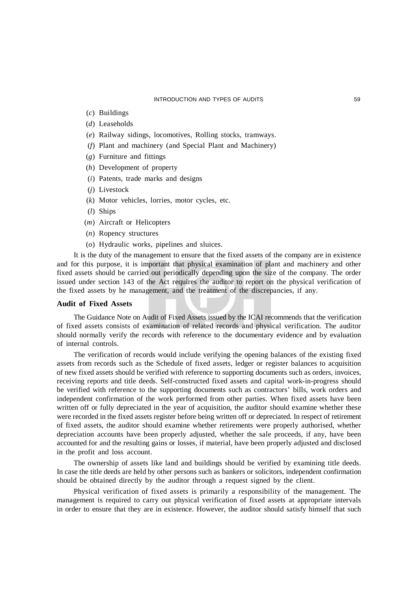- (*c*) Buildings
- (*d*) Leaseholds
- (*e*) Railway sidings, locomotives, Rolling stocks, tramways.
- (*f*) Plant and machinery (and Special Plant and Machinery)
- (*g*) Furniture and fittings
- (*h*) Development of property
- (*i*) Patents, trade marks and designs
- (*j*) Livestock
- (*k*) Motor vehicles, lorries, motor cycles, etc.
- (*l*) Ships
- (*m*) Aircraft or Helicopters
- (*n*) Ropency structures
- (*o*) Hydraulic works, pipelines and sluices.

It is the duty of the management to ensure that the fixed assets of the company are in existence and for this purpose, it is important that physical examination of plant and machinery and other fixed assets should be carried out periodically depending upon the size of the company. The order issued under section 143 of the Act requires the auditor to report on the physical verification of the fixed assets by he management, and the treatment of the discrepancies, if any.

## **Audit of Fixed Assets**

The Guidance Note on Audit of Fixed Assets issued by the ICAI recommends that the verification of fixed assets consists of examination of related records and physical verification. The auditor should normally verify the records with reference to the documentary evidence and by evaluation of internal controls.

The verification of records would include verifying the opening balances of the existing fixed assets from records such as the Schedule of fixed assets, ledger or register balances to acquisition of new fixed assets should be verified with reference to supporting documents such as orders, invoices, receiving reports and title deeds. Self-constructed fixed assets and capital work-in-progress should be verified with reference to the supporting documents such as contractors' bills, work orders and independent confirmation of the work performed from other parties. When fixed assets have been written off or fully depreciated in the year of acquisition, the auditor should examine whether these were recorded in the fixed assets register before being written off or depreciated. In respect of retirement of fixed assets, the auditor should examine whether retirements were properly authorised, whether depreciation accounts have been properly adjusted, whether the sale proceeds, if any, have been accounted for and the resulting gains or losses, if material, have been properly adjusted and disclosed in the profit and loss account.

The ownership of assets like land and buildings should be verified by examining title deeds. In case the title deeds are held by other persons such as bankers or solicitors, independent confirmation should be obtained directly by the auditor through a request signed by the client.

Physical verification of fixed assets is primarily a responsibility of the management. The management is required to carry out physical verification of fixed assets at appropriate intervals in order to ensure that they are in existence. However, the auditor should satisfy himself that such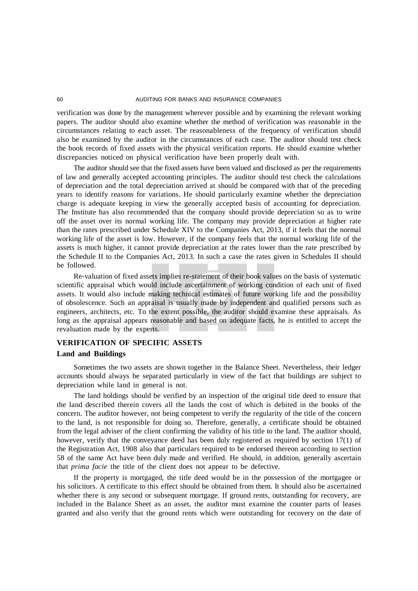verification was done by the management wherever possible and by examining the relevant working papers. The auditor should also examine whether the method of verification was reasonable in the circumstances relating to each asset. The reasonableness of the frequency of verification should also be examined by the auditor in the circumstances of each case. The auditor should test check the book records of fixed assets with the physical verification reports. He should examine whether discrepancies noticed on physical verification have been properly dealt with.

The auditor should see that the fixed assets have been valued and disclosed as per the requirements of law and generally accepted accounting principles. The auditor should test check the calculations of depreciation and the total depreciation arrived at should be compared with that of the preceding years to identify reasons for variations. He should particularly examine whether the depreciation charge is adequate keeping in view the generally accepted basis of accounting for depreciation. The Institute has also recommended that the company should provide depreciation so as to write off the asset over its normal working life. The company may provide depreciation at higher rate than the rates prescribed under Schedule XIV to the Companies Act, 2013, if it feels that the normal working life of the asset is low. However, if the company feels that the normal working life of the assets is much higher, it cannot provide depreciation at the rates lower than the rate prescribed by the Schedule II to the Companies Act, 2013. In such a case the rates given in Schedules II should be followed.

Re-valuation of fixed assets implies re-statement of their book values on the basis of systematic scientific appraisal which would include ascertainment of working condition of each unit of fixed assets. It would also include making technical estimates of future working life and the possibility of obsolescence. Such an appraisal is usually made by independent and qualified persons such as engineers, architects, etc. To the extent possible, the auditor should examine these appraisals. As long as the appraisal appears reasonable and based on adequate facts, he is entitled to accept the revaluation made by the experts.

# **VERIFICATION OF SPECIFIC ASSETS**

# **Land and Buildings**

Sometimes the two assets are shown together in the Balance Sheet. Nevertheless, their ledger accounts should always be separated particularly in view of the fact that buildings are subject to depreciation while land in general is not.

The land holdings should be verified by an inspection of the original title deed to ensure that the land described therein covers all the lands the cost of which is debited in the books of the concern. The auditor however, not being competent to verify the regularity of the title of the concern to the land, is not responsible for doing so. Therefore, generally, a certificate should be obtained from the legal adviser of the client confirming the validity of his title to the land. The auditor should, however, verify that the conveyance deed has been duly registered as required by section 17(1) of the Registration Act, 1908 also that particulars required to be endorsed thereon according to section 58 of the same Act have been duly made and verified. He should, in addition, generally ascertain that *prima facie* the title of the client does not appear to be defective.

If the property is mortgaged, the title deed would be in the possession of the mortgagee or his solicitors. A certificate to this effect should be obtained from them. It should also be ascertained whether there is any second or subsequent mortgage. If ground rents, outstanding for recovery, are included in the Balance Sheet as an asset, the auditor must examine the counter parts of leases granted and also verify that the ground rents which were outstanding for recovery on the date of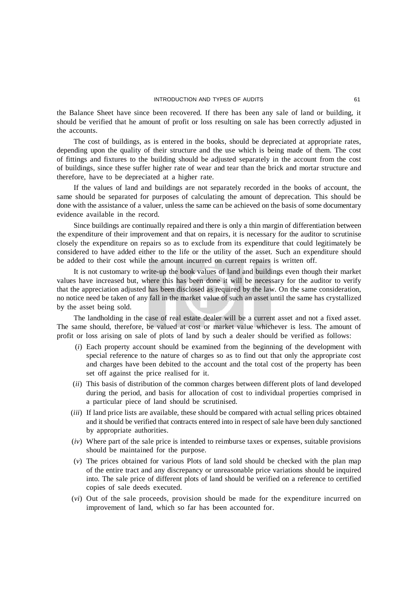the Balance Sheet have since been recovered. If there has been any sale of land or building, it should be verified that he amount of profit or loss resulting on sale has been correctly adjusted in the accounts.

The cost of buildings, as is entered in the books, should be depreciated at appropriate rates, depending upon the quality of their structure and the use which is being made of them. The cost of fittings and fixtures to the building should be adjusted separately in the account from the cost of buildings, since these suffer higher rate of wear and tear than the brick and mortar structure and therefore, have to be depreciated at a higher rate.

If the values of land and buildings are not separately recorded in the books of account, the same should be separated for purposes of calculating the amount of deprecation. This should be done with the assistance of a valuer, unless the same can be achieved on the basis of some documentary evidence available in the record.

Since buildings are continually repaired and there is only a thin margin of differentiation between the expenditure of their improvement and that on repairs, it is necessary for the auditor to scrutinise closely the expenditure on repairs so as to exclude from its expenditure that could legitimately be considered to have added either to the life or the utility of the asset. Such an expenditure should be added to their cost while the amount incurred on current repairs is written off.

It is not customary to write-up the book values of land and buildings even though their market values have increased but, where this has been done it will be necessary for the auditor to verify that the appreciation adjusted has been disclosed as required by the law. On the same consideration, no notice need be taken of any fall in the market value of such an asset until the same has crystallized by the asset being sold.

The landholding in the case of real estate dealer will be a current asset and not a fixed asset. The same should, therefore, be valued at cost or market value whichever is less. The amount of profit or loss arising on sale of plots of land by such a dealer should be verified as follows:

- (*i*) Each property account should be examined from the beginning of the development with special reference to the nature of charges so as to find out that only the appropriate cost and charges have been debited to the account and the total cost of the property has been set off against the price realised for it.
- (*ii*) This basis of distribution of the common charges between different plots of land developed during the period, and basis for allocation of cost to individual properties comprised in a particular piece of land should be scrutinised.
- (*iii*) If land price lists are available, these should be compared with actual selling prices obtained and it should be verified that contracts entered into in respect of sale have been duly sanctioned by appropriate authorities.
- (*iv*) Where part of the sale price is intended to reimburse taxes or expenses, suitable provisions should be maintained for the purpose.
- (*v*) The prices obtained for various Plots of land sold should be checked with the plan map of the entire tract and any discrepancy or unreasonable price variations should be inquired into. The sale price of different plots of land should be verified on a reference to certified copies of sale deeds executed.
- (*vi*) Out of the sale proceeds, provision should be made for the expenditure incurred on improvement of land, which so far has been accounted for.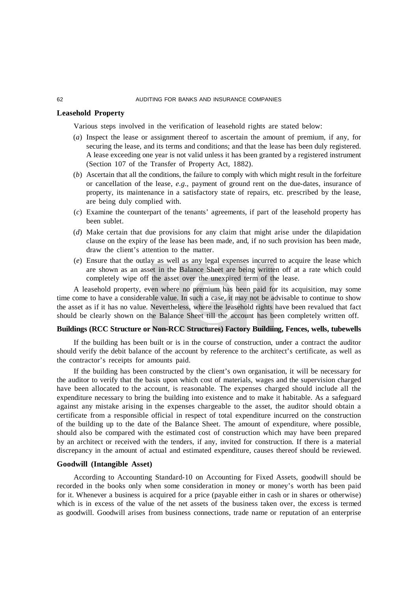## **Leasehold Property**

Various steps involved in the verification of leasehold rights are stated below:

- (*a*) Inspect the lease or assignment thereof to ascertain the amount of premium, if any, for securing the lease, and its terms and conditions; and that the lease has been duly registered. A lease exceeding one year is not valid unless it has been granted by a registered instrument (Section 107 of the Transfer of Property Act, 1882).
- (*b*) Ascertain that all the conditions, the failure to comply with which might result in the forfeiture or cancellation of the lease, *e.g.,* payment of ground rent on the due-dates, insurance of property, its maintenance in a satisfactory state of repairs, etc. prescribed by the lease, are being duly complied with.
- (*c*) Examine the counterpart of the tenants' agreements, if part of the leasehold property has been sublet.
- (*d*) Make certain that due provisions for any claim that might arise under the dilapidation clause on the expiry of the lease has been made, and, if no such provision has been made, draw the client's attention to the matter.
- (*e*) Ensure that the outlay as well as any legal expenses incurred to acquire the lease which are shown as an asset in the Balance Sheet are being written off at a rate which could completely wipe off the asset over the unexpired term of the lease.

A leasehold property, even where no premium has been paid for its acquisition, may some time come to have a considerable value. In such a case, it may not be advisable to continue to show the asset as if it has no value. Nevertheless, where the leasehold rights have been revalued that fact should be clearly shown on the Balance Sheet till the account has been completely written off.

## **Buildings (RCC Structure or Non-RCC Structures) Factory Buildiing, Fences, wells, tubewells**

If the building has been built or is in the course of construction, under a contract the auditor should verify the debit balance of the account by reference to the architect's certificate, as well as the contractor's receipts for amounts paid.

If the building has been constructed by the client's own organisation, it will be necessary for the auditor to verify that the basis upon which cost of materials, wages and the supervision charged have been allocated to the account, is reasonable. The expenses charged should include all the expenditure necessary to bring the building into existence and to make it habitable. As a safeguard against any mistake arising in the expenses chargeable to the asset, the auditor should obtain a certificate from a responsible official in respect of total expenditure incurred on the construction of the building up to the date of the Balance Sheet. The amount of expenditure, where possible, should also be compared with the estimated cost of construction which may have been prepared by an architect or received with the tenders, if any, invited for construction. If there is a material discrepancy in the amount of actual and estimated expenditure, causes thereof should be reviewed.

## **Goodwill (Intangible Asset)**

According to Accounting Standard-10 on Accounting for Fixed Assets, goodwill should be recorded in the books only when some consideration in money or money's worth has been paid for it. Whenever a business is acquired for a price (payable either in cash or in shares or otherwise) which is in excess of the value of the net assets of the business taken over, the excess is termed as goodwill. Goodwill arises from business connections, trade name or reputation of an enterprise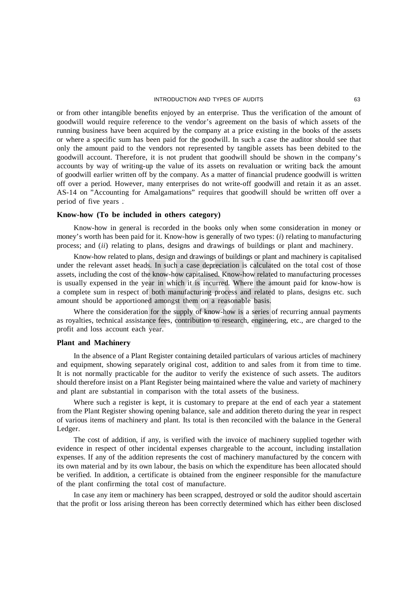or from other intangible benefits enjoyed by an enterprise. Thus the verification of the amount of goodwill would require reference to the vendor's agreement on the basis of which assets of the running business have been acquired by the company at a price existing in the books of the assets or where a specific sum has been paid for the goodwill. In such a case the auditor should see that only the amount paid to the vendors not represented by tangible assets has been debited to the goodwill account. Therefore, it is not prudent that goodwill should be shown in the company's accounts by way of writing-up the value of its assets on revaluation or writing back the amount of goodwill earlier written off by the company. As a matter of financial prudence goodwill is written off over a period. However, many enterprises do not write-off goodwill and retain it as an asset. AS-14 on "Accounting for Amalgamations" requires that goodwill should be written off over a period of five years .

## **Know-how (To be included in others category)**

Know-how in general is recorded in the books only when some consideration in money or money's worth has been paid for it. Know-how is generally of two types: (*i*) relating to manufacturing process; and (*ii*) relating to plans, designs and drawings of buildings or plant and machinery.

Know-how related to plans, design and drawings of buildings or plant and machinery is capitalised under the relevant asset heads. In such a case depreciation is calculated on the total cost of those assets, including the cost of the know-how capitalised. Know-how related to manufacturing processes is usually expensed in the year in which it is incurred. Where the amount paid for know-how is a complete sum in respect of both manufacturing process and related to plans, designs etc. such amount should be apportioned amongst them on a reasonable basis.

Where the consideration for the supply of know-how is a series of recurring annual payments as royalties, technical assistance fees, contribution to research, engineering, etc., are charged to the profit and loss account each year.

## **Plant and Machinery**

In the absence of a Plant Register containing detailed particulars of various articles of machinery and equipment, showing separately original cost, addition to and sales from it from time to time. It is not normally practicable for the auditor to verify the existence of such assets. The auditors should therefore insist on a Plant Register being maintained where the value and variety of machinery and plant are substantial in comparison with the total assets of the business.

Where such a register is kept, it is customary to prepare at the end of each year a statement from the Plant Register showing opening balance, sale and addition thereto during the year in respect of various items of machinery and plant. Its total is then reconciled with the balance in the General Ledger.

The cost of addition, if any, is verified with the invoice of machinery supplied together with evidence in respect of other incidental expenses chargeable to the account, including installation expenses. If any of the addition represents the cost of machinery manufactured by the concern with its own material and by its own labour, the basis on which the expenditure has been allocated should be verified. In addition, a certificate is obtained from the engineer responsible for the manufacture of the plant confirming the total cost of manufacture.

In case any item or machinery has been scrapped, destroyed or sold the auditor should ascertain that the profit or loss arising thereon has been correctly determined which has either been disclosed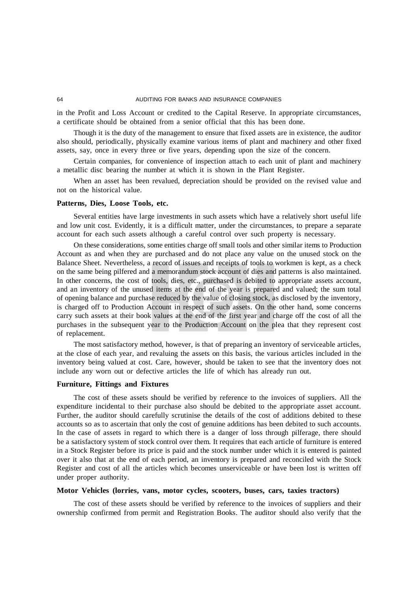#### 64 AUDITING FOR BANKS AND INSURANCE COMPANIES

in the Profit and Loss Account or credited to the Capital Reserve. In appropriate circumstances, a certificate should be obtained from a senior official that this has been done.

Though it is the duty of the management to ensure that fixed assets are in existence, the auditor also should, periodically, physically examine various items of plant and machinery and other fixed assets, say, once in every three or five years, depending upon the size of the concern.

Certain companies, for convenience of inspection attach to each unit of plant and machinery a metallic disc bearing the number at which it is shown in the Plant Register.

When an asset has been revalued, depreciation should be provided on the revised value and not on the historical value.

### **Patterns, Dies, Loose Tools, etc.**

Several entities have large investments in such assets which have a relatively short useful life and low unit cost. Evidently, it is a difficult matter, under the circumstances, to prepare a separate account for each such assets although a careful control over such property is necessary.

On these considerations, some entities charge off small tools and other similar items to Production Account as and when they are purchased and do not place any value on the unused stock on the Balance Sheet. Nevertheless, a record of issues and receipts of tools to workmen is kept, as a check on the same being pilfered and a memorandum stock account of dies and patterns is also maintained. In other concerns, the cost of tools, dies, etc., purchased is debited to appropriate assets account, and an inventory of the unused items at the end of the year is prepared and valued; the sum total of opening balance and purchase reduced by the value of closing stock, as disclosed by the inventory, is charged off to Production Account in respect of such assets. On the other hand, some concerns carry such assets at their book values at the end of the first year and charge off the cost of all the purchases in the subsequent year to the Production Account on the plea that they represent cost of replacement.

The most satisfactory method, however, is that of preparing an inventory of serviceable articles, at the close of each year, and revaluing the assets on this basis, the various articles included in the inventory being valued at cost. Care, however, should be taken to see that the inventory does not include any worn out or defective articles the life of which has already run out.

## **Furniture, Fittings and Fixtures**

The cost of these assets should be verified by reference to the invoices of suppliers. All the expenditure incidental to their purchase also should be debited to the appropriate asset account. Further, the auditor should carefully scrutinise the details of the cost of additions debited to these accounts so as to ascertain that only the cost of genuine additions has been debited to such accounts. In the case of assets in regard to which there is a danger of loss through pilferage, there should be a satisfactory system of stock control over them. It requires that each article of furniture is entered in a Stock Register before its price is paid and the stock number under which it is entered is painted over it also that at the end of each period, an inventory is prepared and reconciled with the Stock Register and cost of all the articles which becomes unserviceable or have been lost is written off under proper authority.

### **Motor Vehicles (lorries, vans, motor cycles, scooters, buses, cars, taxies tractors)**

The cost of these assets should be verified by reference to the invoices of suppliers and their ownership confirmed from permit and Registration Books. The auditor should also verify that the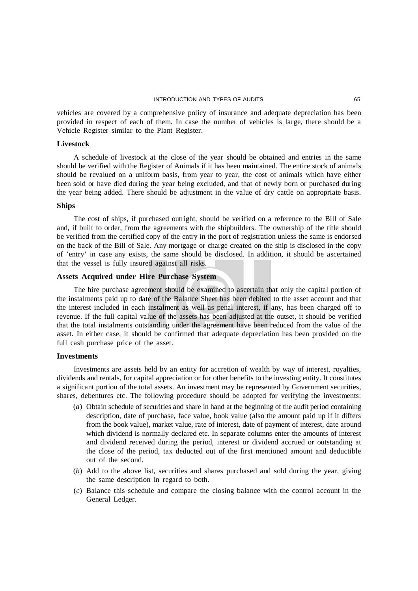vehicles are covered by a comprehensive policy of insurance and adequate depreciation has been provided in respect of each of them. In case the number of vehicles is large, there should be a Vehicle Register similar to the Plant Register.

## **Livestock**

A schedule of livestock at the close of the year should be obtained and entries in the same should be verified with the Register of Animals if it has been maintained. The entire stock of animals should be revalued on a uniform basis, from year to year, the cost of animals which have either been sold or have died during the year being excluded, and that of newly born or purchased during the year being added. There should be adjustment in the value of dry cattle on appropriate basis.

## **Ships**

The cost of ships, if purchased outright, should be verified on a reference to the Bill of Sale and, if built to order, from the agreements with the shipbuilders. The ownership of the title should be verified from the certified copy of the entry in the port of registration unless the same is endorsed on the back of the Bill of Sale. Any mortgage or charge created on the ship is disclosed in the copy of 'entry' in case any exists, the same should be disclosed. In addition, it should be ascertained that the vessel is fully insured against all risks.

## **Assets Acquired under Hire Purchase System**

The hire purchase agreement should be examined to ascertain that only the capital portion of the instalments paid up to date of the Balance Sheet has been debited to the asset account and that the interest included in each instalment as well as penal interest, if any, has been charged off to revenue. If the full capital value of the assets has been adjusted at the outset, it should be verified that the total instalments outstanding under the agreement have been reduced from the value of the asset. In either case, it should be confirmed that adequate depreciation has been provided on the full cash purchase price of the asset.

## **Investments**

Investments are assets held by an entity for accretion of wealth by way of interest, royalties, dividends and rentals, for capital appreciation or for other benefits to the investing entity. It constitutes a significant portion of the total assets. An investment may be represented by Government securities, shares, debentures etc. The following procedure should be adopted for verifying the investments:

- (*a*) Obtain schedule of securities and share in hand at the beginning of the audit period containing description, date of purchase, face value, book value (also the amount paid up if it differs from the book value), market value, rate of interest, date of payment of interest, date around which dividend is normally declared etc. In separate columns enter the amounts of interest and dividend received during the period, interest or dividend accrued or outstanding at the close of the period, tax deducted out of the first mentioned amount and deductible out of the second.
- (*b*) Add to the above list, securities and shares purchased and sold during the year, giving the same description in regard to both.
- (*c*) Balance this schedule and compare the closing balance with the control account in the General Ledger.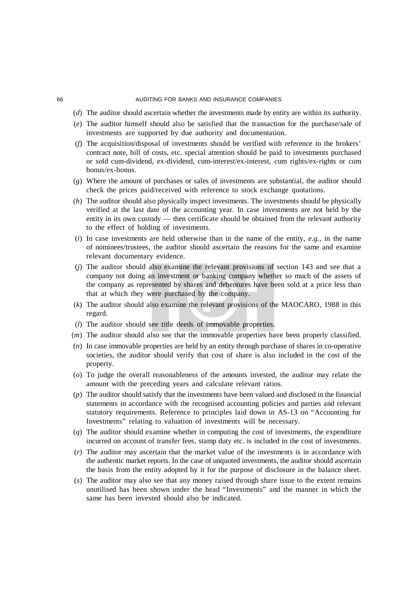#### 66 AUDITING FOR BANKS AND INSURANCE COMPANIES

- (*d*) The auditor should ascertain whether the investments made by entity are within its authority.
- (*e*) The auditor himself should also be satisfied that the transaction for the purchase/sale of investments are supported by due authority and documentation.
- (*f*) The acquisition/disposal of investments should be verified with reference to the brokers' contract note, bill of costs, etc. special attention should be paid to investments purchased or sold cum-dividend, ex-dividend, cum-interest/ex-interest, cum rights/ex-rights or cum bonus/ex-bonus.
- (*g*) Where the amount of purchases or sales of investments are substantial, the auditor should check the prices paid/received with reference to stock exchange quotations.
- (*h*) The auditor should also physically inspect investments. The investments should be physically verified at the last date of the accounting year. In case investments are not held by the entity in its own custody — then certificate should be obtained from the relevant authority to the effect of holding of investments.
- (*i*) In case investments are held otherwise than in the name of the entity, *e.g.,* in the name of nominees/trustees, the auditor should ascertain the reasons for the same and examine relevant documentary evidence.
- (*j*) The auditor should also examine the relevant provisions of section 143 and see that a company not doing an investment or banking company whether so much of the assets of the company as represented by shares and debentures have been sold at a price less than that at which they were purchased by the company.
- (*k*) The auditor should also examine the relevant provisions of the MAOCARO, 1988 in this regard.
- (*l*) The auditor should see title deeds of immovable properties.
- (*m*) The auditor should also see that the immovable properties have been properly classified.
- (*n*) In case immovable properties are held by an entity through purchase of shares in co-operative societies, the auditor should verify that cost of share is also included in the cost of the property.
- (*o*) To judge the overall reasonableness of the amounts invested, the auditor may relate the amount with the preceding years and calculate relevant ratios.
- (*p*) The auditor should satisfy that the investments have been valued and disclosed in the financial statements in accordance with the recognised accounting policies and parties and relevant statutory requirements. Reference to principles laid down in AS-13 on "Accounting for Investments" relating to valuation of investments will be necessary.
- (*q*) The auditor should examine whether in computing the cost of investments, the expenditure incurred on account of transfer fees, stamp duty etc. is included in the cost of investments.
- (*r*) The auditor may ascertain that the market value of the investments is in accordance with the authentic market reports. In the case of unquoted investments, the auditor should ascertain the basis from the entity adopted by it for the purpose of disclosure in the balance sheet.
- (*s*) The auditor may also see that any money raised through share issue to the extent remains unutilised has been shown under the head "Investments" and the manner in which the same has been invested should also be indicated.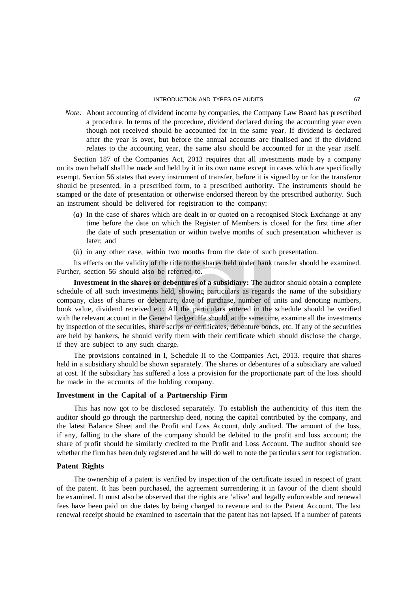*Note:* About accounting of dividend income by companies, the Company Law Board has prescribed a procedure. In terms of the procedure, dividend declared during the accounting year even though not received should be accounted for in the same year. If dividend is declared after the year is over, but before the annual accounts are finalised and if the dividend relates to the accounting year, the same also should be accounted for in the year itself.

Section 187 of the Companies Act, 2013 requires that all investments made by a company on its own behalf shall be made and held by it in its own name except in cases which are specifically exempt. Section 56 states that every instrument of transfer, before it is signed by or for the transferor should be presented, in a prescribed form, to a prescribed authority. The instruments should be stamped or the date of presentation or otherwise endorsed thereon by the prescribed authority. Such an instrument should be delivered for registration to the company:

- (*a*) In the case of shares which are dealt in or quoted on a recognised Stock Exchange at any time before the date on which the Register of Members is closed for the first time after the date of such presentation or within twelve months of such presentation whichever is later; and
- (*b*) in any other case, within two months from the date of such presentation.

Its effects on the validity of the title to the shares held under bank transfer should be examined. Further, section 56 should also be referred to.

**Investment in the shares or debentures of a subsidiary:** The auditor should obtain a complete schedule of all such investments held, showing particulars as regards the name of the subsidiary company, class of shares or debenture, date of purchase, number of units and denoting numbers, book value, dividend received etc. All the particulars entered in the schedule should be verified with the relevant account in the General Ledger. He should, at the same time, examine all the investments by inspection of the securities, share scrips or certificates, debenture bonds, etc. If any of the securities are held by bankers, he should verify them with their certificate which should disclose the charge, if they are subject to any such charge.

The provisions contained in I, Schedule II to the Companies Act, 2013. require that shares held in a subsidiary should be shown separately. The shares or debentures of a subsidiary are valued at cost. If the subsidiary has suffered a loss a provision for the proportionate part of the loss should be made in the accounts of the holding company.

## **Investment in the Capital of a Partnership Firm**

This has now got to be disclosed separately. To establish the authenticity of this item the auditor should go through the partnership deed, noting the capital contributed by the company, and the latest Balance Sheet and the Profit and Loss Account, duly audited. The amount of the loss, if any, falling to the share of the company should be debited to the profit and loss account; the share of profit should be similarly credited to the Profit and Loss Account. The auditor should see whether the firm has been duly registered and he will do well to note the particulars sent for registration.

## **Patent Rights**

The ownership of a patent is verified by inspection of the certificate issued in respect of grant of the patent. It has been purchased, the agreement surrendering it in favour of the client should be examined. It must also be observed that the rights are 'alive' and legally enforceable and renewal fees have been paid on due dates by being charged to revenue and to the Patent Account. The last renewal receipt should be examined to ascertain that the patent has not lapsed. If a number of patents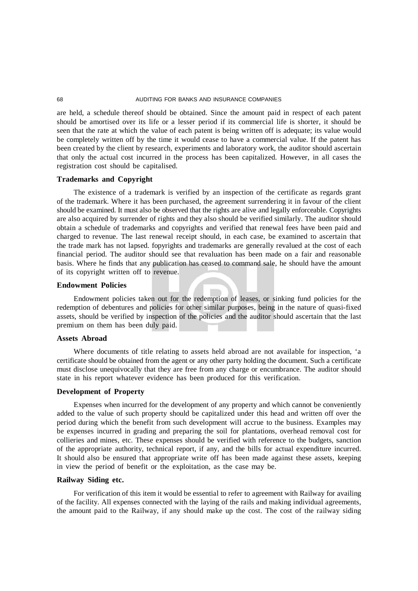are held, a schedule thereof should be obtained. Since the amount paid in respect of each patent should be amortised over its life or a lesser period if its commercial life is shorter, it should be seen that the rate at which the value of each patent is being written off is adequate; its value would be completely written off by the time it would cease to have a commercial value. If the patent has been created by the client by research, experiments and laboratory work, the auditor should ascertain that only the actual cost incurred in the process has been capitalized. However, in all cases the registration cost should be capitalised.

#### **Trademarks and Copyright**

The existence of a trademark is verified by an inspection of the certificate as regards grant of the trademark. Where it has been purchased, the agreement surrendering it in favour of the client should be examined. It must also be observed that the rights are alive and legally enforceable. Copyrights are also acquired by surrender of rights and they also should be verified similarly. The auditor should obtain a schedule of trademarks and copyrights and verified that renewal fees have been paid and charged to revenue. The last renewal receipt should, in each case, be examined to ascertain that the trade mark has not lapsed. fopyrights and trademarks are generally revalued at the cost of each financial period. The auditor should see that revaluation has been made on a fair and reasonable basis. Where he finds that any publication has ceased to command sale, he should have the amount of its copyright written off to revenue.

#### **Endowment Policies**

Endowment policies taken out for the redemption of leases, or sinking fund policies for the redemption of debentures and policies for other similar purposes, being in the nature of quasi-fixed assets, should be verified by inspection of the policies and the auditor should ascertain that the last premium on them has been duly paid.

#### **Assets Abroad**

Where documents of title relating to assets held abroad are not available for inspection, 'a certificate should be obtained from the agent or any other party holding the document. Such a certificate must disclose unequivocally that they are free from any charge or encumbrance. The auditor should state in his report whatever evidence has been produced for this verification.

#### **Development of Property**

Expenses when incurred for the development of any property and which cannot be conveniently added to the value of such property should be capitalized under this head and written off over the period during which the benefit from such development will accrue to the business. Examples may be expenses incurred in grading and preparing the soil for plantations, overhead removal cost for collieries and mines, etc. These expenses should be verified with reference to the budgets, sanction of the appropriate authority, technical report, if any, and the bills for actual expenditure incurred. It should also be ensured that appropriate write off has been made against these assets, keeping in view the period of benefit or the exploitation, as the case may be.

## **Railway Siding etc.**

For verification of this item it would be essential to refer to agreement with Railway for availing of the facility. All expenses connected with the laying of the rails and making individual agreements, the amount paid to the Railway, if any should make up the cost. The cost of the railway siding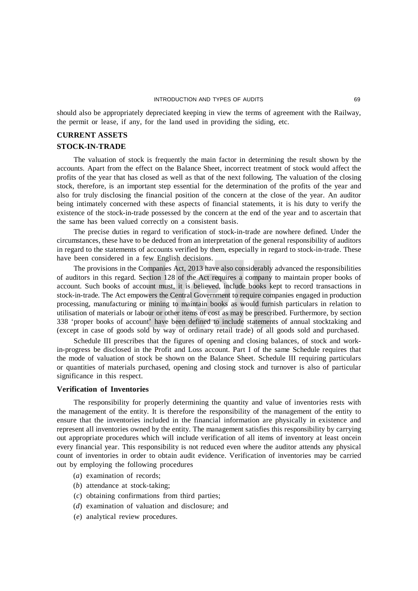should also be appropriately depreciated keeping in view the terms of agreement with the Railway, the permit or lease, if any, for the land used in providing the siding, etc.

## **CURRENT ASSETS**

## **STOCK-IN-TRADE**

The valuation of stock is frequently the main factor in determining the result shown by the accounts. Apart from the effect on the Balance Sheet, incorrect treatment of stock would affect the profits of the year that has closed as well as that of the next following. The valuation of the closing stock, therefore, is an important step essential for the determination of the profits of the year and also for truly disclosing the financial position of the concern at the close of the year. An auditor being intimately concerned with these aspects of financial statements, it is his duty to verify the existence of the stock-in-trade possessed by the concern at the end of the year and to ascertain that the same has been valued correctly on a consistent basis.

The precise duties in regard to verification of stock-in-trade are nowhere defined. Under the circumstances, these have to be deduced from an interpretation of the general responsibility of auditors in regard to the statements of accounts verified by them, especially in regard to stock-in-trade. These have been considered in a few English decisions.

The provisions in the Companies Act, 2013 have also considerably advanced the responsibilities of auditors in this regard. Section 128 of the Act requires a company to maintain proper books of account. Such books of account must, it is believed, include books kept to record transactions in stock-in-trade. The Act empowers the Central Government to require companies engaged in production processing, manufacturing or mining to maintain books as would furnish particulars in relation to utilisation of materials or labour or other items of cost as may be prescribed. Furthermore, by section 338 'proper books of account' have been defined to include statements of annual stocktaking and (except in case of goods sold by way of ordinary retail trade) of all goods sold and purchased.

Schedule III prescribes that the figures of opening and closing balances, of stock and workin-progress be disclosed in the Profit and Loss account. Part I of the same Schedule requires that the mode of valuation of stock be shown on the Balance Sheet. Schedule III requiring particulars or quantities of materials purchased, opening and closing stock and turnover is also of particular significance in this respect.

### **Verification of Inventories**

The responsibility for properly determining the quantity and value of inventories rests with the management of the entity. It is therefore the responsibility of the management of the entity to ensure that the inventories included in the financial information are physically in existence and represent all inventories owned by the entity. The management satisfies this responsibility by carrying out appropriate procedures which will include verification of all items of inventory at least oncein every financial year. This responsibility is not reduced even where the auditor attends any physical count of inventories in order to obtain audit evidence. Verification of inventories may be carried out by employing the following procedures

- (*a*) examination of records;
- (*b*) attendance at stock-taking;
- (*c*) obtaining confirmations from third parties;
- (*d*) examination of valuation and disclosure; and
- (*e*) analytical review procedures.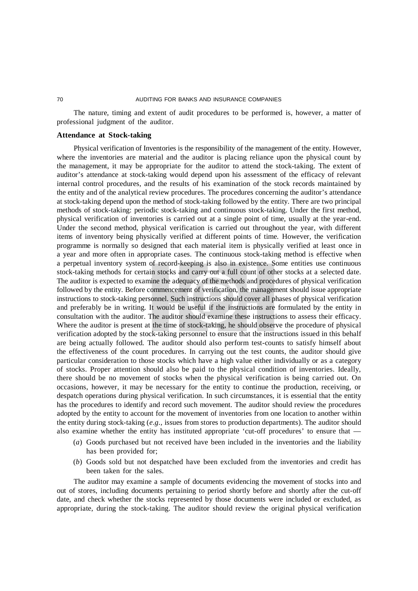The nature, timing and extent of audit procedures to be performed is, however, a matter of professional judgment of the auditor.

# **Attendance at Stock-taking**

Physical verification of Inventories is the responsibility of the management of the entity. However, where the inventories are material and the auditor is placing reliance upon the physical count by the management, it may be appropriate for the auditor to attend the stock-taking. The extent of auditor's attendance at stock-taking would depend upon his assessment of the efficacy of relevant internal control procedures, and the results of his examination of the stock records maintained by the entity and of the analytical review procedures. The procedures concerning the auditor's attendance at stock-taking depend upon the method of stock-taking followed by the entity. There are two principal methods of stock-taking: periodic stock-taking and continuous stock-taking. Under the first method, physical verification of inventories is carried out at a single point of time, usually at the year-end. Under the second method, physical verification is carried out throughout the year, with different items of inventory being physically verified at different points of time. However, the verification programme is normally so designed that each material item is physically verified at least once in a year and more often in appropriate cases. The continuous stock-taking method is effective when a perpetual inventory system of record-keeping is also in existence. Some entities use continuous stock-taking methods for certain stocks and carry out a full count of other stocks at a selected date. The auditor is expected to examine the adequacy of the methods and procedures of physical verification followed by the entity. Before commencement of verification, the management should issue appropriate instructions to stock-taking personnel. Such instructions should cover all phases of physical verification and preferably be in writing. It would be useful if the instructions are formulated by the entity in consultation with the auditor. The auditor should examine these instructions to assess their efficacy. Where the auditor is present at the time of stock-taking, he should observe the procedure of physical verification adopted by the stock-taking personnel to ensure that the instructions issued in this behalf are being actually followed. The auditor should also perform test-counts to satisfy himself about the effectiveness of the count procedures. In carrying out the test counts, the auditor should give particular consideration to those stocks which have a high value either individually or as a category of stocks. Proper attention should also be paid to the physical condition of inventories. Ideally, there should be no movement of stocks when the physical verification is being carried out. On occasions, however, it may be necessary for the entity to continue the production, receiving, or despatch operations during physical verification. In such circumstances, it is essential that the entity has the procedures to identify and record such movement. The auditor should review the procedures adopted by the entity to account for the movement of inventories from one location to another within the entity during stock-taking (*e.g.,* issues from stores to production departments). The auditor should also examine whether the entity has instituted appropriate 'cut-off procedures' to ensure that -

- (*a*) Goods purchased but not received have been included in the inventories and the liability has been provided for;
- (*b*) Goods sold but not despatched have been excluded from the inventories and credit has been taken for the sales.

The auditor may examine a sample of documents evidencing the movement of stocks into and out of stores, including documents pertaining to period shortly before and shortly after the cut-off date, and check whether the stocks represented by those documents were included or excluded, as appropriate, during the stock-taking. The auditor should review the original physical verification